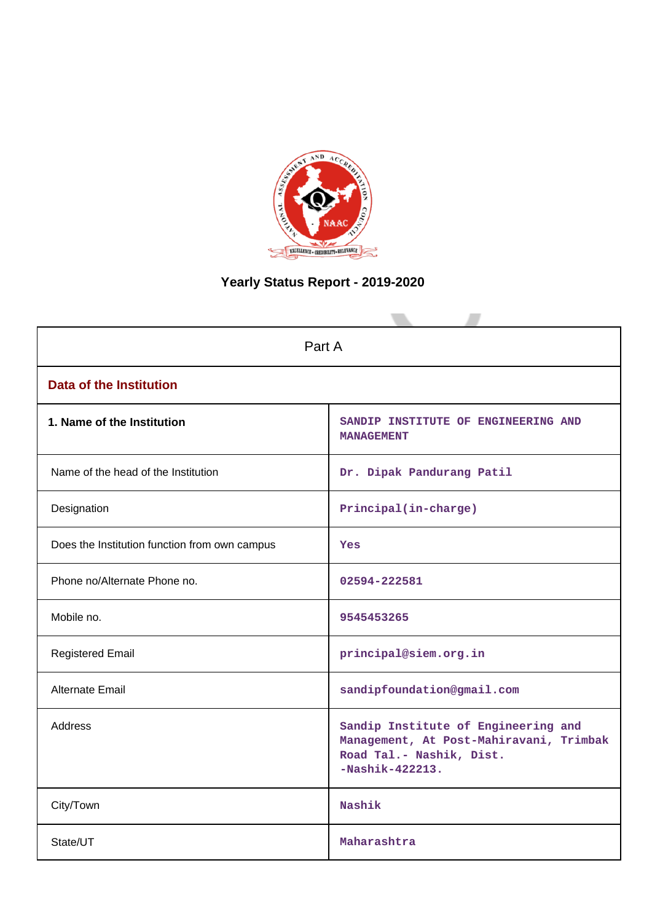

# **Yearly Status Report - 2019-2020**

| Part A                                        |                                                                                                                                 |  |  |  |  |
|-----------------------------------------------|---------------------------------------------------------------------------------------------------------------------------------|--|--|--|--|
| <b>Data of the Institution</b>                |                                                                                                                                 |  |  |  |  |
| 1. Name of the Institution                    | SANDIP INSTITUTE OF ENGINEERING AND<br><b>MANAGEMENT</b>                                                                        |  |  |  |  |
| Name of the head of the Institution           | Dr. Dipak Pandurang Patil                                                                                                       |  |  |  |  |
| Designation                                   | Principal(in-charge)                                                                                                            |  |  |  |  |
| Does the Institution function from own campus | Yes                                                                                                                             |  |  |  |  |
| Phone no/Alternate Phone no.                  | 02594-222581                                                                                                                    |  |  |  |  |
| Mobile no.                                    | 9545453265                                                                                                                      |  |  |  |  |
| <b>Registered Email</b>                       | principal@siem.org.in                                                                                                           |  |  |  |  |
| Alternate Email                               | sandipfoundation@gmail.com                                                                                                      |  |  |  |  |
| <b>Address</b>                                | Sandip Institute of Engineering and<br>Management, At Post-Mahiravani, Trimbak<br>Road Tal.- Nashik, Dist.<br>$-Nashik-422213.$ |  |  |  |  |
| City/Town                                     | Nashik                                                                                                                          |  |  |  |  |
| State/UT                                      | Maharashtra                                                                                                                     |  |  |  |  |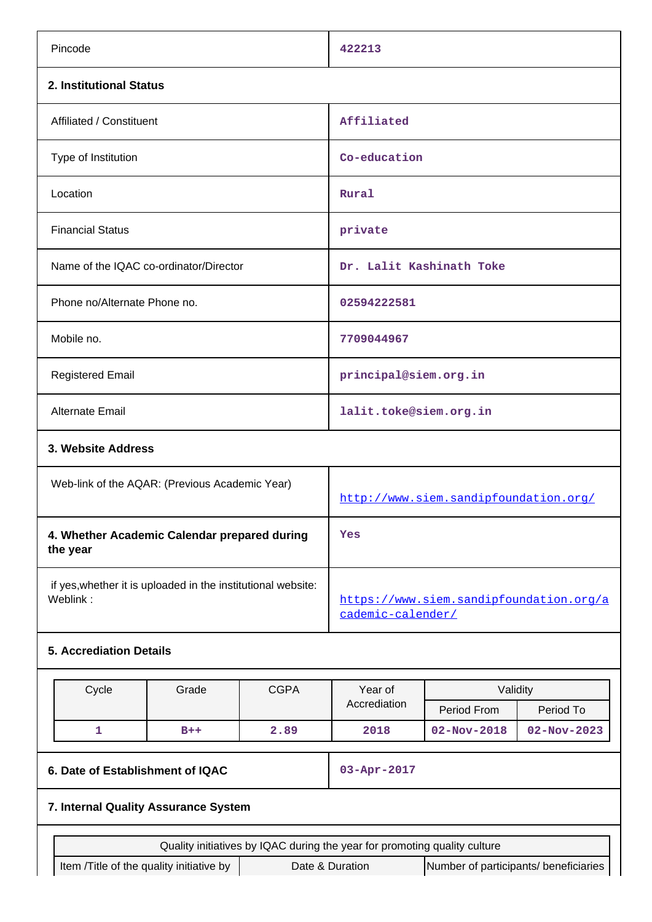| Pincode                                                                                                                                                                           |  |                                       | 422213                                                       |                   |                   |
|-----------------------------------------------------------------------------------------------------------------------------------------------------------------------------------|--|---------------------------------------|--------------------------------------------------------------|-------------------|-------------------|
| 2. Institutional Status                                                                                                                                                           |  |                                       |                                                              |                   |                   |
| Affiliated / Constituent                                                                                                                                                          |  |                                       | Affiliated                                                   |                   |                   |
| Type of Institution                                                                                                                                                               |  |                                       | Co-education                                                 |                   |                   |
| Location                                                                                                                                                                          |  |                                       | Rural                                                        |                   |                   |
| <b>Financial Status</b>                                                                                                                                                           |  |                                       | private                                                      |                   |                   |
| Name of the IQAC co-ordinator/Director                                                                                                                                            |  |                                       | Dr. Lalit Kashinath Toke                                     |                   |                   |
| Phone no/Alternate Phone no.                                                                                                                                                      |  |                                       | 02594222581                                                  |                   |                   |
| Mobile no.                                                                                                                                                                        |  |                                       | 7709044967                                                   |                   |                   |
| <b>Registered Email</b>                                                                                                                                                           |  |                                       | principal@siem.org.in                                        |                   |                   |
| <b>Alternate Email</b>                                                                                                                                                            |  |                                       | lalit.toke@siem.org.in                                       |                   |                   |
| 3. Website Address                                                                                                                                                                |  |                                       |                                                              |                   |                   |
| Web-link of the AQAR: (Previous Academic Year)                                                                                                                                    |  | http://www.siem.sandipfoundation.org/ |                                                              |                   |                   |
| 4. Whether Academic Calendar prepared during<br>the year                                                                                                                          |  |                                       | Yes                                                          |                   |                   |
| if yes, whether it is uploaded in the institutional website:<br>Weblink:                                                                                                          |  |                                       | https://www.siem.sandipfoundation.org/a<br>cademic-calender/ |                   |                   |
| <b>5. Accrediation Details</b>                                                                                                                                                    |  |                                       |                                                              |                   |                   |
| Cycle<br>Grade                                                                                                                                                                    |  | <b>CGPA</b>                           | Year of                                                      | Validity          |                   |
|                                                                                                                                                                                   |  |                                       | Accrediation                                                 | Period From       | Period To         |
| 1<br>$B++$                                                                                                                                                                        |  | 2.89                                  | 2018                                                         | $02 - Nov - 2018$ | $02 - Nov - 2023$ |
| 6. Date of Establishment of IQAC                                                                                                                                                  |  |                                       | 03-Apr-2017                                                  |                   |                   |
| 7. Internal Quality Assurance System                                                                                                                                              |  |                                       |                                                              |                   |                   |
|                                                                                                                                                                                   |  |                                       |                                                              |                   |                   |
| Quality initiatives by IQAC during the year for promoting quality culture<br>Item /Title of the quality initiative by<br>Date & Duration<br>Number of participants/ beneficiaries |  |                                       |                                                              |                   |                   |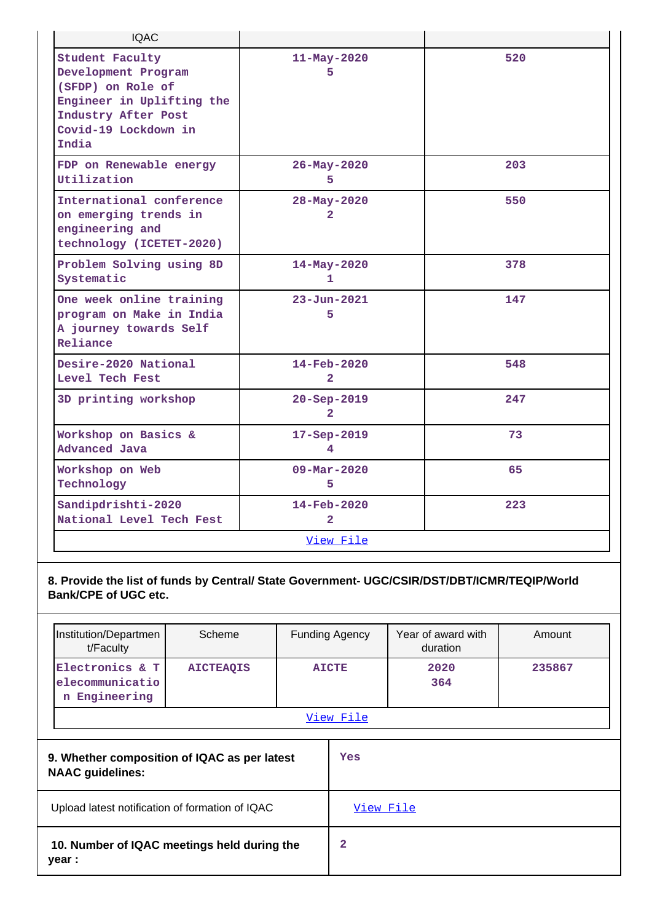| <b>IQAC</b>                                                                                                                                             |                                            |     |
|---------------------------------------------------------------------------------------------------------------------------------------------------------|--------------------------------------------|-----|
| <b>Student Faculty</b><br>Development Program<br>(SFDP) on Role of<br>Engineer in Uplifting the<br>Industry After Post<br>Covid-19 Lockdown in<br>India | $11 - May - 2020$<br>5                     | 520 |
| FDP on Renewable energy<br>Utilization                                                                                                                  | 26-May-2020<br>5.                          | 203 |
| International conference<br>on emerging trends in<br>engineering and<br>technology (ICETET-2020)                                                        | 28-May-2020<br>$\mathbf{2}$                | 550 |
| Problem Solving using 8D<br>Systematic                                                                                                                  | 14-May-2020<br>1                           | 378 |
| One week online training<br>program on Make in India<br>A journey towards Self<br>Reliance                                                              | $23 - Jun - 2021$<br>5                     | 147 |
| Desire-2020 National<br>Level Tech Fest                                                                                                                 | $14 - \text{Feb} - 2020$<br>$\overline{2}$ | 548 |
| 3D printing workshop                                                                                                                                    | $20 - Sep - 2019$<br>$\overline{2}$        | 247 |
| Workshop on Basics &<br><b>Advanced Java</b>                                                                                                            | 17-Sep-2019<br>4                           | 73  |
| Workshop on Web<br>Technology                                                                                                                           | $09 - \text{Mar} - 2020$<br>5              | 65  |
| Sandipdrishti-2020<br>National Level Tech Fest                                                                                                          | $14 - \text{Feb} - 2020$<br>$\overline{2}$ | 223 |
|                                                                                                                                                         | View File                                  |     |
|                                                                                                                                                         |                                            |     |

**8. Provide the list of funds by Central/ State Government- UGC/CSIR/DST/DBT/ICMR/TEQIP/World Bank/CPE of UGC etc.**

| Institution/Departmen<br>t/Faculty                                      | Scheme           | <b>Funding Agency</b> |           | Year of award with<br>duration | Amount |
|-------------------------------------------------------------------------|------------------|-----------------------|-----------|--------------------------------|--------|
| Electronics & T<br>elecommunicatio<br>Engineering<br>n                  | <b>AICTEAQIS</b> | <b>AICTE</b>          |           | 2020<br>364                    | 235867 |
|                                                                         |                  |                       | View File |                                |        |
| 9. Whether composition of IQAC as per latest<br><b>NAAC</b> guidelines: |                  |                       | Yes       |                                |        |
| Upload latest notification of formation of IQAC                         |                  | View File             |           |                                |        |
| 10. Number of IQAC meetings held during the<br>year :                   |                  |                       | 2         |                                |        |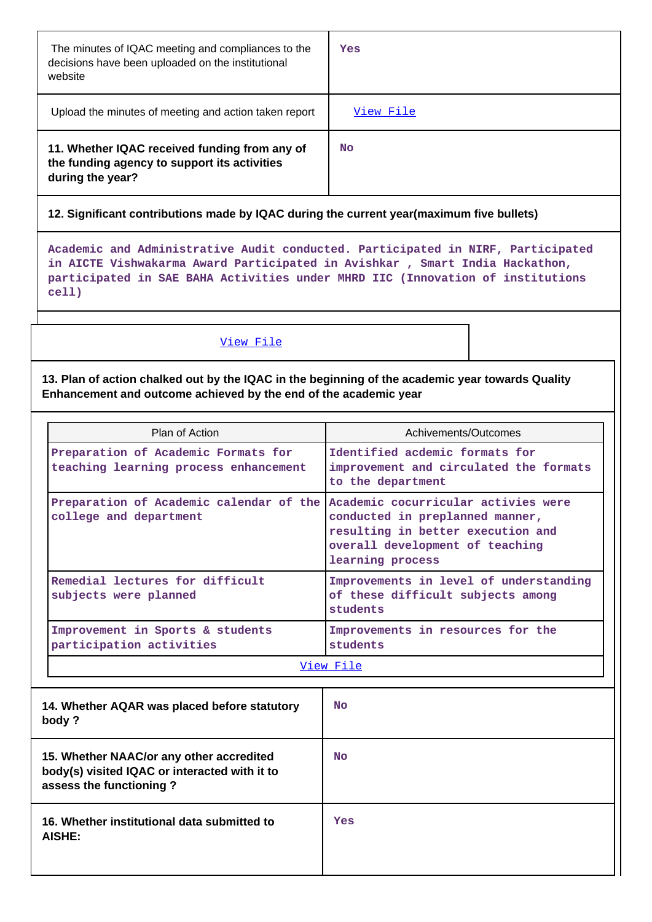| The minutes of IQAC meeting and compliances to the<br>decisions have been uploaded on the institutional<br>website | Yes       |
|--------------------------------------------------------------------------------------------------------------------|-----------|
| Upload the minutes of meeting and action taken report                                                              | View File |
| 11. Whether IQAC received funding from any of<br>the funding agency to support its activities<br>during the year?  | No        |

# **12. Significant contributions made by IQAC during the current year(maximum five bullets)**

**Academic and Administrative Audit conducted. Participated in NIRF, Participated in AICTE Vishwakarma Award Participated in Avishkar , Smart India Hackathon, participated in SAE BAHA Activities under MHRD IIC (Innovation of institutions cell)**

# [View File](https://assessmentonline.naac.gov.in/public/Postacc/Contribution/10505_Contribution.xlsx)

**13. Plan of action chalked out by the IQAC in the beginning of the academic year towards Quality Enhancement and outcome achieved by the end of the academic year**

| Plan of Action                                                                                        | Achivements/Outcomes                                                                                                        |
|-------------------------------------------------------------------------------------------------------|-----------------------------------------------------------------------------------------------------------------------------|
| Preparation of Academic Formats for<br>teaching learning process enhancement                          | Identified acdemic formats for<br>improvement and circulated the formats<br>to the department                               |
| Preparation of Academic calendar of the Academic cocurricular activies were<br>college and department | conducted in preplanned manner,<br>resulting in better execution and<br>overall development of teaching<br>learning process |
| Remedial lectures for difficult<br>subjects were planned                                              | Improvements in level of understanding<br>of these difficult subjects among<br>students                                     |
| Improvement in Sports & students<br>participation activities                                          | Improvements in resources for the<br>students                                                                               |

#### [View File](https://assessmentonline.naac.gov.in/public/Postacc/Quality/10505_Quality.xlsx)

| 14. Whether AQAR was placed before statutory<br>body ?                                                               | <b>No</b> |
|----------------------------------------------------------------------------------------------------------------------|-----------|
| 15. Whether NAAC/or any other accredited<br>body(s) visited IQAC or interacted with it to<br>assess the functioning? | <b>No</b> |
| 16. Whether institutional data submitted to<br>AISHE:                                                                | Yes       |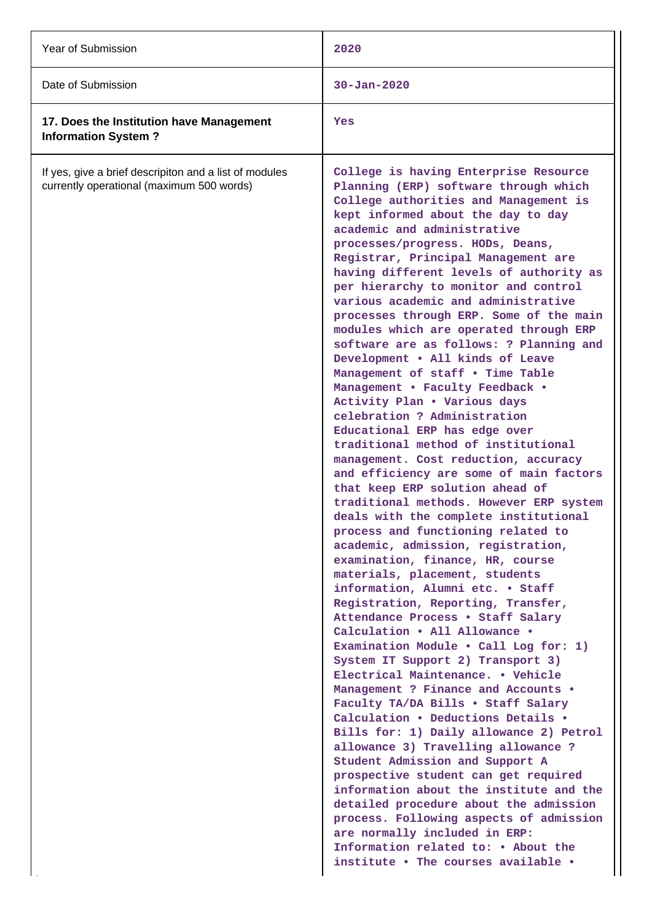| Year of Submission                                                                                  | 2020                                                                                                                                                                                                                                                                                                                                                                                                                                                                                                                                                                                                                                                                                                                                                                                                                                                                                                                                                                                                                                                                                                                                                                                                                                                                                                                                                                                                                                                                                                                                                                                                                                                                                                                                                                                                                                                                                                                                               |
|-----------------------------------------------------------------------------------------------------|----------------------------------------------------------------------------------------------------------------------------------------------------------------------------------------------------------------------------------------------------------------------------------------------------------------------------------------------------------------------------------------------------------------------------------------------------------------------------------------------------------------------------------------------------------------------------------------------------------------------------------------------------------------------------------------------------------------------------------------------------------------------------------------------------------------------------------------------------------------------------------------------------------------------------------------------------------------------------------------------------------------------------------------------------------------------------------------------------------------------------------------------------------------------------------------------------------------------------------------------------------------------------------------------------------------------------------------------------------------------------------------------------------------------------------------------------------------------------------------------------------------------------------------------------------------------------------------------------------------------------------------------------------------------------------------------------------------------------------------------------------------------------------------------------------------------------------------------------------------------------------------------------------------------------------------------------|
| Date of Submission                                                                                  | $30 - Jan - 2020$                                                                                                                                                                                                                                                                                                                                                                                                                                                                                                                                                                                                                                                                                                                                                                                                                                                                                                                                                                                                                                                                                                                                                                                                                                                                                                                                                                                                                                                                                                                                                                                                                                                                                                                                                                                                                                                                                                                                  |
| 17. Does the Institution have Management<br><b>Information System?</b>                              | Yes                                                                                                                                                                                                                                                                                                                                                                                                                                                                                                                                                                                                                                                                                                                                                                                                                                                                                                                                                                                                                                                                                                                                                                                                                                                                                                                                                                                                                                                                                                                                                                                                                                                                                                                                                                                                                                                                                                                                                |
| If yes, give a brief descripiton and a list of modules<br>currently operational (maximum 500 words) | College is having Enterprise Resource<br>Planning (ERP) software through which<br>College authorities and Management is<br>kept informed about the day to day<br>academic and administrative<br>processes/progress. HODs, Deans,<br>Registrar, Principal Management are<br>having different levels of authority as<br>per hierarchy to monitor and control<br>various academic and administrative<br>processes through ERP. Some of the main<br>modules which are operated through ERP<br>software are as follows: ? Planning and<br>Development . All kinds of Leave<br>Management of staff . Time Table<br>Management . Faculty Feedback .<br>Activity Plan . Various days<br>celebration ? Administration<br>Educational ERP has edge over<br>traditional method of institutional<br>management. Cost reduction, accuracy<br>and efficiency are some of main factors<br>that keep ERP solution ahead of<br>traditional methods. However ERP system<br>deals with the complete institutional<br>process and functioning related to<br>academic, admission, registration,<br>examination, finance, HR, course<br>materials, placement, students<br>information, Alumni etc. . Staff<br>Registration, Reporting, Transfer,<br>Attendance Process . Staff Salary<br>Calculation . All Allowance .<br>Examination Module . Call Log for: 1)<br>System IT Support 2) Transport 3)<br>Electrical Maintenance. . Vehicle<br>Management ? Finance and Accounts .<br>Faculty TA/DA Bills . Staff Salary<br>Calculation . Deductions Details .<br>Bills for: 1) Daily allowance 2) Petrol<br>allowance 3) Travelling allowance ?<br>Student Admission and Support A<br>prospective student can get required<br>information about the institute and the<br>detailed procedure about the admission<br>process. Following aspects of admission<br>are normally included in ERP:<br>Information related to: • About the<br>institute . The courses available . |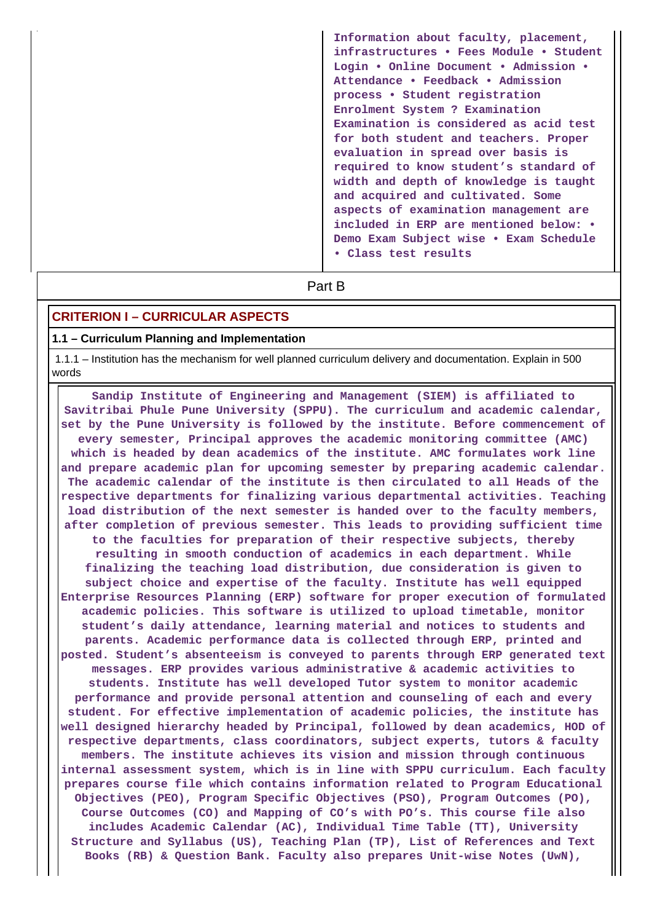**Information about faculty, placement, infrastructures • Fees Module • Student Login • Online Document • Admission • Attendance • Feedback • Admission process • Student registration Enrolment System ? Examination Examination is considered as acid test for both student and teachers. Proper evaluation in spread over basis is required to know student's standard of width and depth of knowledge is taught and acquired and cultivated. Some aspects of examination management are included in ERP are mentioned below: • Demo Exam Subject wise • Exam Schedule • Class test results**

# **Part B**

### **CRITERION I – CURRICULAR ASPECTS**

#### **1.1 – Curriculum Planning and Implementation**

 1.1.1 – Institution has the mechanism for well planned curriculum delivery and documentation. Explain in 500 words

 **Sandip Institute of Engineering and Management (SIEM) is affiliated to Savitribai Phule Pune University (SPPU). The curriculum and academic calendar, set by the Pune University is followed by the institute. Before commencement of every semester, Principal approves the academic monitoring committee (AMC) which is headed by dean academics of the institute. AMC formulates work line and prepare academic plan for upcoming semester by preparing academic calendar. The academic calendar of the institute is then circulated to all Heads of the respective departments for finalizing various departmental activities. Teaching load distribution of the next semester is handed over to the faculty members, after completion of previous semester. This leads to providing sufficient time to the faculties for preparation of their respective subjects, thereby resulting in smooth conduction of academics in each department. While finalizing the teaching load distribution, due consideration is given to subject choice and expertise of the faculty. Institute has well equipped Enterprise Resources Planning (ERP) software for proper execution of formulated academic policies. This software is utilized to upload timetable, monitor student's daily attendance, learning material and notices to students and parents. Academic performance data is collected through ERP, printed and posted. Student's absenteeism is conveyed to parents through ERP generated text messages. ERP provides various administrative & academic activities to students. Institute has well developed Tutor system to monitor academic performance and provide personal attention and counseling of each and every student. For effective implementation of academic policies, the institute has well designed hierarchy headed by Principal, followed by dean academics, HOD of respective departments, class coordinators, subject experts, tutors & faculty members. The institute achieves its vision and mission through continuous internal assessment system, which is in line with SPPU curriculum. Each faculty prepares course file which contains information related to Program Educational Objectives (PEO), Program Specific Objectives (PSO), Program Outcomes (PO), Course Outcomes (CO) and Mapping of CO's with PO's. This course file also includes Academic Calendar (AC), Individual Time Table (TT), University Structure and Syllabus (US), Teaching Plan (TP), List of References and Text Books (RB) & Question Bank. Faculty also prepares Unit-wise Notes (UwN),**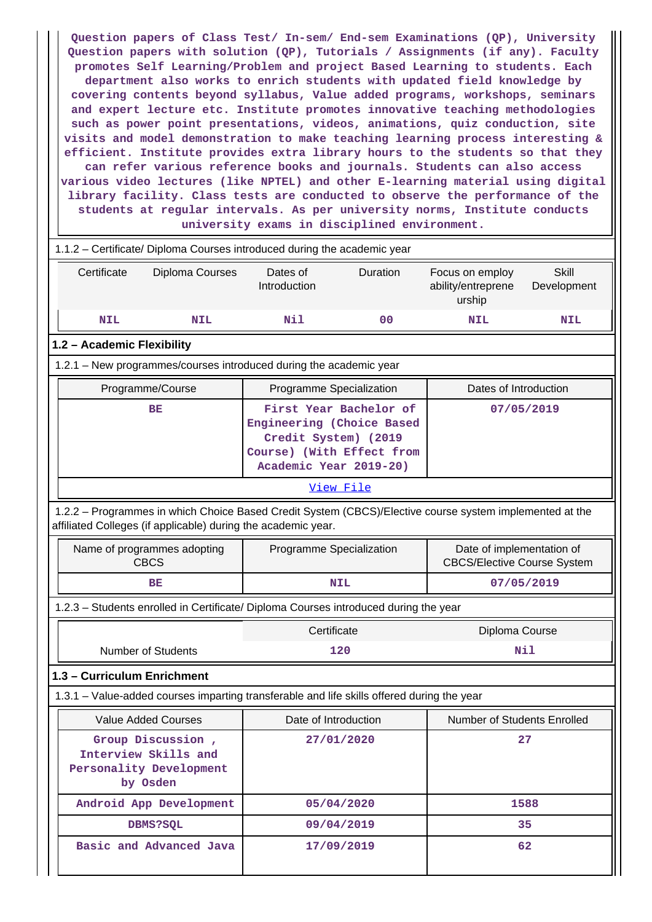**Question papers of Class Test/ In-sem/ End-sem Examinations (QP), University Question papers with solution (QP), Tutorials / Assignments (if any). Faculty promotes Self Learning/Problem and project Based Learning to students. Each department also works to enrich students with updated field knowledge by covering contents beyond syllabus, Value added programs, workshops, seminars and expert lecture etc. Institute promotes innovative teaching methodologies such as power point presentations, videos, animations, quiz conduction, site visits and model demonstration to make teaching learning process interesting & efficient. Institute provides extra library hours to the students so that they can refer various reference books and journals. Students can also access various video lectures (like NPTEL) and other E-learning material using digital library facility. Class tests are conducted to observe the performance of the students at regular intervals. As per university norms, Institute conducts university exams in disciplined environment.**

|    | 1.1.2 - Certificate/ Diploma Courses introduced during the academic year                                                                                                 |                                                                                            |                                                     |                |                                                 |                                                                 |  |  |
|----|--------------------------------------------------------------------------------------------------------------------------------------------------------------------------|--------------------------------------------------------------------------------------------|-----------------------------------------------------|----------------|-------------------------------------------------|-----------------------------------------------------------------|--|--|
|    | Certificate                                                                                                                                                              | Diploma Courses                                                                            | Dates of<br>Introduction                            | Duration       | Focus on employ<br>ability/entreprene<br>urship | <b>Skill</b><br>Development                                     |  |  |
|    | <b>NIL</b>                                                                                                                                                               | <b>NIL</b>                                                                                 | Nil                                                 | 0 <sup>0</sup> | NIL                                             | NIL                                                             |  |  |
|    | 1.2 - Academic Flexibility                                                                                                                                               |                                                                                            |                                                     |                |                                                 |                                                                 |  |  |
|    | 1.2.1 - New programmes/courses introduced during the academic year                                                                                                       |                                                                                            |                                                     |                |                                                 |                                                                 |  |  |
|    |                                                                                                                                                                          | Programme/Course                                                                           | Programme Specialization                            |                | Dates of Introduction                           |                                                                 |  |  |
| BE |                                                                                                                                                                          | Engineering (Choice Based<br>Credit System) (2019<br>Academic Year 2019-20)                | First Year Bachelor of<br>Course) (With Effect from |                | 07/05/2019                                      |                                                                 |  |  |
|    |                                                                                                                                                                          |                                                                                            |                                                     | View File      |                                                 |                                                                 |  |  |
|    | 1.2.2 - Programmes in which Choice Based Credit System (CBCS)/Elective course system implemented at the<br>affiliated Colleges (if applicable) during the academic year. |                                                                                            |                                                     |                |                                                 |                                                                 |  |  |
|    |                                                                                                                                                                          | Name of programmes adopting<br><b>CBCS</b>                                                 | Programme Specialization                            |                |                                                 | Date of implementation of<br><b>CBCS/Elective Course System</b> |  |  |
|    |                                                                                                                                                                          | ВE                                                                                         | 07/05/2019<br><b>NIL</b>                            |                |                                                 |                                                                 |  |  |
|    | 1.2.3 - Students enrolled in Certificate/ Diploma Courses introduced during the year                                                                                     |                                                                                            |                                                     |                |                                                 |                                                                 |  |  |
|    | Certificate<br>Diploma Course                                                                                                                                            |                                                                                            |                                                     |                |                                                 |                                                                 |  |  |
|    |                                                                                                                                                                          | <b>Number of Students</b>                                                                  |                                                     | 120            |                                                 | Nil                                                             |  |  |
|    |                                                                                                                                                                          | 1.3 - Curriculum Enrichment                                                                |                                                     |                |                                                 |                                                                 |  |  |
|    |                                                                                                                                                                          | 1.3.1 – Value-added courses imparting transferable and life skills offered during the year |                                                     |                |                                                 |                                                                 |  |  |
|    |                                                                                                                                                                          | <b>Value Added Courses</b>                                                                 | Date of Introduction                                |                | Number of Students Enrolled                     |                                                                 |  |  |
|    |                                                                                                                                                                          | Group Discussion,<br>Interview Skills and<br>Personality Development<br>by Osden           | 27/01/2020                                          |                |                                                 | 27                                                              |  |  |
|    |                                                                                                                                                                          | Android App Development                                                                    |                                                     | 05/04/2020     |                                                 | 1588                                                            |  |  |
|    |                                                                                                                                                                          | DBMS?SQL                                                                                   |                                                     | 09/04/2019     |                                                 | 35                                                              |  |  |
|    |                                                                                                                                                                          | Basic and Advanced Java                                                                    |                                                     | 17/09/2019     |                                                 | 62                                                              |  |  |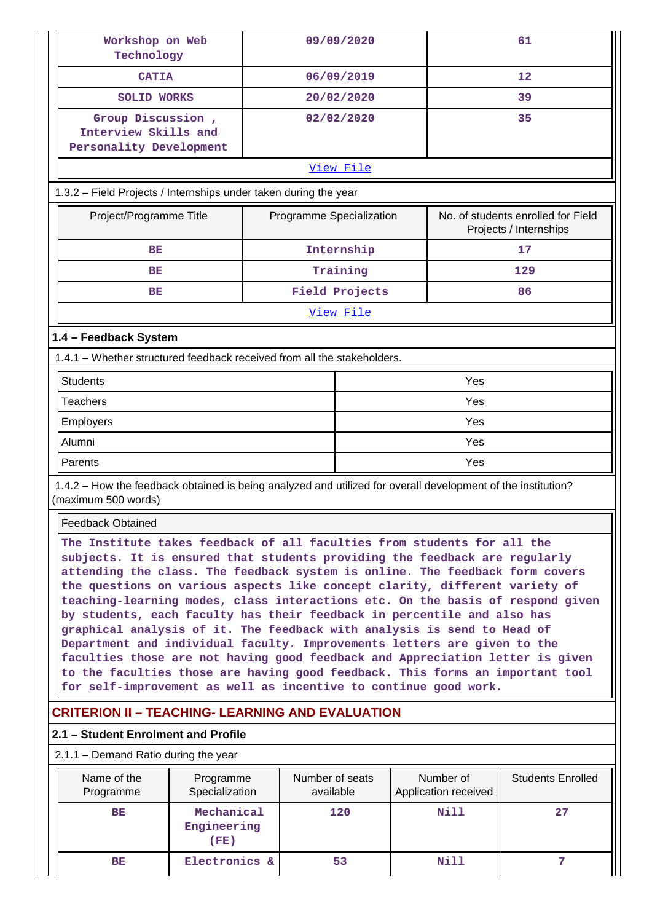| Workshop on Web<br>Technology                                                                                                       |                                                                                                                                                                                                                                                                                                                                                                                                                                                                                                                                                                                                                                                                                                                                                                                                                                                                                | 09/09/2020                   |                                   | 61                                                           |  |  |
|-------------------------------------------------------------------------------------------------------------------------------------|--------------------------------------------------------------------------------------------------------------------------------------------------------------------------------------------------------------------------------------------------------------------------------------------------------------------------------------------------------------------------------------------------------------------------------------------------------------------------------------------------------------------------------------------------------------------------------------------------------------------------------------------------------------------------------------------------------------------------------------------------------------------------------------------------------------------------------------------------------------------------------|------------------------------|-----------------------------------|--------------------------------------------------------------|--|--|
| <b>CATIA</b>                                                                                                                        |                                                                                                                                                                                                                                                                                                                                                                                                                                                                                                                                                                                                                                                                                                                                                                                                                                                                                | 06/09/2019                   |                                   | 12                                                           |  |  |
| <b>SOLID WORKS</b>                                                                                                                  |                                                                                                                                                                                                                                                                                                                                                                                                                                                                                                                                                                                                                                                                                                                                                                                                                                                                                | 20/02/2020                   |                                   | 39                                                           |  |  |
| Group Discussion,<br>Interview Skills and<br>Personality Development                                                                |                                                                                                                                                                                                                                                                                                                                                                                                                                                                                                                                                                                                                                                                                                                                                                                                                                                                                | 02/02/2020                   |                                   | 35                                                           |  |  |
| View File                                                                                                                           |                                                                                                                                                                                                                                                                                                                                                                                                                                                                                                                                                                                                                                                                                                                                                                                                                                                                                |                              |                                   |                                                              |  |  |
|                                                                                                                                     | 1.3.2 - Field Projects / Internships under taken during the year                                                                                                                                                                                                                                                                                                                                                                                                                                                                                                                                                                                                                                                                                                                                                                                                               |                              |                                   |                                                              |  |  |
| Project/Programme Title                                                                                                             |                                                                                                                                                                                                                                                                                                                                                                                                                                                                                                                                                                                                                                                                                                                                                                                                                                                                                | Programme Specialization     |                                   | No. of students enrolled for Field<br>Projects / Internships |  |  |
| BE                                                                                                                                  |                                                                                                                                                                                                                                                                                                                                                                                                                                                                                                                                                                                                                                                                                                                                                                                                                                                                                | Internship                   |                                   | 17                                                           |  |  |
| BE                                                                                                                                  |                                                                                                                                                                                                                                                                                                                                                                                                                                                                                                                                                                                                                                                                                                                                                                                                                                                                                | Training                     |                                   | 129                                                          |  |  |
| ВE                                                                                                                                  |                                                                                                                                                                                                                                                                                                                                                                                                                                                                                                                                                                                                                                                                                                                                                                                                                                                                                | Field Projects               |                                   | 86                                                           |  |  |
|                                                                                                                                     |                                                                                                                                                                                                                                                                                                                                                                                                                                                                                                                                                                                                                                                                                                                                                                                                                                                                                | View File                    |                                   |                                                              |  |  |
| 1.4 - Feedback System                                                                                                               |                                                                                                                                                                                                                                                                                                                                                                                                                                                                                                                                                                                                                                                                                                                                                                                                                                                                                |                              |                                   |                                                              |  |  |
| 1.4.1 - Whether structured feedback received from all the stakeholders.                                                             |                                                                                                                                                                                                                                                                                                                                                                                                                                                                                                                                                                                                                                                                                                                                                                                                                                                                                |                              |                                   |                                                              |  |  |
| <b>Students</b>                                                                                                                     |                                                                                                                                                                                                                                                                                                                                                                                                                                                                                                                                                                                                                                                                                                                                                                                                                                                                                |                              | Yes                               |                                                              |  |  |
| <b>Teachers</b>                                                                                                                     |                                                                                                                                                                                                                                                                                                                                                                                                                                                                                                                                                                                                                                                                                                                                                                                                                                                                                |                              | Yes                               |                                                              |  |  |
| Employers                                                                                                                           |                                                                                                                                                                                                                                                                                                                                                                                                                                                                                                                                                                                                                                                                                                                                                                                                                                                                                |                              | Yes                               |                                                              |  |  |
| Alumni                                                                                                                              |                                                                                                                                                                                                                                                                                                                                                                                                                                                                                                                                                                                                                                                                                                                                                                                                                                                                                |                              | Yes                               |                                                              |  |  |
| Parents<br>Yes                                                                                                                      |                                                                                                                                                                                                                                                                                                                                                                                                                                                                                                                                                                                                                                                                                                                                                                                                                                                                                |                              |                                   |                                                              |  |  |
| 1.4.2 – How the feedback obtained is being analyzed and utilized for overall development of the institution?<br>(maximum 500 words) |                                                                                                                                                                                                                                                                                                                                                                                                                                                                                                                                                                                                                                                                                                                                                                                                                                                                                |                              |                                   |                                                              |  |  |
|                                                                                                                                     | <b>Feedback Obtained</b>                                                                                                                                                                                                                                                                                                                                                                                                                                                                                                                                                                                                                                                                                                                                                                                                                                                       |                              |                                   |                                                              |  |  |
|                                                                                                                                     | The Institute takes feedback of all faculties from students for all the<br>subjects. It is ensured that students providing the feedback are regularly<br>attending the class. The feedback system is online. The feedback form covers<br>the questions on various aspects like concept clarity, different variety of<br>teaching-learning modes, class interactions etc. On the basis of respond given<br>by students, each faculty has their feedback in percentile and also has<br>graphical analysis of it. The feedback with analysis is send to Head of<br>Department and individual faculty. Improvements letters are given to the<br>faculties those are not having good feedback and Appreciation letter is given<br>to the faculties those are having good feedback. This forms an important tool<br>for self-improvement as well as incentive to continue good work. |                              |                                   |                                                              |  |  |
|                                                                                                                                     |                                                                                                                                                                                                                                                                                                                                                                                                                                                                                                                                                                                                                                                                                                                                                                                                                                                                                |                              |                                   |                                                              |  |  |
| <b>CRITERION II - TEACHING- LEARNING AND EVALUATION</b>                                                                             |                                                                                                                                                                                                                                                                                                                                                                                                                                                                                                                                                                                                                                                                                                                                                                                                                                                                                |                              |                                   |                                                              |  |  |
| 2.1 - Student Enrolment and Profile                                                                                                 |                                                                                                                                                                                                                                                                                                                                                                                                                                                                                                                                                                                                                                                                                                                                                                                                                                                                                |                              |                                   |                                                              |  |  |
| 2.1.1 - Demand Ratio during the year                                                                                                |                                                                                                                                                                                                                                                                                                                                                                                                                                                                                                                                                                                                                                                                                                                                                                                                                                                                                |                              |                                   |                                                              |  |  |
| Name of the<br>Programme                                                                                                            | Programme<br>Specialization                                                                                                                                                                                                                                                                                                                                                                                                                                                                                                                                                                                                                                                                                                                                                                                                                                                    | Number of seats<br>available | Number of<br>Application received | <b>Students Enrolled</b>                                     |  |  |
| BE                                                                                                                                  | Mechanical<br>Engineering<br>(FE)                                                                                                                                                                                                                                                                                                                                                                                                                                                                                                                                                                                                                                                                                                                                                                                                                                              | 120                          | Nill                              | 27                                                           |  |  |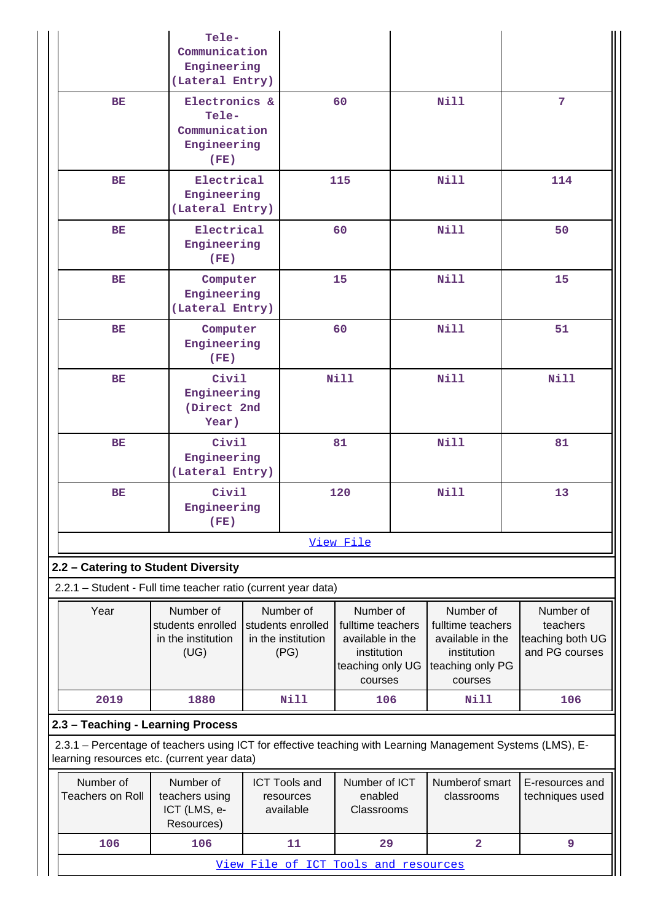|                                                                                                                                                           | Tele-                          |             |                            |                                 |  |                                 |                                    |
|-----------------------------------------------------------------------------------------------------------------------------------------------------------|--------------------------------|-------------|----------------------------|---------------------------------|--|---------------------------------|------------------------------------|
|                                                                                                                                                           | Communication                  |             |                            |                                 |  |                                 |                                    |
|                                                                                                                                                           | Engineering                    |             |                            |                                 |  |                                 |                                    |
|                                                                                                                                                           | (Lateral Entry)                |             |                            |                                 |  |                                 |                                    |
| BE                                                                                                                                                        | Electronics &                  |             |                            | 60                              |  | <b>Nill</b>                     | 7                                  |
|                                                                                                                                                           | Tele-<br>Communication         |             |                            |                                 |  |                                 |                                    |
|                                                                                                                                                           | Engineering                    |             |                            |                                 |  |                                 |                                    |
|                                                                                                                                                           | (FE)                           |             |                            |                                 |  |                                 |                                    |
| <b>BE</b>                                                                                                                                                 | Electrical                     |             |                            | 115                             |  | <b>Nill</b>                     | 114                                |
|                                                                                                                                                           | Engineering<br>(Lateral Entry) |             |                            |                                 |  |                                 |                                    |
|                                                                                                                                                           | Electrical                     |             |                            |                                 |  |                                 |                                    |
| <b>BE</b>                                                                                                                                                 | Engineering                    |             |                            | 60                              |  | <b>Nill</b>                     | 50                                 |
|                                                                                                                                                           | (FE)                           |             |                            |                                 |  |                                 |                                    |
| BE                                                                                                                                                        | Computer                       |             |                            | 15                              |  | Nill                            | 15                                 |
|                                                                                                                                                           | Engineering                    |             |                            |                                 |  |                                 |                                    |
|                                                                                                                                                           | (Lateral Entry)                |             |                            |                                 |  |                                 |                                    |
| BE                                                                                                                                                        | Computer<br>Engineering        |             |                            | 60                              |  | <b>Nill</b>                     | 51                                 |
|                                                                                                                                                           | (FE)                           |             |                            |                                 |  |                                 |                                    |
| <b>BE</b>                                                                                                                                                 | Civil                          |             |                            | <b>Nill</b>                     |  | <b>Nill</b>                     | <b>Nill</b>                        |
|                                                                                                                                                           | Engineering                    |             |                            |                                 |  |                                 |                                    |
|                                                                                                                                                           |                                | (Direct 2nd |                            |                                 |  |                                 |                                    |
|                                                                                                                                                           | Year)                          |             |                            |                                 |  |                                 |                                    |
| BE                                                                                                                                                        | Civil                          | Engineering |                            | 81                              |  | <b>Nill</b>                     | 81                                 |
|                                                                                                                                                           | (Lateral Entry)                |             |                            |                                 |  |                                 |                                    |
| <b>BE</b>                                                                                                                                                 |                                | Civil       |                            | 120                             |  | <b>Nill</b>                     | 13                                 |
|                                                                                                                                                           | Engineering                    |             |                            |                                 |  |                                 |                                    |
|                                                                                                                                                           | (FE)                           |             |                            |                                 |  |                                 |                                    |
| <u>View File</u>                                                                                                                                          |                                |             |                            |                                 |  |                                 |                                    |
| 2.2 - Catering to Student Diversity                                                                                                                       |                                |             |                            |                                 |  |                                 |                                    |
| 2.2.1 - Student - Full time teacher ratio (current year data)                                                                                             |                                |             |                            |                                 |  |                                 |                                    |
| Year                                                                                                                                                      | Number of                      |             | Number of                  | Number of                       |  | Number of                       | Number of                          |
|                                                                                                                                                           | students enrolled              |             | students enrolled          | fulltime teachers               |  | fulltime teachers               | teachers                           |
|                                                                                                                                                           | in the institution<br>(UG)     |             | in the institution<br>(PG) | available in the<br>institution |  | available in the<br>institution | teaching both UG<br>and PG courses |
|                                                                                                                                                           |                                |             |                            | teaching only UG                |  | teaching only PG                |                                    |
|                                                                                                                                                           |                                |             |                            | courses                         |  | courses                         |                                    |
| 2019                                                                                                                                                      | 1880                           |             | Nill                       | 106                             |  | Nill                            | 106                                |
| 2.3 - Teaching - Learning Process                                                                                                                         |                                |             |                            |                                 |  |                                 |                                    |
| 2.3.1 - Percentage of teachers using ICT for effective teaching with Learning Management Systems (LMS), E-<br>learning resources etc. (current year data) |                                |             |                            |                                 |  |                                 |                                    |
| Number of                                                                                                                                                 | Number of                      |             | <b>ICT Tools and</b>       | Number of ICT                   |  | Numberof smart                  | E-resources and                    |
| <b>Teachers on Roll</b>                                                                                                                                   | teachers using                 |             | resources                  | enabled                         |  | classrooms                      | techniques used                    |
|                                                                                                                                                           | ICT (LMS, e-<br>Resources)     |             | available                  | Classrooms                      |  |                                 |                                    |
| 106                                                                                                                                                       | 106                            |             | 11                         | 29                              |  | $\overline{\mathbf{2}}$         | 9                                  |
| View File of ICT Tools and resources                                                                                                                      |                                |             |                            |                                 |  |                                 |                                    |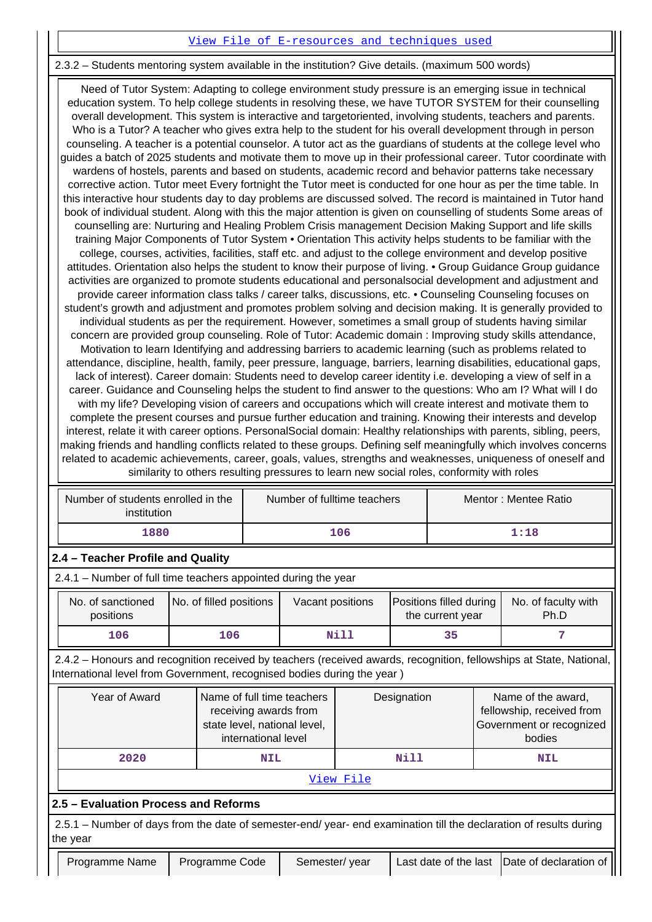## [View File of E-resources and techniques used](https://assessmentonline.naac.gov.in/public/Postacc/e_resource/10505_e_resource_1620338234.xlsx)

## 2.3.2 – Students mentoring system available in the institution? Give details. (maximum 500 words)

 Need of Tutor System: Adapting to college environment study pressure is an emerging issue in technical education system. To help college students in resolving these, we have TUTOR SYSTEM for their counselling overall development. This system is interactive and targetoriented, involving students, teachers and parents. Who is a Tutor? A teacher who gives extra help to the student for his overall development through in person counseling. A teacher is a potential counselor. A tutor act as the guardians of students at the college level who guides a batch of 2025 students and motivate them to move up in their professional career. Tutor coordinate with wardens of hostels, parents and based on students, academic record and behavior patterns take necessary corrective action. Tutor meet Every fortnight the Tutor meet is conducted for one hour as per the time table. In this interactive hour students day to day problems are discussed solved. The record is maintained in Tutor hand book of individual student. Along with this the major attention is given on counselling of students Some areas of counselling are: Nurturing and Healing Problem Crisis management Decision Making Support and life skills training Major Components of Tutor System • Orientation This activity helps students to be familiar with the college, courses, activities, facilities, staff etc. and adjust to the college environment and develop positive attitudes. Orientation also helps the student to know their purpose of living. • Group Guidance Group guidance activities are organized to promote students educational and personalsocial development and adjustment and provide career information class talks / career talks, discussions, etc. • Counseling Counseling focuses on student's growth and adjustment and promotes problem solving and decision making. It is generally provided to individual students as per the requirement. However, sometimes a small group of students having similar concern are provided group counseling. Role of Tutor: Academic domain : Improving study skills attendance, Motivation to learn Identifying and addressing barriers to academic learning (such as problems related to attendance, discipline, health, family, peer pressure, language, barriers, learning disabilities, educational gaps, lack of interest). Career domain: Students need to develop career identity i.e. developing a view of self in a career. Guidance and Counseling helps the student to find answer to the questions: Who am I? What will I do with my life? Developing vision of careers and occupations which will create interest and motivate them to complete the present courses and pursue further education and training. Knowing their interests and develop interest, relate it with career options. PersonalSocial domain: Healthy relationships with parents, sibling, peers, making friends and handling conflicts related to these groups. Defining self meaningfully which involves concerns related to academic achievements, career, goals, values, strengths and weaknesses, uniqueness of oneself and similarity to others resulting pressures to learn new social roles, conformity with roles

| Number of students enrolled in the<br>institution | Number of fulltime teachers | Mentor: Mentee Ratio |  |
|---------------------------------------------------|-----------------------------|----------------------|--|
| 1880                                              | 106                         | 1:18                 |  |

## **2.4 – Teacher Profile and Quality**

2.4.1 – Number of full time teachers appointed during the year

| No. of sanctioned<br>positions | No. of filled positions | Vacant positions | Positions filled during<br>the current year | No. of faculty with<br>Ph.D |
|--------------------------------|-------------------------|------------------|---------------------------------------------|-----------------------------|
| 106                            | 106                     | Nill             | 35.                                         |                             |

 2.4.2 – Honours and recognition received by teachers (received awards, recognition, fellowships at State, National, International level from Government, recognised bodies during the year )

| Year of Award | Name of full time teachers<br>receiving awards from<br>state level, national level,<br>international level | Designation | Name of the award,<br>fellowship, received from<br>Government or recognized<br>bodies |
|---------------|------------------------------------------------------------------------------------------------------------|-------------|---------------------------------------------------------------------------------------|
| 2020          | <b>NIL</b>                                                                                                 | Nill        | <b>NIL</b>                                                                            |

#### [View File](https://assessmentonline.naac.gov.in/public/Postacc/Honours_recieved/10505_Honours_recieved_1622443636.xlsx)

## **2.5 – Evaluation Process and Reforms**

 2.5.1 – Number of days from the date of semester-end/ year- end examination till the declaration of results during the year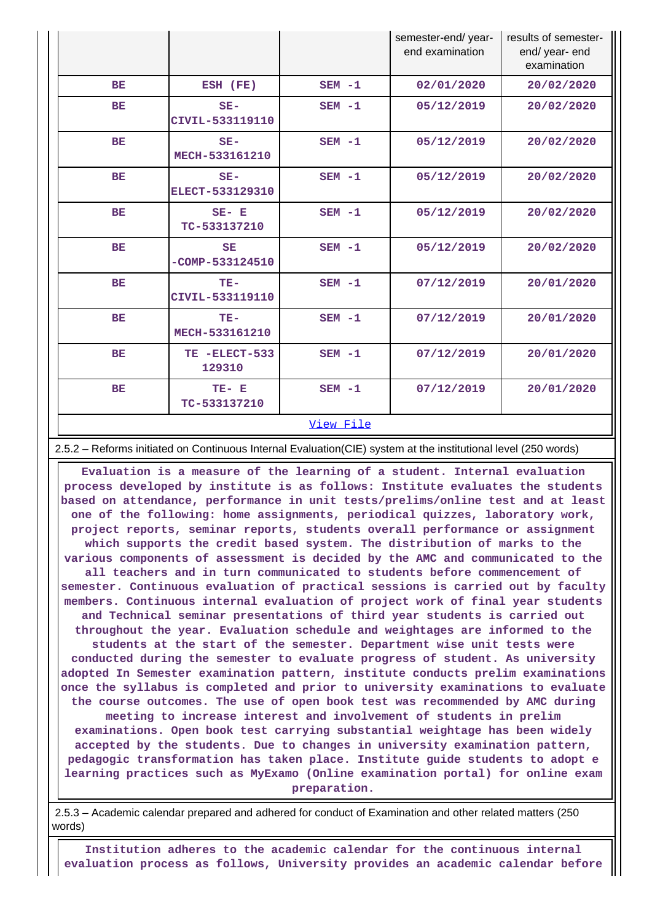|           |                                  |           | semester-end/year-<br>end examination | results of semester-<br>end/ year- end<br>examination |
|-----------|----------------------------------|-----------|---------------------------------------|-------------------------------------------------------|
| <b>BE</b> | ESH (FE)                         | $SEM - 1$ | 02/01/2020                            | 20/02/2020                                            |
| <b>BE</b> | $SE-$<br>CIVIL-533119110         | $SEM - 1$ | 05/12/2019                            | 20/02/2020                                            |
| <b>BE</b> | $SE-$<br>MECH-533161210          | $SEM - 1$ | 05/12/2019                            | 20/02/2020                                            |
| <b>BE</b> | $SE-$<br>ELECT-533129310         | $SEM - 1$ | 05/12/2019                            | 20/02/2020                                            |
| BE        | $SE- E$<br>TC-533137210          | $SEM - 1$ | 05/12/2019                            | 20/02/2020                                            |
| BE        | <b>SE</b><br>$-COMP - 533124510$ | $SEM - 1$ | 05/12/2019                            | 20/02/2020                                            |
| BE        | $TE-$<br>CIVIL-533119110         | $SEM - 1$ | 07/12/2019                            | 20/01/2020                                            |
| <b>BE</b> | $TE-$<br>MECH-533161210          | $SEM - 1$ | 07/12/2019                            | 20/01/2020                                            |
| <b>BE</b> | TE -ELECT-533<br>129310          | $SEM - 1$ | 07/12/2019                            | 20/01/2020                                            |
| <b>BE</b> | TE- E<br>TC-533137210            | $SEM - 1$ | 07/12/2019                            | 20/01/2020                                            |
|           |                                  | View File |                                       |                                                       |

2.5.2 – Reforms initiated on Continuous Internal Evaluation(CIE) system at the institutional level (250 words)

 **Evaluation is a measure of the learning of a student. Internal evaluation process developed by institute is as follows: Institute evaluates the students based on attendance, performance in unit tests/prelims/online test and at least one of the following: home assignments, periodical quizzes, laboratory work, project reports, seminar reports, students overall performance or assignment which supports the credit based system. The distribution of marks to the various components of assessment is decided by the AMC and communicated to the all teachers and in turn communicated to students before commencement of semester. Continuous evaluation of practical sessions is carried out by faculty members. Continuous internal evaluation of project work of final year students and Technical seminar presentations of third year students is carried out throughout the year. Evaluation schedule and weightages are informed to the students at the start of the semester. Department wise unit tests were conducted during the semester to evaluate progress of student. As university adopted In Semester examination pattern, institute conducts prelim examinations once the syllabus is completed and prior to university examinations to evaluate the course outcomes. The use of open book test was recommended by AMC during meeting to increase interest and involvement of students in prelim examinations. Open book test carrying substantial weightage has been widely accepted by the students. Due to changes in university examination pattern, pedagogic transformation has taken place. Institute guide students to adopt e learning practices such as MyExamo (Online examination portal) for online exam preparation.**

 2.5.3 – Academic calendar prepared and adhered for conduct of Examination and other related matters (250 words)

 **Institution adheres to the academic calendar for the continuous internal evaluation process as follows, University provides an academic calendar before**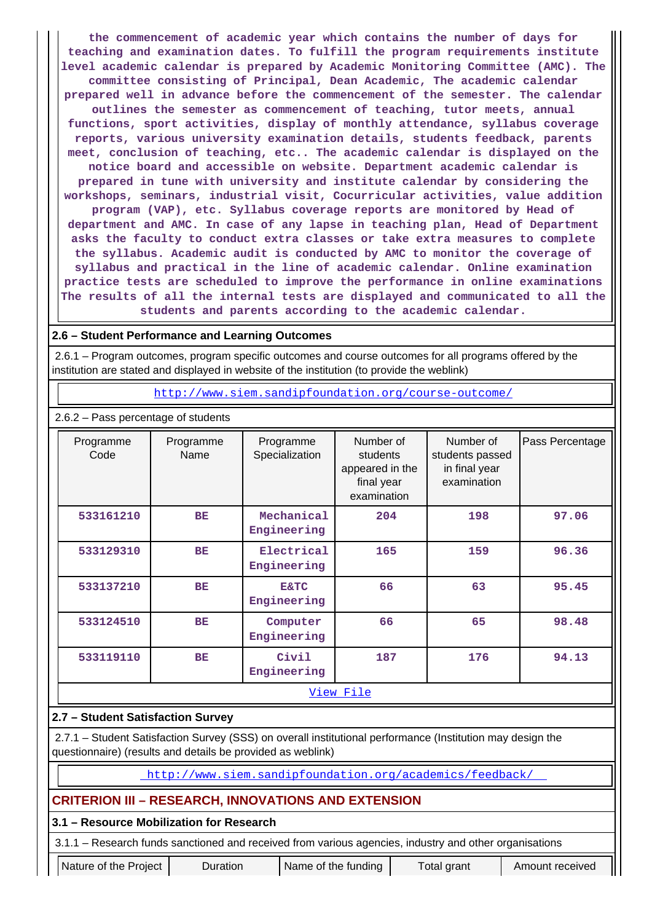**the commencement of academic year which contains the number of days for teaching and examination dates. To fulfill the program requirements institute level academic calendar is prepared by Academic Monitoring Committee (AMC). The committee consisting of Principal, Dean Academic, The academic calendar prepared well in advance before the commencement of the semester. The calendar outlines the semester as commencement of teaching, tutor meets, annual functions, sport activities, display of monthly attendance, syllabus coverage reports, various university examination details, students feedback, parents meet, conclusion of teaching, etc.. The academic calendar is displayed on the notice board and accessible on website. Department academic calendar is prepared in tune with university and institute calendar by considering the workshops, seminars, industrial visit, Cocurricular activities, value addition program (VAP), etc. Syllabus coverage reports are monitored by Head of department and AMC. In case of any lapse in teaching plan, Head of Department asks the faculty to conduct extra classes or take extra measures to complete the syllabus. Academic audit is conducted by AMC to monitor the coverage of syllabus and practical in the line of academic calendar. Online examination practice tests are scheduled to improve the performance in online examinations The results of all the internal tests are displayed and communicated to all the students and parents according to the academic calendar.**

## **2.6 – Student Performance and Learning Outcomes**

 2.6.1 – Program outcomes, program specific outcomes and course outcomes for all programs offered by the institution are stated and displayed in website of the institution (to provide the weblink)

<http://www.siem.sandipfoundation.org/course-outcome/>

| Programme<br>Code | Programme<br>Name | Programme<br>Specialization    | Number of<br>students<br>appeared in the<br>final year<br>examination | Number of<br>students passed<br>in final year<br>examination | Pass Percentage |  |  |  |
|-------------------|-------------------|--------------------------------|-----------------------------------------------------------------------|--------------------------------------------------------------|-----------------|--|--|--|
| 533161210         | BE                | Mechanical<br>Engineering      | 204                                                                   | 198                                                          | 97.06           |  |  |  |
| 533129310         | <b>BE</b>         | Electrical<br>Engineering      | 165                                                                   | 159                                                          | 96.36           |  |  |  |
| 533137210         | <b>BE</b>         | <b>E&amp;TC</b><br>Engineering | 66                                                                    | 63                                                           | 95.45           |  |  |  |
| 533124510         | <b>BE</b>         | Computer<br>Engineering        | 66                                                                    | 65                                                           | 98.48           |  |  |  |
| 533119110         | <b>BE</b>         | Civil<br>Engineering           | 187                                                                   | 176                                                          | 94.13           |  |  |  |
|                   | View File         |                                |                                                                       |                                                              |                 |  |  |  |

# **2.7 – Student Satisfaction Survey**

2.6.2 – Pass percentage of students

 2.7.1 – Student Satisfaction Survey (SSS) on overall institutional performance (Institution may design the questionnaire) (results and details be provided as weblink)

<http://www.siem.sandipfoundation.org/academics/feedback/>

## **CRITERION III – RESEARCH, INNOVATIONS AND EXTENSION**

## **3.1 – Resource Mobilization for Research**

3.1.1 – Research funds sanctioned and received from various agencies, industry and other organisations

Nature of the Project | Duration | Name of the funding | Total grant | Amount received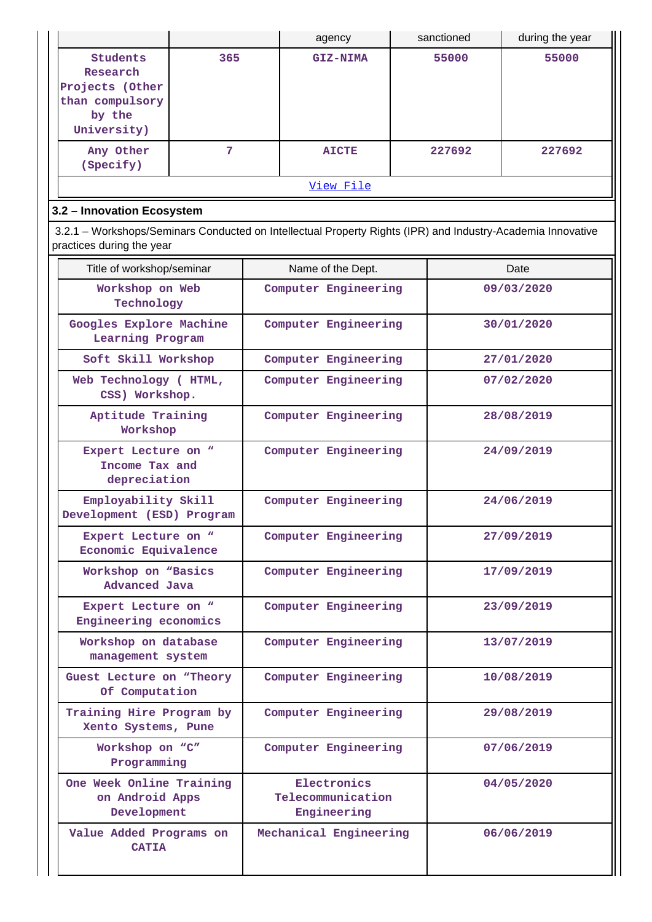|                                                                                                                                          |                                                       |                      | agency                                          |            | sanctioned | during the year |
|------------------------------------------------------------------------------------------------------------------------------------------|-------------------------------------------------------|----------------------|-------------------------------------------------|------------|------------|-----------------|
| <b>Students</b><br>Research<br>Projects (Other<br>than compulsory<br>by the<br>University)                                               | 365                                                   |                      | <b>GIZ-NIMA</b>                                 |            | 55000      | 55000           |
| Any Other<br>(Specify)                                                                                                                   | 7                                                     |                      | <b>AICTE</b>                                    |            | 227692     | 227692          |
|                                                                                                                                          |                                                       |                      | View File                                       |            |            |                 |
| 3.2 - Innovation Ecosystem                                                                                                               |                                                       |                      |                                                 |            |            |                 |
| 3.2.1 – Workshops/Seminars Conducted on Intellectual Property Rights (IPR) and Industry-Academia Innovative<br>practices during the year |                                                       |                      |                                                 |            |            |                 |
| Title of workshop/seminar                                                                                                                |                                                       |                      | Name of the Dept.                               |            |            | Date            |
| Workshop on Web<br>Technology                                                                                                            |                                                       |                      | Computer Engineering                            |            |            | 09/03/2020      |
| Googles Explore Machine<br>Learning Program                                                                                              |                                                       |                      | Computer Engineering                            |            |            | 30/01/2020      |
| Soft Skill Workshop                                                                                                                      |                                                       |                      | Computer Engineering                            |            |            | 27/01/2020      |
| Web Technology ( HTML,<br>CSS) Workshop.                                                                                                 | Computer Engineering                                  |                      |                                                 |            | 07/02/2020 |                 |
| Aptitude Training<br>Workshop                                                                                                            |                                                       |                      | Computer Engineering                            |            |            | 28/08/2019      |
|                                                                                                                                          | Expert Lecture on "<br>Income Tax and<br>depreciation |                      | Computer Engineering                            |            | 24/09/2019 |                 |
| Employability Skill<br>Development (ESD) Program                                                                                         |                                                       | Computer Engineering |                                                 | 24/06/2019 |            |                 |
| Expert Lecture on "<br>Economic Equivalence                                                                                              |                                                       | Computer Engineering |                                                 | 27/09/2019 |            |                 |
| Workshop on "Basics<br>Advanced Java                                                                                                     |                                                       | Computer Engineering |                                                 |            | 17/09/2019 |                 |
| Expert Lecture on "<br>Engineering economics                                                                                             |                                                       |                      | Computer Engineering                            |            |            | 23/09/2019      |
| Workshop on database<br>management system                                                                                                |                                                       |                      | Computer Engineering                            |            |            | 13/07/2019      |
| Guest Lecture on "Theory<br>Of Computation                                                                                               |                                                       |                      | Computer Engineering                            |            |            | 10/08/2019      |
| Training Hire Program by<br>Xento Systems, Pune                                                                                          |                                                       |                      | Computer Engineering                            |            |            | 29/08/2019      |
| Workshop on "C"<br>Programming                                                                                                           |                                                       |                      | Computer Engineering                            |            |            | 07/06/2019      |
| One Week Online Training<br>on Android Apps<br>Development                                                                               |                                                       |                      | Electronics<br>Telecommunication<br>Engineering |            | 04/05/2020 |                 |
| Value Added Programs on<br><b>CATIA</b>                                                                                                  |                                                       |                      | Mechanical Engineering                          |            |            | 06/06/2019      |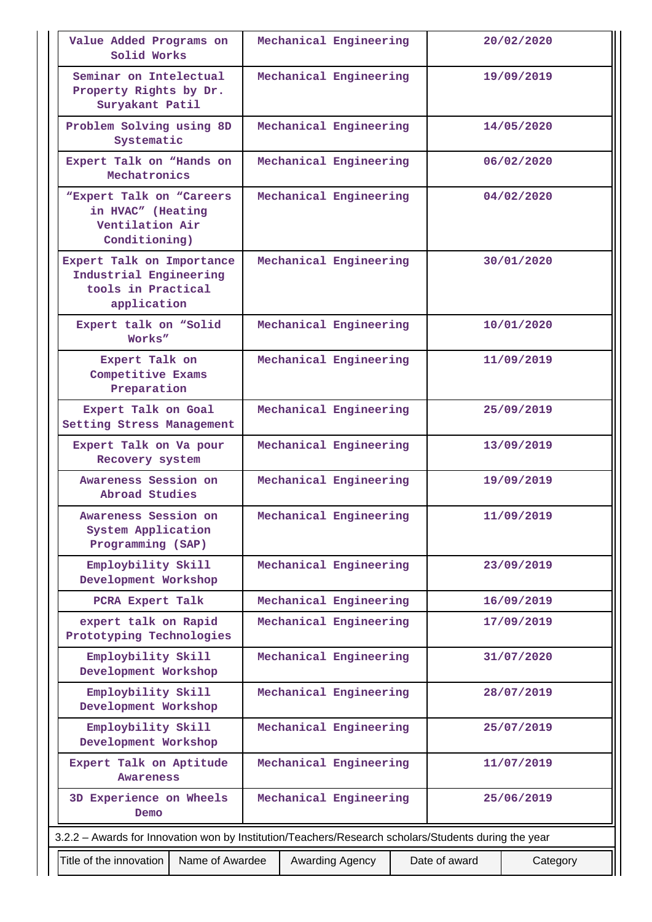| Value Added Programs on<br>Solid Works                                                               |  | Mechanical Engineering |               | 20/02/2020 |
|------------------------------------------------------------------------------------------------------|--|------------------------|---------------|------------|
| Seminar on Intelectual<br>Property Rights by Dr.<br>Suryakant Patil                                  |  | Mechanical Engineering |               | 19/09/2019 |
| Problem Solving using 8D<br>Systematic                                                               |  | Mechanical Engineering |               | 14/05/2020 |
| Expert Talk on "Hands on<br>Mechatronics                                                             |  | Mechanical Engineering |               | 06/02/2020 |
| "Expert Talk on "Careers"<br>in HVAC" (Heating<br>Ventilation Air<br>Conditioning)                   |  | Mechanical Engineering |               | 04/02/2020 |
| Expert Talk on Importance<br>Industrial Engineering<br>tools in Practical<br>application             |  | Mechanical Engineering |               | 30/01/2020 |
| Expert talk on "Solid<br>Works"                                                                      |  | Mechanical Engineering |               | 10/01/2020 |
| Expert Talk on<br>Competitive Exams<br>Preparation                                                   |  | Mechanical Engineering |               | 11/09/2019 |
| Expert Talk on Goal<br>Setting Stress Management                                                     |  | Mechanical Engineering |               | 25/09/2019 |
| Expert Talk on Va pour<br>Recovery system                                                            |  | Mechanical Engineering |               | 13/09/2019 |
| Awareness Session on<br>Abroad Studies                                                               |  | Mechanical Engineering |               | 19/09/2019 |
| Awareness Session on<br>System Application<br>Programming (SAP)                                      |  | Mechanical Engineering |               | 11/09/2019 |
| Employbility Skill<br>Development Workshop                                                           |  | Mechanical Engineering |               | 23/09/2019 |
| PCRA Expert Talk                                                                                     |  | Mechanical Engineering |               | 16/09/2019 |
| expert talk on Rapid<br>Prototyping Technologies                                                     |  | Mechanical Engineering |               | 17/09/2019 |
| Employbility Skill<br>Development Workshop                                                           |  | Mechanical Engineering |               | 31/07/2020 |
| Employbility Skill<br>Development Workshop                                                           |  | Mechanical Engineering |               | 28/07/2019 |
| Employbility Skill<br>Development Workshop                                                           |  | Mechanical Engineering |               | 25/07/2019 |
| Expert Talk on Aptitude<br><b>Awareness</b>                                                          |  | Mechanical Engineering | 11/07/2019    |            |
| 3D Experience on Wheels<br>Demo                                                                      |  | Mechanical Engineering |               | 25/06/2019 |
| 3.2.2 - Awards for Innovation won by Institution/Teachers/Research scholars/Students during the year |  |                        |               |            |
| Title of the innovation<br>Name of Awardee                                                           |  | Awarding Agency        | Date of award | Category   |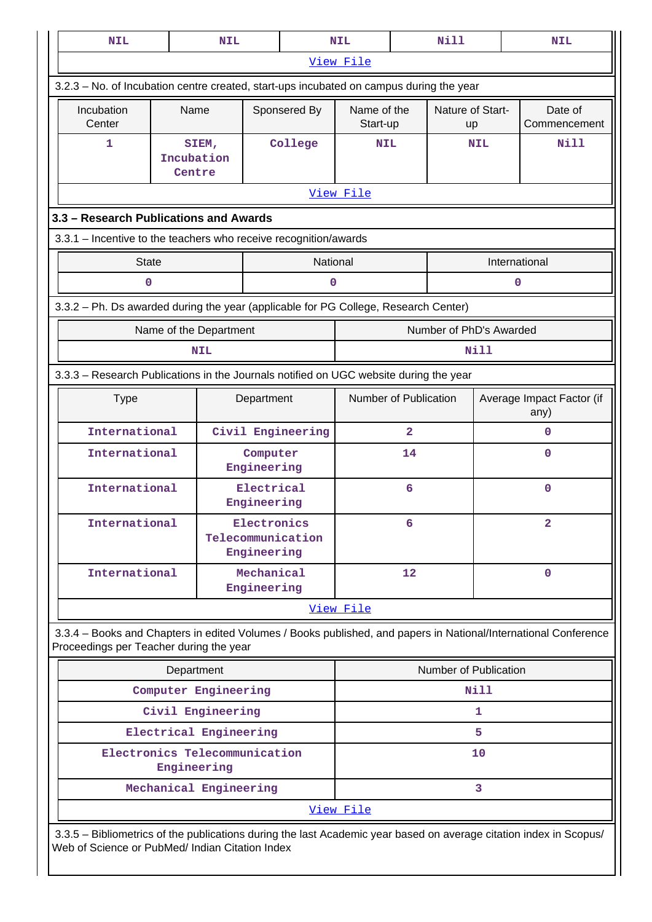| <b>NIL</b>                                                                                                                                                            |                                                                                         | <b>NIL</b> |                            |                       | <b>NIL</b>              |                | Nill                          |                                   | <b>NIL</b>              |
|-----------------------------------------------------------------------------------------------------------------------------------------------------------------------|-----------------------------------------------------------------------------------------|------------|----------------------------|-----------------------|-------------------------|----------------|-------------------------------|-----------------------------------|-------------------------|
|                                                                                                                                                                       |                                                                                         |            |                            |                       | View File               |                |                               |                                   |                         |
|                                                                                                                                                                       | 3.2.3 - No. of Incubation centre created, start-ups incubated on campus during the year |            |                            |                       |                         |                |                               |                                   |                         |
| Incubation<br>Center                                                                                                                                                  | Name                                                                                    |            |                            | Sponsered By          | Name of the<br>Start-up |                | Nature of Start-<br><b>up</b> |                                   | Date of<br>Commencement |
| 1                                                                                                                                                                     | Incubation<br>Centre                                                                    | SIEM,      |                            | College               | <b>NIL</b>              |                | NIL                           |                                   | <b>Nill</b>             |
|                                                                                                                                                                       |                                                                                         |            |                            |                       | View File               |                |                               |                                   |                         |
|                                                                                                                                                                       | 3.3 - Research Publications and Awards                                                  |            |                            |                       |                         |                |                               |                                   |                         |
| 3.3.1 - Incentive to the teachers who receive recognition/awards                                                                                                      |                                                                                         |            |                            |                       |                         |                |                               |                                   |                         |
| <b>State</b>                                                                                                                                                          |                                                                                         |            |                            | National              |                         |                |                               | International                     |                         |
| 0                                                                                                                                                                     |                                                                                         |            |                            | 0                     |                         |                |                               | $\mathbf 0$                       |                         |
| 3.3.2 - Ph. Ds awarded during the year (applicable for PG College, Research Center)                                                                                   |                                                                                         |            |                            |                       |                         |                |                               |                                   |                         |
|                                                                                                                                                                       | Name of the Department                                                                  |            |                            |                       |                         |                | Number of PhD's Awarded       |                                   |                         |
|                                                                                                                                                                       |                                                                                         | <b>NIL</b> |                            |                       |                         |                | Nill                          |                                   |                         |
| 3.3.3 - Research Publications in the Journals notified on UGC website during the year                                                                                 |                                                                                         |            |                            |                       |                         |                |                               |                                   |                         |
| <b>Type</b>                                                                                                                                                           | Department                                                                              |            |                            | Number of Publication |                         |                |                               | Average Impact Factor (if<br>any) |                         |
|                                                                                                                                                                       | International<br>Civil Engineering                                                      |            |                            |                       |                         | $\overline{2}$ |                               |                                   | $\Omega$                |
|                                                                                                                                                                       | International<br>Computer<br>Engineering                                                |            |                            |                       |                         | 14             |                               |                                   | $\mathbf 0$             |
| International                                                                                                                                                         |                                                                                         |            | Electrical<br>Engineering  |                       | 6                       |                |                               |                                   | $\mathbf 0$             |
| International                                                                                                                                                         |                                                                                         |            | Electronics<br>Engineering | Telecommunication     | 6                       |                |                               |                                   | $\mathbf{2}$            |
|                                                                                                                                                                       | International<br>Mechanical<br>Engineering                                              |            |                            |                       | 12                      |                |                               | $\mathbf 0$                       |                         |
|                                                                                                                                                                       |                                                                                         |            |                            |                       | View File               |                |                               |                                   |                         |
| 3.3.4 - Books and Chapters in edited Volumes / Books published, and papers in National/International Conference<br>Proceedings per Teacher during the year            |                                                                                         |            |                            |                       |                         |                |                               |                                   |                         |
|                                                                                                                                                                       | Department                                                                              |            |                            |                       |                         |                | Number of Publication         |                                   |                         |
|                                                                                                                                                                       | Computer Engineering                                                                    |            |                            |                       |                         |                | Nill                          |                                   |                         |
|                                                                                                                                                                       | Civil Engineering                                                                       |            |                            |                       |                         | 1              |                               |                                   |                         |
|                                                                                                                                                                       | Electrical Engineering                                                                  |            |                            |                       | 5                       |                |                               |                                   |                         |
| Electronics Telecommunication                                                                                                                                         | Engineering                                                                             |            |                            |                       | 10                      |                |                               |                                   |                         |
|                                                                                                                                                                       | Mechanical Engineering                                                                  |            |                            |                       |                         |                | 3                             |                                   |                         |
|                                                                                                                                                                       |                                                                                         |            |                            |                       | View File               |                |                               |                                   |                         |
| 3.3.5 - Bibliometrics of the publications during the last Academic year based on average citation index in Scopus/<br>Web of Science or PubMed/ Indian Citation Index |                                                                                         |            |                            |                       |                         |                |                               |                                   |                         |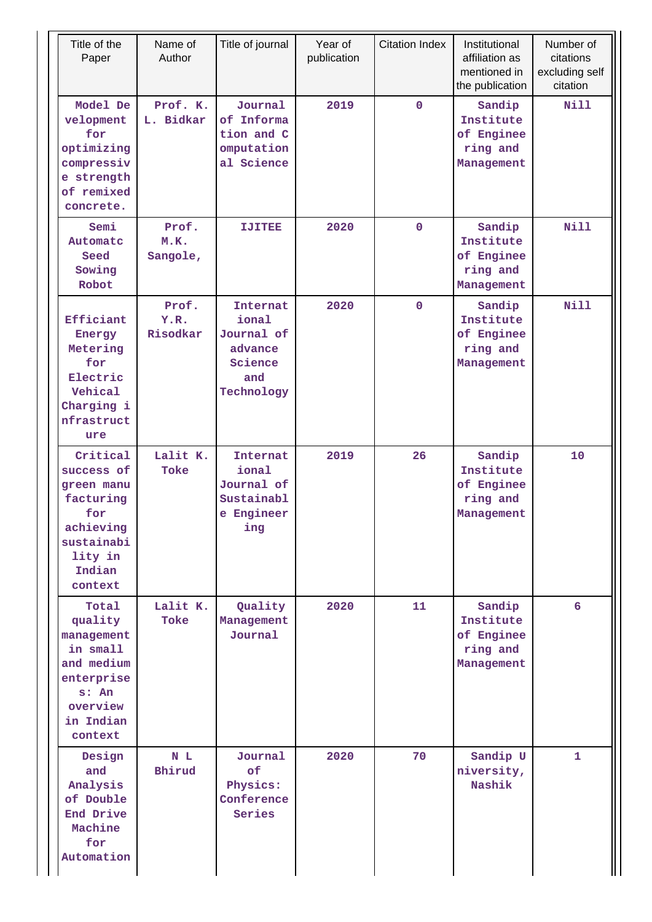| Title of the<br>Paper                                                                                               | Name of<br>Author         | Title of journal                                                                  | Year of<br>publication | <b>Citation Index</b> | Institutional<br>affiliation as<br>mentioned in<br>the publication | Number of<br>citations<br>excluding self<br>citation |
|---------------------------------------------------------------------------------------------------------------------|---------------------------|-----------------------------------------------------------------------------------|------------------------|-----------------------|--------------------------------------------------------------------|------------------------------------------------------|
| Model De<br>velopment<br>for<br>optimizing<br>compressiv<br>e strength<br>of remixed<br>concrete.                   | Prof. K.<br>L. Bidkar     | Journal<br>of Informa<br>tion and C<br>omputation<br>al Science                   | 2019                   | $\mathbf 0$           | Sandip<br>Institute<br>of Enginee<br>ring and<br>Management        | <b>Nill</b>                                          |
| Semi<br>Automatc<br>Seed<br>Sowing<br>Robot                                                                         | Prof.<br>M.K.<br>Sangole, | IJIHBB                                                                            | 2020                   | $\mathbf 0$           | Sandip<br>Institute<br>of Enginee<br>ring and<br>Management        | <b>Nill</b>                                          |
| Efficiant<br>Energy<br>Metering<br>for<br>Electric<br>Vehical<br>Charging i<br>nfrastruct<br>ure                    | Prof.<br>Y.R.<br>Risodkar | <b>Internat</b><br>ional<br>Journal of<br>advance<br>Science<br>and<br>Technology | 2020                   | $\mathbf 0$           | Sandip<br>Institute<br>of Enginee<br>ring and<br>Management        | Nill                                                 |
| Critical<br>success of<br>green manu<br>facturing<br>for<br>achieving<br>sustainabi<br>lity in<br>Indian<br>context | Lalit K.<br>Toke          | <b>Internat</b><br>ional<br>Journal of<br>Sustainabl<br>e Engineer<br>ing         | 2019                   | 26                    | Sandip<br>Institute<br>of Enginee<br>ring and<br>Management        | 10                                                   |
| Total<br>quality<br>management<br>in small<br>and medium<br>enterprise<br>s: An<br>overview<br>in Indian<br>context | Lalit K.<br>Toke          | Quality<br>Management<br>Journal                                                  | 2020                   | 11                    | Sandip<br>Institute<br>of Enginee<br>ring and<br>Management        | 6                                                    |
| Design<br>and<br>Analysis<br>of Double<br>End Drive<br>Machine<br>for<br>Automation                                 | N L<br>Bhirud             | Journal<br>of<br>Physics:<br>Conference<br>Series                                 | 2020                   | 70                    | Sandip U<br>niversity,<br>Nashik                                   | $\mathbf{1}$                                         |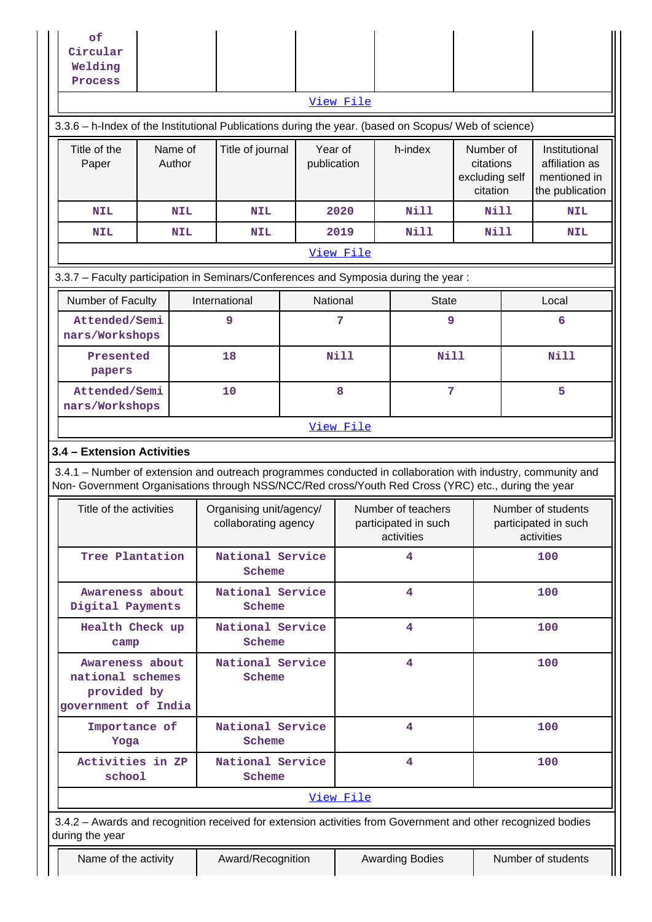| Welding<br>Process                                                                                                                                                                                                                                                                                                                                                   |                   |  |                            |                            |           |                      |                                                      |                                                                    |
|----------------------------------------------------------------------------------------------------------------------------------------------------------------------------------------------------------------------------------------------------------------------------------------------------------------------------------------------------------------------|-------------------|--|----------------------------|----------------------------|-----------|----------------------|------------------------------------------------------|--------------------------------------------------------------------|
|                                                                                                                                                                                                                                                                                                                                                                      |                   |  |                            |                            | View File |                      |                                                      |                                                                    |
| 3.3.6 - h-Index of the Institutional Publications during the year. (based on Scopus/ Web of science)<br>Title of the<br>Paper                                                                                                                                                                                                                                        | Name of<br>Author |  | Title of journal           | Year of<br>publication     |           | h-index              | Number of<br>citations<br>excluding self<br>citation | Institutional<br>affiliation as<br>mentioned in<br>the publication |
| <b>NIL</b>                                                                                                                                                                                                                                                                                                                                                           | NIL               |  | <b>NIL</b>                 |                            | 2020      | <b>Nill</b>          | <b>Nill</b>                                          | <b>NIL</b>                                                         |
| <b>NIL</b>                                                                                                                                                                                                                                                                                                                                                           | NIL               |  | <b>NIL</b>                 |                            | 2019      | Nill                 | Nill                                                 | <b>NIL</b>                                                         |
|                                                                                                                                                                                                                                                                                                                                                                      |                   |  |                            |                            | View File |                      |                                                      |                                                                    |
| 3.3.7 - Faculty participation in Seminars/Conferences and Symposia during the year:                                                                                                                                                                                                                                                                                  |                   |  |                            |                            |           |                      |                                                      |                                                                    |
| Number of Faculty                                                                                                                                                                                                                                                                                                                                                    |                   |  | International              | National                   |           | <b>State</b>         |                                                      | Local                                                              |
| Attended/Semi<br>nars/Workshops                                                                                                                                                                                                                                                                                                                                      |                   |  | 9                          |                            | 7         | 9                    |                                                      | 6                                                                  |
| Presented<br>papers                                                                                                                                                                                                                                                                                                                                                  |                   |  | 18                         | <b>Nill</b><br><b>Nill</b> |           |                      | Nill                                                 |                                                                    |
| Attended/Semi<br>nars/Workshops                                                                                                                                                                                                                                                                                                                                      |                   |  | 10                         |                            | 8         | 7                    |                                                      | 5                                                                  |
| 3.4.1 - Number of extension and outreach programmes conducted in collaboration with industry, community and<br>Non- Government Organisations through NSS/NCC/Red cross/Youth Red Cross (YRC) etc., during the year<br>Title of the activities<br>Number of teachers<br>Number of students<br>Organising unit/agency/<br>collaborating agency<br>participated in such |                   |  |                            |                            |           |                      |                                                      |                                                                    |
| Tree Plantation                                                                                                                                                                                                                                                                                                                                                      |                   |  |                            |                            |           | participated in such |                                                      |                                                                    |
|                                                                                                                                                                                                                                                                                                                                                                      |                   |  | National Service<br>Scheme |                            |           | activities<br>4      |                                                      | activities<br>100                                                  |
| Awareness about<br>Digital Payments                                                                                                                                                                                                                                                                                                                                  |                   |  | National Service<br>Scheme |                            |           | $\overline{4}$       |                                                      | 100                                                                |
| Health Check up<br>camp                                                                                                                                                                                                                                                                                                                                              |                   |  | National Service<br>Scheme |                            |           | 4                    |                                                      | 100                                                                |
| Awareness about<br>national schemes<br>provided by<br>government of India                                                                                                                                                                                                                                                                                            |                   |  | National Service<br>Scheme |                            |           | 4                    |                                                      | 100                                                                |
| Importance of<br>Yoga                                                                                                                                                                                                                                                                                                                                                |                   |  | National Service<br>Scheme |                            |           | 4                    |                                                      | 100                                                                |
| Activities in ZP<br>school                                                                                                                                                                                                                                                                                                                                           |                   |  | National Service<br>Scheme |                            |           | 4                    |                                                      | 100                                                                |
|                                                                                                                                                                                                                                                                                                                                                                      |                   |  |                            |                            | View File |                      |                                                      |                                                                    |
| 3.4.2 - Awards and recognition received for extension activities from Government and other recognized bodies<br>during the year                                                                                                                                                                                                                                      |                   |  |                            |                            |           |                      |                                                      |                                                                    |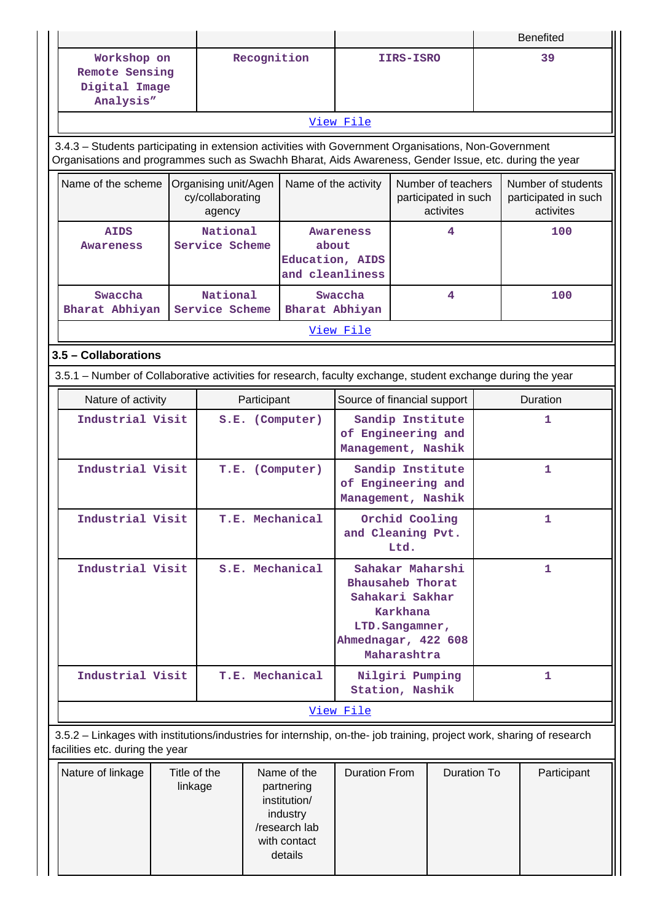|                                                                                                                                                                                                                |                                            |                            |                                        |                           |                                                         |           | <b>Benefited</b>   |   |                                   |  |
|----------------------------------------------------------------------------------------------------------------------------------------------------------------------------------------------------------------|--------------------------------------------|----------------------------|----------------------------------------|---------------------------|---------------------------------------------------------|-----------|--------------------|---|-----------------------------------|--|
| Workshop on                                                                                                                                                                                                    |                                            |                            | Recognition                            |                           |                                                         | IIRS-ISRO |                    |   | 39                                |  |
| Remote Sensing                                                                                                                                                                                                 |                                            |                            |                                        |                           |                                                         |           |                    |   |                                   |  |
| Digital Image                                                                                                                                                                                                  |                                            |                            |                                        |                           |                                                         |           |                    |   |                                   |  |
| Analysis"                                                                                                                                                                                                      |                                            |                            |                                        |                           |                                                         |           |                    |   |                                   |  |
|                                                                                                                                                                                                                |                                            |                            |                                        |                           | View File                                               |           |                    |   |                                   |  |
| 3.4.3 - Students participating in extension activities with Government Organisations, Non-Government<br>Organisations and programmes such as Swachh Bharat, Aids Awareness, Gender Issue, etc. during the year |                                            |                            |                                        |                           |                                                         |           |                    |   |                                   |  |
| Name of the scheme                                                                                                                                                                                             |                                            | Organising unit/Agen       |                                        | Name of the activity      |                                                         |           |                    |   | Number of students                |  |
|                                                                                                                                                                                                                |                                            | cy/collaborating<br>agency |                                        |                           | Number of teachers<br>participated in such<br>activites |           |                    |   | participated in such<br>activites |  |
| <b>AIDS</b>                                                                                                                                                                                                    |                                            | National                   |                                        |                           | <b>Awareness</b>                                        |           | 4                  |   | 100                               |  |
| <b>Awareness</b>                                                                                                                                                                                               |                                            | Service Scheme             |                                        | about                     |                                                         |           |                    |   |                                   |  |
|                                                                                                                                                                                                                |                                            |                            |                                        | Education, AIDS           |                                                         |           |                    |   |                                   |  |
|                                                                                                                                                                                                                |                                            |                            |                                        | and cleanliness           |                                                         |           |                    |   |                                   |  |
| Swaccha<br>Bharat Abhiyan                                                                                                                                                                                      |                                            | National<br>Service Scheme |                                        | Bharat Abhiyan            | Swaccha                                                 |           | 4                  |   | 100                               |  |
|                                                                                                                                                                                                                |                                            |                            |                                        |                           | View File                                               |           |                    |   |                                   |  |
|                                                                                                                                                                                                                |                                            |                            |                                        |                           |                                                         |           |                    |   |                                   |  |
| 3.5 - Collaborations                                                                                                                                                                                           |                                            |                            |                                        |                           |                                                         |           |                    |   |                                   |  |
| 3.5.1 – Number of Collaborative activities for research, faculty exchange, student exchange during the year                                                                                                    |                                            |                            |                                        |                           |                                                         |           |                    |   |                                   |  |
| Nature of activity                                                                                                                                                                                             | Source of financial support<br>Participant |                            |                                        |                           |                                                         | Duration  |                    |   |                                   |  |
| Industrial Visit                                                                                                                                                                                               |                                            |                            |                                        | S.E. (Computer)           |                                                         |           | Sandip Institute   |   | 1                                 |  |
|                                                                                                                                                                                                                |                                            |                            |                                        | of Engineering and        |                                                         |           |                    |   |                                   |  |
|                                                                                                                                                                                                                |                                            |                            |                                        | Management, Nashik        |                                                         |           |                    |   |                                   |  |
| Industrial Visit<br>T.E. (Computer)                                                                                                                                                                            |                                            |                            | Sandip Institute<br>of Engineering and |                           |                                                         |           | 1                  |   |                                   |  |
|                                                                                                                                                                                                                |                                            |                            | Management, Nashik                     |                           |                                                         |           |                    |   |                                   |  |
| Industrial Visit                                                                                                                                                                                               |                                            |                            |                                        | T.E. Mechanical           | Orchid Cooling                                          |           |                    | 1 |                                   |  |
|                                                                                                                                                                                                                |                                            |                            |                                        |                           | and Cleaning Pvt.                                       |           |                    |   |                                   |  |
|                                                                                                                                                                                                                |                                            |                            |                                        |                           |                                                         | Ltd.      |                    |   |                                   |  |
| Industrial Visit                                                                                                                                                                                               |                                            |                            |                                        | S.E. Mechanical           |                                                         |           | Sahakar Maharshi   |   | 1                                 |  |
|                                                                                                                                                                                                                |                                            |                            |                                        |                           | <b>Bhausaheb Thorat</b>                                 |           |                    |   |                                   |  |
|                                                                                                                                                                                                                |                                            |                            |                                        |                           | Sahakari Sakhar                                         | Karkhana  |                    |   |                                   |  |
|                                                                                                                                                                                                                |                                            |                            |                                        |                           |                                                         |           |                    |   |                                   |  |
|                                                                                                                                                                                                                |                                            |                            |                                        |                           | LTD. Sangamner,<br>Ahmednagar, 422 608                  |           |                    |   |                                   |  |
|                                                                                                                                                                                                                | Maharashtra                                |                            |                                        |                           |                                                         |           |                    |   |                                   |  |
| Industrial Visit                                                                                                                                                                                               |                                            |                            |                                        | T.E. Mechanical           | Nilgiri Pumping                                         |           |                    | 1 |                                   |  |
|                                                                                                                                                                                                                |                                            |                            | Station, Nashik                        |                           |                                                         |           |                    |   |                                   |  |
|                                                                                                                                                                                                                |                                            |                            |                                        |                           | View File                                               |           |                    |   |                                   |  |
| 3.5.2 - Linkages with institutions/industries for internship, on-the- job training, project work, sharing of research<br>facilities etc. during the year                                                       |                                            |                            |                                        |                           |                                                         |           |                    |   |                                   |  |
| Nature of linkage                                                                                                                                                                                              | Title of the                               |                            |                                        | Name of the               | <b>Duration From</b>                                    |           | <b>Duration To</b> |   | Participant                       |  |
|                                                                                                                                                                                                                | linkage                                    |                            |                                        | partnering                |                                                         |           |                    |   |                                   |  |
|                                                                                                                                                                                                                |                                            |                            |                                        | institution/              |                                                         |           |                    |   |                                   |  |
|                                                                                                                                                                                                                |                                            |                            |                                        | industry<br>/research lab |                                                         |           |                    |   |                                   |  |
|                                                                                                                                                                                                                |                                            |                            |                                        | with contact              |                                                         |           |                    |   |                                   |  |
|                                                                                                                                                                                                                |                                            |                            |                                        | details                   |                                                         |           |                    |   |                                   |  |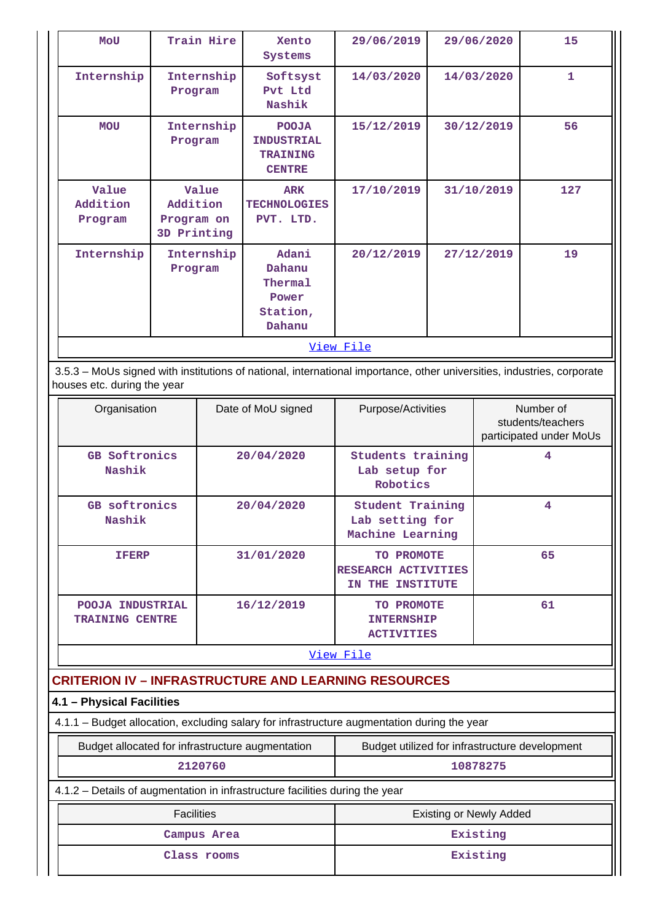| $\mathbf{1}$<br>Internship<br>Internship<br>14/03/2020<br>14/03/2020<br>Softsyst<br>Pvt Ltd<br>Program<br>Nashik<br>56<br>Internship<br>15/12/2019<br>30/12/2019<br><b>MOU</b><br><b>POOJA</b><br><b>INDUSTRIAL</b><br>Program<br><b>TRAINING</b><br><b>CENTRE</b><br>127<br>Value<br>Value<br>31/10/2019<br>17/10/2019<br><b>ARK</b><br>Addition<br>Addition<br><b>TECHNOLOGIES</b><br>PVT. LTD.<br>Program on<br>Program<br>3D Printing<br>Adani<br>19<br>Internship<br>Internship<br>20/12/2019<br>27/12/2019<br>Dahanu<br>Program<br>Thermal<br>Power<br>Station, | <b>MOU</b> | Train Hire | Xento<br>Systems | 29/06/2019 | 29/06/2020 | 15 |
|-----------------------------------------------------------------------------------------------------------------------------------------------------------------------------------------------------------------------------------------------------------------------------------------------------------------------------------------------------------------------------------------------------------------------------------------------------------------------------------------------------------------------------------------------------------------------|------------|------------|------------------|------------|------------|----|
|                                                                                                                                                                                                                                                                                                                                                                                                                                                                                                                                                                       |            |            |                  |            |            |    |
|                                                                                                                                                                                                                                                                                                                                                                                                                                                                                                                                                                       |            |            |                  |            |            |    |
|                                                                                                                                                                                                                                                                                                                                                                                                                                                                                                                                                                       |            |            |                  |            |            |    |
| Dahanu                                                                                                                                                                                                                                                                                                                                                                                                                                                                                                                                                                |            |            |                  |            |            |    |
| View File                                                                                                                                                                                                                                                                                                                                                                                                                                                                                                                                                             |            |            |                  |            |            |    |

 3.5.3 – MoUs signed with institutions of national, international importance, other universities, industries, corporate houses etc. during the year

| Organisation                               | Date of MoU signed | Purpose/Activities                                             | Number of<br>students/teachers<br>participated under MoUs |  |  |  |  |
|--------------------------------------------|--------------------|----------------------------------------------------------------|-----------------------------------------------------------|--|--|--|--|
| <b>GB Softronics</b><br>Nashik             | 20/04/2020         | <b>Students training</b><br>Lab setup for<br>Robotics          | 4                                                         |  |  |  |  |
| <b>GB</b> softronics<br>Nashik             | 20/04/2020         | <b>Student Training</b><br>Lab setting for<br>Machine Learning | 4                                                         |  |  |  |  |
| <b>IFERP</b>                               | 31/01/2020         | TO PROMOTE<br>RESEARCH ACTIVITIES<br>THE INSTITUTE<br>IN       | 65                                                        |  |  |  |  |
| POOJA INDUSTRIAL<br><b>TRAINING CENTRE</b> | 16/12/2019         | TO PROMOTE<br><b>INTERNSHIP</b><br><b>ACTIVITIES</b>           | 61                                                        |  |  |  |  |
| View File                                  |                    |                                                                |                                                           |  |  |  |  |

# **CRITERION IV – INFRASTRUCTURE AND LEARNING RESOURCES**

## **4.1 – Physical Facilities**

4.1.1 – Budget allocation, excluding salary for infrastructure augmentation during the year

| Budget allocated for infrastructure augmentation | Budget utilized for infrastructure development |
|--------------------------------------------------|------------------------------------------------|
| 2120760                                          | 10878275                                       |

## 4.1.2 – Details of augmentation in infrastructure facilities during the year

| <b>Facilities</b> | <b>Existing or Newly Added</b> |
|-------------------|--------------------------------|
| Campus Area       | Existing                       |
| Class rooms       | Existing                       |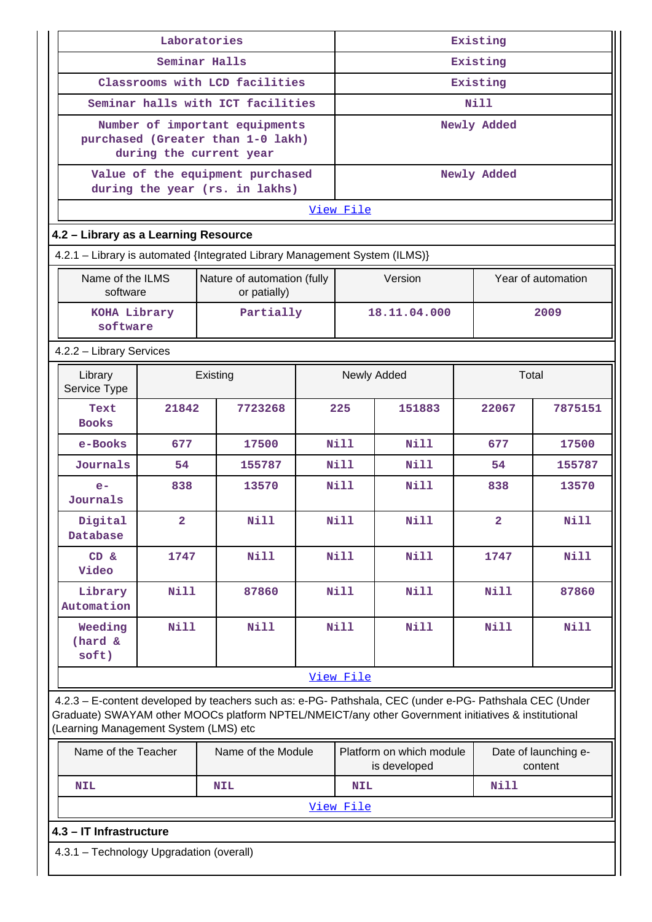| Laboratories                                                                                                                                                                                                                                            |                |                                                                            | Existing |                                                                             |              |                |                    |
|---------------------------------------------------------------------------------------------------------------------------------------------------------------------------------------------------------------------------------------------------------|----------------|----------------------------------------------------------------------------|----------|-----------------------------------------------------------------------------|--------------|----------------|--------------------|
|                                                                                                                                                                                                                                                         |                | Seminar Halls                                                              |          | Existing                                                                    |              |                |                    |
|                                                                                                                                                                                                                                                         |                | Classrooms with LCD facilities                                             |          | Existing                                                                    |              |                |                    |
|                                                                                                                                                                                                                                                         |                | Seminar halls with ICT facilities                                          |          | Nill                                                                        |              |                |                    |
|                                                                                                                                                                                                                                                         |                | Number of important equipments                                             |          |                                                                             |              | Newly Added    |                    |
|                                                                                                                                                                                                                                                         |                | purchased (Greater than 1-0 lakh)<br>during the current year               |          |                                                                             |              |                |                    |
|                                                                                                                                                                                                                                                         |                | Value of the equipment purchased<br>during the year (rs. in lakhs)         |          |                                                                             |              | Newly Added    |                    |
|                                                                                                                                                                                                                                                         |                |                                                                            |          | View File                                                                   |              |                |                    |
| 4.2 - Library as a Learning Resource                                                                                                                                                                                                                    |                |                                                                            |          |                                                                             |              |                |                    |
|                                                                                                                                                                                                                                                         |                | 4.2.1 - Library is automated {Integrated Library Management System (ILMS)} |          |                                                                             |              |                |                    |
| Name of the ILMS<br>software                                                                                                                                                                                                                            |                | Nature of automation (fully<br>or patially)                                |          |                                                                             | Version      |                | Year of automation |
| KOHA Library<br>software                                                                                                                                                                                                                                |                | Partially                                                                  |          |                                                                             | 18.11.04.000 |                | 2009               |
| 4.2.2 - Library Services                                                                                                                                                                                                                                |                |                                                                            |          |                                                                             |              |                |                    |
| Library<br>Existing<br>Service Type                                                                                                                                                                                                                     |                |                                                                            |          |                                                                             | Newly Added  |                | Total              |
| Text<br><b>Books</b>                                                                                                                                                                                                                                    | 21842          | 7723268                                                                    |          | 225                                                                         | 151883       | 22067          | 7875151            |
| e-Books                                                                                                                                                                                                                                                 | 677            | 17500                                                                      |          | Nill                                                                        | <b>Nill</b>  | 677            | 17500              |
| Journals                                                                                                                                                                                                                                                | 54             | 155787                                                                     |          | <b>Nill</b>                                                                 | Nill         | 54             | 155787             |
| $e-$<br>Journals                                                                                                                                                                                                                                        | 838            | 13570                                                                      |          | <b>Nill</b>                                                                 | <b>Nill</b>  | 838            | 13570              |
| Digital<br>Database                                                                                                                                                                                                                                     | $\overline{a}$ | Nill                                                                       |          | <b>Nill</b>                                                                 | Nill         | $\overline{2}$ | Nill               |
| CD &<br>Video                                                                                                                                                                                                                                           | 1747           | <b>Nill</b>                                                                |          | Nill                                                                        | Nill         | 1747           | <b>Nill</b>        |
| Library<br>Automation                                                                                                                                                                                                                                   | <b>Nill</b>    | 87860                                                                      |          | Nill                                                                        | Nill         | Nill           | 87860              |
| Weeding<br>(hard &<br>soft)                                                                                                                                                                                                                             | <b>Nill</b>    | <b>Nill</b>                                                                |          | Nill                                                                        | Nill         | Nill           | <b>Nill</b>        |
|                                                                                                                                                                                                                                                         |                |                                                                            |          | View File                                                                   |              |                |                    |
| 4.2.3 - E-content developed by teachers such as: e-PG- Pathshala, CEC (under e-PG- Pathshala CEC (Under<br>Graduate) SWAYAM other MOOCs platform NPTEL/NMEICT/any other Government initiatives & institutional<br>(Learning Management System (LMS) etc |                |                                                                            |          |                                                                             |              |                |                    |
| Name of the Teacher                                                                                                                                                                                                                                     |                | Name of the Module                                                         |          | Platform on which module<br>Date of launching e-<br>is developed<br>content |              |                |                    |
| <b>Nill</b><br><b>NIL</b><br>NIL<br><b>NIL</b>                                                                                                                                                                                                          |                |                                                                            |          |                                                                             |              |                |                    |
| View File                                                                                                                                                                                                                                               |                |                                                                            |          |                                                                             |              |                |                    |
| 4.3 - IT Infrastructure                                                                                                                                                                                                                                 |                |                                                                            |          |                                                                             |              |                |                    |
| 4.3.1 - Technology Upgradation (overall)                                                                                                                                                                                                                |                |                                                                            |          |                                                                             |              |                |                    |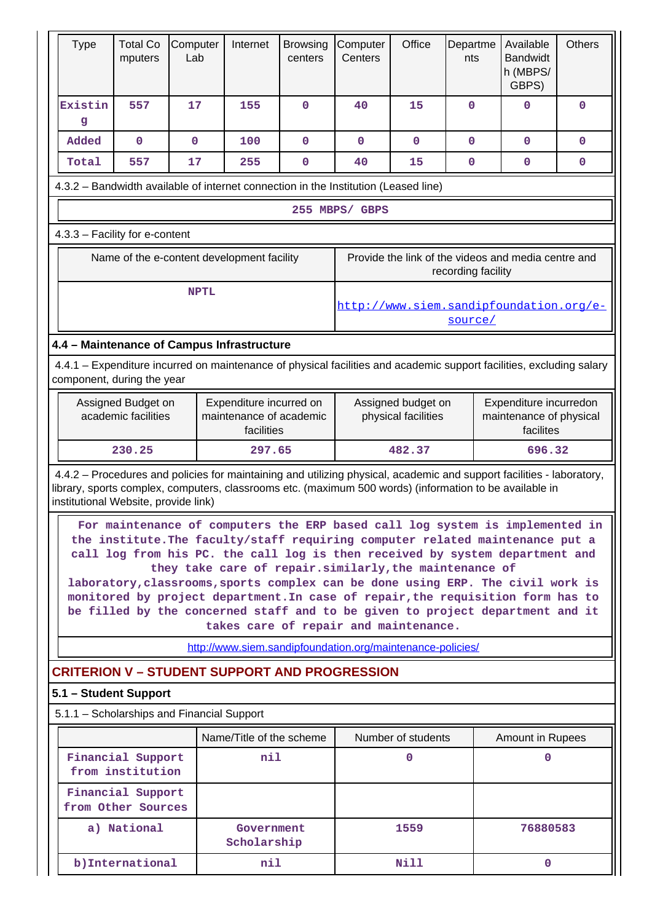| <b>Type</b>                                                                                                                                                                                                                                                              | <b>Total Co</b><br>mputers                                                                                                                                                                                                                                                                                                                                                                                                                                                                                                                                                                              | Computer<br>Lab | Internet                                                   | <b>Browsing</b><br>centers | Computer<br>Centers                                                                                         | Office             | Departme<br>nts | Available<br><b>Bandwidt</b><br>h (MBPS/<br>GBPS) | <b>Others</b> |
|--------------------------------------------------------------------------------------------------------------------------------------------------------------------------------------------------------------------------------------------------------------------------|---------------------------------------------------------------------------------------------------------------------------------------------------------------------------------------------------------------------------------------------------------------------------------------------------------------------------------------------------------------------------------------------------------------------------------------------------------------------------------------------------------------------------------------------------------------------------------------------------------|-----------------|------------------------------------------------------------|----------------------------|-------------------------------------------------------------------------------------------------------------|--------------------|-----------------|---------------------------------------------------|---------------|
| Existin<br>g                                                                                                                                                                                                                                                             | 557                                                                                                                                                                                                                                                                                                                                                                                                                                                                                                                                                                                                     | 17              | 155                                                        | $\mathbf 0$                | 40                                                                                                          | 15                 | $\mathbf{O}$    | $\mathbf 0$                                       | $\mathbf 0$   |
| Added                                                                                                                                                                                                                                                                    | $\mathbf 0$                                                                                                                                                                                                                                                                                                                                                                                                                                                                                                                                                                                             | $\mathbf 0$     | 100                                                        | $\mathbf 0$                | $\mathbf 0$                                                                                                 | $\mathbf 0$        | 0               | 0                                                 | 0             |
| Total                                                                                                                                                                                                                                                                    | 557                                                                                                                                                                                                                                                                                                                                                                                                                                                                                                                                                                                                     | 17              | 255                                                        | 0                          | 40                                                                                                          | 15                 | 0               | 0                                                 | 0             |
| 4.3.2 - Bandwidth available of internet connection in the Institution (Leased line)                                                                                                                                                                                      |                                                                                                                                                                                                                                                                                                                                                                                                                                                                                                                                                                                                         |                 |                                                            |                            |                                                                                                             |                    |                 |                                                   |               |
|                                                                                                                                                                                                                                                                          |                                                                                                                                                                                                                                                                                                                                                                                                                                                                                                                                                                                                         |                 |                                                            |                            | 255 MBPS/ GBPS                                                                                              |                    |                 |                                                   |               |
| 4.3.3 - Facility for e-content                                                                                                                                                                                                                                           |                                                                                                                                                                                                                                                                                                                                                                                                                                                                                                                                                                                                         |                 |                                                            |                            |                                                                                                             |                    |                 |                                                   |               |
|                                                                                                                                                                                                                                                                          | Provide the link of the videos and media centre and<br>Name of the e-content development facility<br>recording facility                                                                                                                                                                                                                                                                                                                                                                                                                                                                                 |                 |                                                            |                            |                                                                                                             |                    |                 |                                                   |               |
|                                                                                                                                                                                                                                                                          |                                                                                                                                                                                                                                                                                                                                                                                                                                                                                                                                                                                                         | <b>NPTL</b>     |                                                            |                            |                                                                                                             |                    | source/         | http://www.siem.sandipfoundation.org/e-           |               |
| 4.4 - Maintenance of Campus Infrastructure                                                                                                                                                                                                                               |                                                                                                                                                                                                                                                                                                                                                                                                                                                                                                                                                                                                         |                 |                                                            |                            |                                                                                                             |                    |                 |                                                   |               |
| 4.4.1 – Expenditure incurred on maintenance of physical facilities and academic support facilities, excluding salary<br>component, during the year                                                                                                                       |                                                                                                                                                                                                                                                                                                                                                                                                                                                                                                                                                                                                         |                 |                                                            |                            |                                                                                                             |                    |                 |                                                   |               |
|                                                                                                                                                                                                                                                                          | Assigned Budget on<br>Expenditure incurred on<br>academic facilities<br>maintenance of academic<br>facilities                                                                                                                                                                                                                                                                                                                                                                                                                                                                                           |                 |                                                            |                            | Assigned budget on<br>Expenditure incurredon<br>maintenance of physical<br>physical facilities<br>facilites |                    |                 |                                                   |               |
|                                                                                                                                                                                                                                                                          | 230.25                                                                                                                                                                                                                                                                                                                                                                                                                                                                                                                                                                                                  |                 | 297.65                                                     |                            | 482.37                                                                                                      |                    |                 | 696.32                                            |               |
| 4.4.2 - Procedures and policies for maintaining and utilizing physical, academic and support facilities - laboratory,<br>library, sports complex, computers, classrooms etc. (maximum 500 words) (information to be available in<br>institutional Website, provide link) |                                                                                                                                                                                                                                                                                                                                                                                                                                                                                                                                                                                                         |                 |                                                            |                            |                                                                                                             |                    |                 |                                                   |               |
|                                                                                                                                                                                                                                                                          | For maintenance of computers the ERP based call log system is implemented in<br>the institute. The faculty/staff requiring computer related maintenance put a<br>call log from his PC. the call log is then received by system department and<br>they take care of repair.similarly, the maintenance of<br>laboratory, classrooms, sports complex can be done using ERP. The civil work is<br>monitored by project department. In case of repair, the requisition form has to<br>be filled by the concerned staff and to be given to project department and it<br>takes care of repair and maintenance. |                 |                                                            |                            |                                                                                                             |                    |                 |                                                   |               |
|                                                                                                                                                                                                                                                                          |                                                                                                                                                                                                                                                                                                                                                                                                                                                                                                                                                                                                         |                 | http://www.siem.sandipfoundation.org/maintenance-policies/ |                            |                                                                                                             |                    |                 |                                                   |               |
| <b>CRITERION V - STUDENT SUPPORT AND PROGRESSION</b><br>5.1 - Student Support                                                                                                                                                                                            |                                                                                                                                                                                                                                                                                                                                                                                                                                                                                                                                                                                                         |                 |                                                            |                            |                                                                                                             |                    |                 |                                                   |               |
| 5.1.1 - Scholarships and Financial Support                                                                                                                                                                                                                               |                                                                                                                                                                                                                                                                                                                                                                                                                                                                                                                                                                                                         |                 |                                                            |                            |                                                                                                             |                    |                 |                                                   |               |
|                                                                                                                                                                                                                                                                          |                                                                                                                                                                                                                                                                                                                                                                                                                                                                                                                                                                                                         |                 | Name/Title of the scheme                                   |                            |                                                                                                             | Number of students |                 | <b>Amount in Rupees</b>                           |               |
|                                                                                                                                                                                                                                                                          | Financial Support<br>from institution                                                                                                                                                                                                                                                                                                                                                                                                                                                                                                                                                                   |                 | nil                                                        |                            |                                                                                                             | 0                  |                 | 0                                                 |               |
|                                                                                                                                                                                                                                                                          | Financial Support<br>from Other Sources                                                                                                                                                                                                                                                                                                                                                                                                                                                                                                                                                                 |                 |                                                            |                            |                                                                                                             |                    |                 |                                                   |               |
|                                                                                                                                                                                                                                                                          | a) National                                                                                                                                                                                                                                                                                                                                                                                                                                                                                                                                                                                             |                 | Government<br>Scholarship                                  |                            |                                                                                                             | 1559               |                 | 76880583                                          |               |
|                                                                                                                                                                                                                                                                          | b) International                                                                                                                                                                                                                                                                                                                                                                                                                                                                                                                                                                                        |                 | nil                                                        |                            |                                                                                                             | Nill               |                 | 0                                                 |               |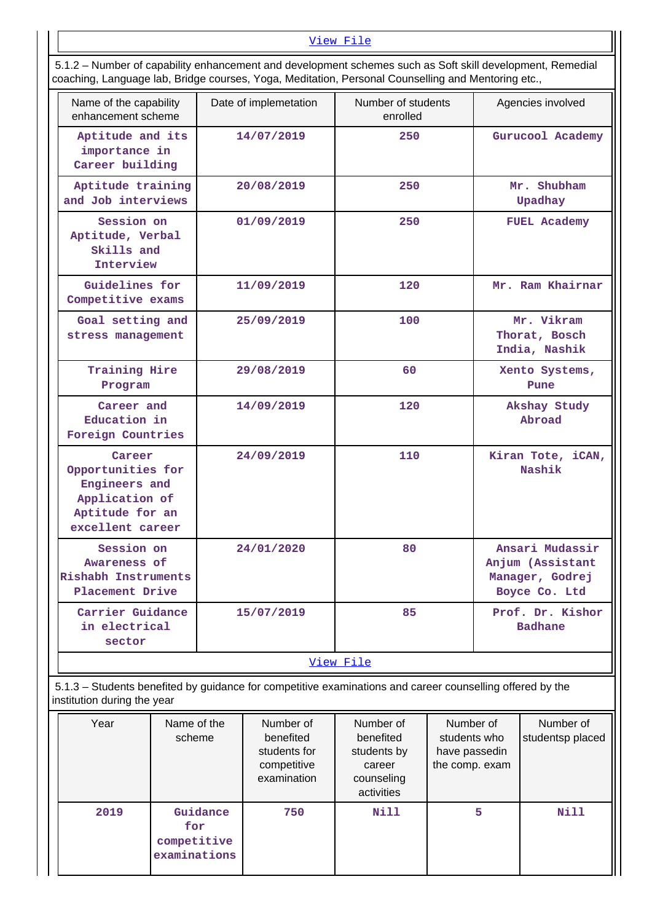## [View File](https://assessmentonline.naac.gov.in/public/Postacc/Scholarships/10505_Scholarships_1620897346.xlsx)

| Tambor or capability ormanoomonic and dovolopmonic conciliuto capit as Concentrational, reditional<br>coaching, Language lab, Bridge courses, Yoga, Meditation, Personal Counselling and Mentoring etc., |                       |                                |                                                                         |  |  |
|----------------------------------------------------------------------------------------------------------------------------------------------------------------------------------------------------------|-----------------------|--------------------------------|-------------------------------------------------------------------------|--|--|
| Name of the capability<br>enhancement scheme                                                                                                                                                             | Date of implemetation | Number of students<br>enrolled | Agencies involved                                                       |  |  |
| Aptitude and its<br>importance in<br>Career building                                                                                                                                                     | 14/07/2019            | 250                            | Gurucool Academy                                                        |  |  |
| Aptitude training<br>and Job interviews                                                                                                                                                                  | 20/08/2019            | 250                            | Mr. Shubham<br>Upadhay                                                  |  |  |
| Session on<br>Aptitude, Verbal<br>Skills and<br>Interview                                                                                                                                                | 01/09/2019            | 250                            | <b>FUEL Academy</b>                                                     |  |  |
| Guidelines for<br>Competitive exams                                                                                                                                                                      | 11/09/2019            | 120                            | Mr. Ram Khairnar                                                        |  |  |
| Goal setting and<br>stress management                                                                                                                                                                    | 25/09/2019            | 100                            | Mr. Vikram<br>Thorat, Bosch<br>India, Nashik                            |  |  |
| Training Hire<br>Program                                                                                                                                                                                 | 29/08/2019            | 60                             | Xento Systems,<br>Pune                                                  |  |  |
| Career and<br>Education in<br>Foreign Countries                                                                                                                                                          | 14/09/2019            | 120                            | Akshay Study<br>Abroad                                                  |  |  |
| Career<br>Opportunities for<br>Engineers and<br>Application of<br>Aptitude for an<br>excellent career                                                                                                    | 24/09/2019            | 110                            | Kiran Tote, iCAN,<br>Nashik                                             |  |  |
| Session on<br>Awareness of<br>Rishabh Instruments<br>Placement Drive                                                                                                                                     | 24/01/2020            | 80                             | Ansari Mudassir<br>Anjum (Assistant<br>Manager, Godrej<br>Boyce Co. Ltd |  |  |
| Carrier Guidance<br>in electrical<br>sector                                                                                                                                                              | 15/07/2019            | 85                             | Prof. Dr. Kishor<br><b>Badhane</b>                                      |  |  |
| View File                                                                                                                                                                                                |                       |                                |                                                                         |  |  |

5.1.2 – Number of capability enhancement and development schemes such as Soft skill development, Remedial

# 5.1.3 – Students benefited by guidance for competitive examinations and career counselling offered by the institution during the year

| Year | Name of the<br>scheme                          | Number of<br>benefited<br>students for<br>competitive<br>examination | Number of<br>benefited<br>students by<br>career<br>counseling<br>activities | Number of<br>students who<br>have passedin<br>the comp. exam | Number of<br>studentsp placed |
|------|------------------------------------------------|----------------------------------------------------------------------|-----------------------------------------------------------------------------|--------------------------------------------------------------|-------------------------------|
| 2019 | Guidance<br>for<br>competitive<br>examinations | 750                                                                  | Nill                                                                        | 5                                                            | Nill                          |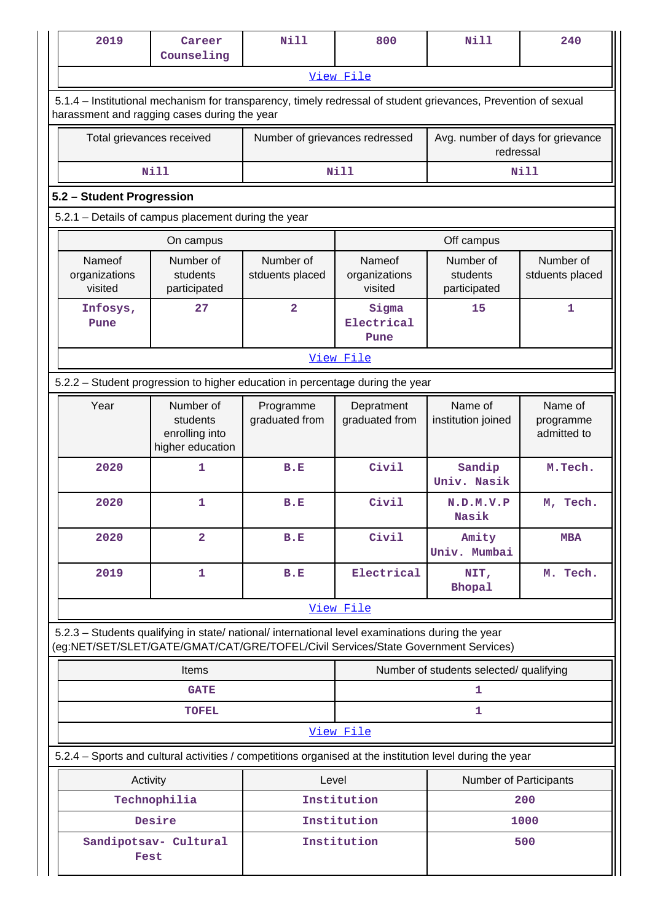| 2019                                                                                                                                                                                   | Career<br>Counseling                                                                                                                                           | <b>Nill</b>                                            | 800                                | Nill                                           | 240                                 |  |  |
|----------------------------------------------------------------------------------------------------------------------------------------------------------------------------------------|----------------------------------------------------------------------------------------------------------------------------------------------------------------|--------------------------------------------------------|------------------------------------|------------------------------------------------|-------------------------------------|--|--|
|                                                                                                                                                                                        |                                                                                                                                                                |                                                        | View File                          |                                                |                                     |  |  |
|                                                                                                                                                                                        | 5.1.4 – Institutional mechanism for transparency, timely redressal of student grievances, Prevention of sexual<br>harassment and ragging cases during the year |                                                        |                                    |                                                |                                     |  |  |
| Total grievances received                                                                                                                                                              |                                                                                                                                                                | Number of grievances redressed                         |                                    | Avg. number of days for grievance<br>redressal |                                     |  |  |
|                                                                                                                                                                                        | <b>Nill</b>                                                                                                                                                    |                                                        | Nill                               |                                                | <b>Nill</b>                         |  |  |
|                                                                                                                                                                                        | 5.2 - Student Progression                                                                                                                                      |                                                        |                                    |                                                |                                     |  |  |
| 5.2.1 - Details of campus placement during the year                                                                                                                                    |                                                                                                                                                                |                                                        |                                    |                                                |                                     |  |  |
|                                                                                                                                                                                        | On campus                                                                                                                                                      |                                                        |                                    | Off campus                                     |                                     |  |  |
| <b>Nameof</b><br>organizations<br>visited                                                                                                                                              | Number of<br>students<br>participated                                                                                                                          | Number of<br>stduents placed                           | Nameof<br>organizations<br>visited | Number of<br>students<br>participated          | Number of<br>stduents placed        |  |  |
| Infosys,<br>Pune                                                                                                                                                                       | 27                                                                                                                                                             | $\overline{\mathbf{2}}$<br>Sigma<br>Electrical<br>Pune |                                    | 15                                             | $\mathbf{1}$                        |  |  |
|                                                                                                                                                                                        |                                                                                                                                                                |                                                        | View File                          |                                                |                                     |  |  |
|                                                                                                                                                                                        | 5.2.2 - Student progression to higher education in percentage during the year                                                                                  |                                                        |                                    |                                                |                                     |  |  |
| Year                                                                                                                                                                                   | Number of<br>students<br>enrolling into<br>higher education                                                                                                    | Programme<br>graduated from                            | Depratment<br>graduated from       | Name of<br>institution joined                  | Name of<br>programme<br>admitted to |  |  |
| 2020                                                                                                                                                                                   | 1                                                                                                                                                              | B.E                                                    | Civil                              | Sandip<br>Univ. Nasik                          | M.Tech.                             |  |  |
| 2020                                                                                                                                                                                   | $\mathbf{1}$                                                                                                                                                   | B.E                                                    | Civil                              | N.D.M.V.P<br>Nasik                             | M, Tech.                            |  |  |
| 2020                                                                                                                                                                                   | $\overline{\mathbf{2}}$                                                                                                                                        | B.E                                                    | Civil                              | Amity<br>Univ. Mumbai                          | <b>MBA</b>                          |  |  |
| 2019                                                                                                                                                                                   | 1                                                                                                                                                              | B.E                                                    | Electrical                         | NIT,<br><b>Bhopal</b>                          | M. Tech.                            |  |  |
|                                                                                                                                                                                        |                                                                                                                                                                |                                                        | View File                          |                                                |                                     |  |  |
| 5.2.3 - Students qualifying in state/ national/ international level examinations during the year<br>(eg:NET/SET/SLET/GATE/GMAT/CAT/GRE/TOFEL/Civil Services/State Government Services) |                                                                                                                                                                |                                                        |                                    |                                                |                                     |  |  |
|                                                                                                                                                                                        | <b>Items</b>                                                                                                                                                   |                                                        |                                    | Number of students selected/ qualifying        |                                     |  |  |
|                                                                                                                                                                                        | <b>GATE</b>                                                                                                                                                    |                                                        | 1                                  |                                                |                                     |  |  |
|                                                                                                                                                                                        | <b>TOFEL</b>                                                                                                                                                   |                                                        |                                    | 1                                              |                                     |  |  |
|                                                                                                                                                                                        |                                                                                                                                                                |                                                        | View File                          |                                                |                                     |  |  |
| 5.2.4 - Sports and cultural activities / competitions organised at the institution level during the year                                                                               |                                                                                                                                                                |                                                        |                                    |                                                |                                     |  |  |
| Activity                                                                                                                                                                               |                                                                                                                                                                | Level                                                  |                                    | Number of Participants                         |                                     |  |  |
|                                                                                                                                                                                        | Technophilia                                                                                                                                                   |                                                        | Institution                        | 200                                            |                                     |  |  |
| Desire<br>Sandipotsav- Cultural<br>Fest                                                                                                                                                |                                                                                                                                                                |                                                        | Institution<br>Institution         | 1000<br>500                                    |                                     |  |  |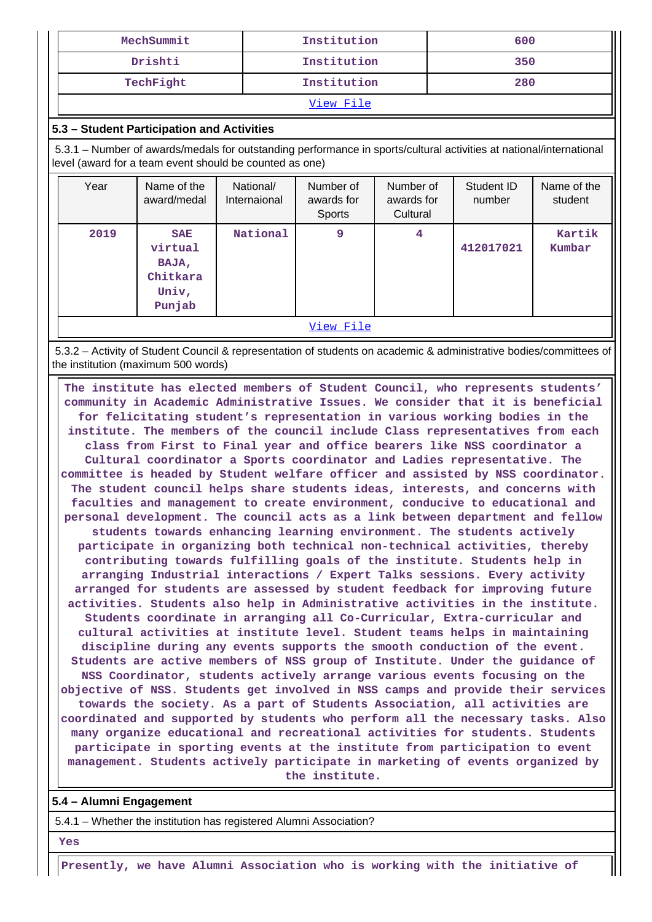| MechSummit | Institution | 600 |
|------------|-------------|-----|
| Drishti    | Institution | 350 |
| TechFight  | Institution | 280 |
| View File  |             |     |

## **5.3 – Student Participation and Activities**

 5.3.1 – Number of awards/medals for outstanding performance in sports/cultural activities at national/international level (award for a team event should be counted as one)

| Year      | Name of the<br>award/medal                                    | National/<br>Internaional | Number of<br>awards for<br>Sports | Number of<br>awards for<br>Cultural | Student ID<br>number | Name of the<br>student |
|-----------|---------------------------------------------------------------|---------------------------|-----------------------------------|-------------------------------------|----------------------|------------------------|
| 2019      | <b>SAE</b><br>virtual<br>BAJA,<br>Chitkara<br>Univ,<br>Punjab | National                  | 9                                 | $\overline{4}$                      | 412017021            | Kartik<br>Kumbar       |
| View File |                                                               |                           |                                   |                                     |                      |                        |

 5.3.2 – Activity of Student Council & representation of students on academic & administrative bodies/committees of the institution (maximum 500 words)

 **The institute has elected members of Student Council, who represents students' community in Academic Administrative Issues. We consider that it is beneficial for felicitating student's representation in various working bodies in the institute. The members of the council include Class representatives from each class from First to Final year and office bearers like NSS coordinator a Cultural coordinator a Sports coordinator and Ladies representative. The committee is headed by Student welfare officer and assisted by NSS coordinator. The student council helps share students ideas, interests, and concerns with faculties and management to create environment, conducive to educational and personal development. The council acts as a link between department and fellow students towards enhancing learning environment. The students actively participate in organizing both technical non-technical activities, thereby contributing towards fulfilling goals of the institute. Students help in arranging Industrial interactions / Expert Talks sessions. Every activity arranged for students are assessed by student feedback for improving future activities. Students also help in Administrative activities in the institute. Students coordinate in arranging all Co-Curricular, Extra-curricular and cultural activities at institute level. Student teams helps in maintaining discipline during any events supports the smooth conduction of the event. Students are active members of NSS group of Institute. Under the guidance of NSS Coordinator, students actively arrange various events focusing on the objective of NSS. Students get involved in NSS camps and provide their services towards the society. As a part of Students Association, all activities are coordinated and supported by students who perform all the necessary tasks. Also many organize educational and recreational activities for students. Students participate in sporting events at the institute from participation to event management. Students actively participate in marketing of events organized by the institute.**

## **5.4 – Alumni Engagement**

5.4.1 – Whether the institution has registered Alumni Association?

 **Yes**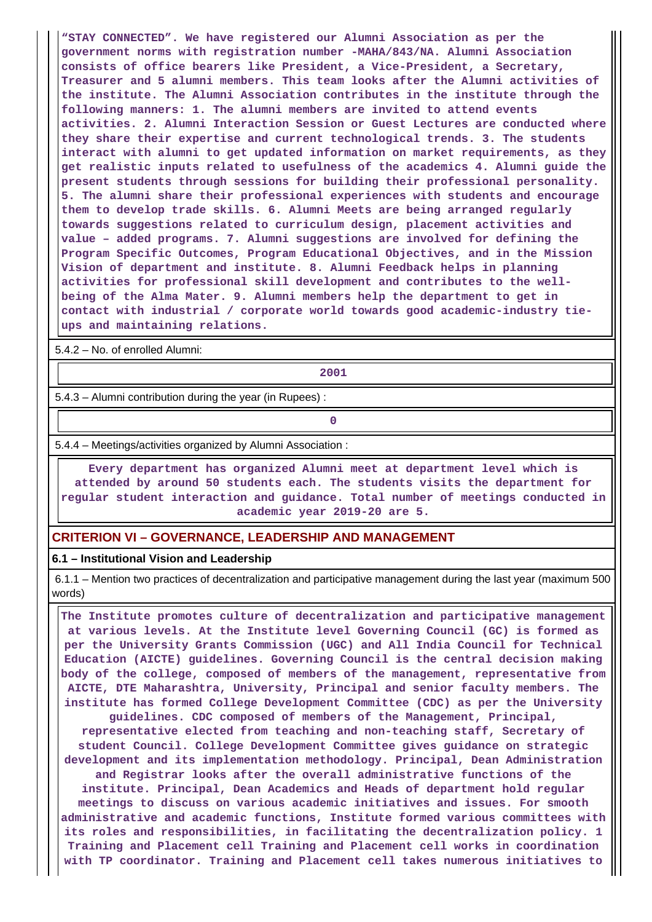**"STAY CONNECTED". We have registered our Alumni Association as per the government norms with registration number -MAHA/843/NA. Alumni Association consists of office bearers like President, a Vice-President, a Secretary, Treasurer and 5 alumni members. This team looks after the Alumni activities of the institute. The Alumni Association contributes in the institute through the following manners: 1. The alumni members are invited to attend events activities. 2. Alumni Interaction Session or Guest Lectures are conducted where they share their expertise and current technological trends. 3. The students interact with alumni to get updated information on market requirements, as they get realistic inputs related to usefulness of the academics 4. Alumni guide the present students through sessions for building their professional personality. 5. The alumni share their professional experiences with students and encourage them to develop trade skills. 6. Alumni Meets are being arranged regularly towards suggestions related to curriculum design, placement activities and value – added programs. 7. Alumni suggestions are involved for defining the Program Specific Outcomes, Program Educational Objectives, and in the Mission Vision of department and institute. 8. Alumni Feedback helps in planning activities for professional skill development and contributes to the wellbeing of the Alma Mater. 9. Alumni members help the department to get in contact with industrial / corporate world towards good academic-industry tieups and maintaining relations.**

5.4.2 – No. of enrolled Alumni:

**2001**

5.4.3 – Alumni contribution during the year (in Rupees) :

**0**

5.4.4 – Meetings/activities organized by Alumni Association :

 **Every department has organized Alumni meet at department level which is attended by around 50 students each. The students visits the department for regular student interaction and guidance. Total number of meetings conducted in academic year 2019-20 are 5.**

### **CRITERION VI – GOVERNANCE, LEADERSHIP AND MANAGEMENT**

#### **6.1 – Institutional Vision and Leadership**

 6.1.1 – Mention two practices of decentralization and participative management during the last year (maximum 500 words)

 **The Institute promotes culture of decentralization and participative management at various levels. At the Institute level Governing Council (GC) is formed as per the University Grants Commission (UGC) and All India Council for Technical Education (AICTE) guidelines. Governing Council is the central decision making body of the college, composed of members of the management, representative from AICTE, DTE Maharashtra, University, Principal and senior faculty members. The institute has formed College Development Committee (CDC) as per the University guidelines. CDC composed of members of the Management, Principal, representative elected from teaching and non-teaching staff, Secretary of student Council. College Development Committee gives guidance on strategic development and its implementation methodology. Principal, Dean Administration and Registrar looks after the overall administrative functions of the**

**institute. Principal, Dean Academics and Heads of department hold regular meetings to discuss on various academic initiatives and issues. For smooth administrative and academic functions, Institute formed various committees with its roles and responsibilities, in facilitating the decentralization policy. 1 Training and Placement cell Training and Placement cell works in coordination with TP coordinator. Training and Placement cell takes numerous initiatives to**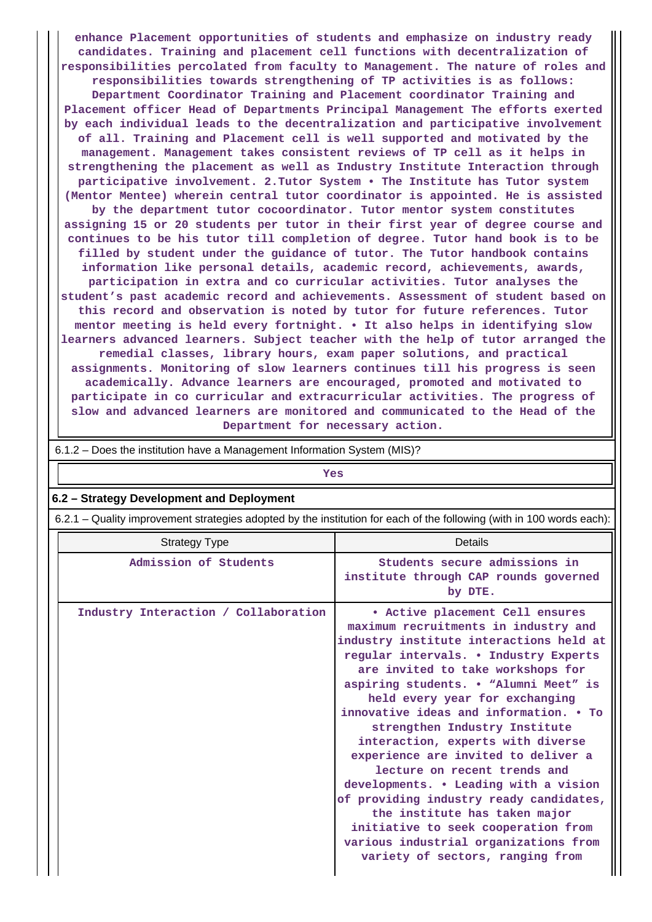**enhance Placement opportunities of students and emphasize on industry ready candidates. Training and placement cell functions with decentralization of responsibilities percolated from faculty to Management. The nature of roles and responsibilities towards strengthening of TP activities is as follows: Department Coordinator Training and Placement coordinator Training and Placement officer Head of Departments Principal Management The efforts exerted by each individual leads to the decentralization and participative involvement of all. Training and Placement cell is well supported and motivated by the management. Management takes consistent reviews of TP cell as it helps in strengthening the placement as well as Industry Institute Interaction through participative involvement. 2.Tutor System • The Institute has Tutor system (Mentor Mentee) wherein central tutor coordinator is appointed. He is assisted by the department tutor cocoordinator. Tutor mentor system constitutes assigning 15 or 20 students per tutor in their first year of degree course and continues to be his tutor till completion of degree. Tutor hand book is to be filled by student under the guidance of tutor. The Tutor handbook contains information like personal details, academic record, achievements, awards, participation in extra and co curricular activities. Tutor analyses the student's past academic record and achievements. Assessment of student based on this record and observation is noted by tutor for future references. Tutor mentor meeting is held every fortnight. • It also helps in identifying slow learners advanced learners. Subject teacher with the help of tutor arranged the remedial classes, library hours, exam paper solutions, and practical assignments. Monitoring of slow learners continues till his progress is seen academically. Advance learners are encouraged, promoted and motivated to participate in co curricular and extracurricular activities. The progress of slow and advanced learners are monitored and communicated to the Head of the Department for necessary action.**

| 6.1.2 – Does the institution have a Management Information System (MIS)?                                              |                                                                                                                                                                                                                                                                                                                                                                                                                                                                                                                                                                                                                                                                                                             |  |  |  |  |  |
|-----------------------------------------------------------------------------------------------------------------------|-------------------------------------------------------------------------------------------------------------------------------------------------------------------------------------------------------------------------------------------------------------------------------------------------------------------------------------------------------------------------------------------------------------------------------------------------------------------------------------------------------------------------------------------------------------------------------------------------------------------------------------------------------------------------------------------------------------|--|--|--|--|--|
|                                                                                                                       | Yes                                                                                                                                                                                                                                                                                                                                                                                                                                                                                                                                                                                                                                                                                                         |  |  |  |  |  |
| 6.2 - Strategy Development and Deployment                                                                             |                                                                                                                                                                                                                                                                                                                                                                                                                                                                                                                                                                                                                                                                                                             |  |  |  |  |  |
| 6.2.1 – Quality improvement strategies adopted by the institution for each of the following (with in 100 words each): |                                                                                                                                                                                                                                                                                                                                                                                                                                                                                                                                                                                                                                                                                                             |  |  |  |  |  |
| <b>Strategy Type</b>                                                                                                  | Details                                                                                                                                                                                                                                                                                                                                                                                                                                                                                                                                                                                                                                                                                                     |  |  |  |  |  |
| Admission of Students                                                                                                 | Students secure admissions in<br>institute through CAP rounds governed<br>by DTE.                                                                                                                                                                                                                                                                                                                                                                                                                                                                                                                                                                                                                           |  |  |  |  |  |
| Industry Interaction / Collaboration                                                                                  | . Active placement Cell ensures<br>maximum recruitments in industry and<br>industry institute interactions held at<br>regular intervals. . Industry Experts<br>are invited to take workshops for<br>aspiring students. . "Alumni Meet" is<br>held every year for exchanging<br>innovative ideas and information. • To<br>strengthen Industry Institute<br>interaction, experts with diverse<br>experience are invited to deliver a<br>lecture on recent trends and<br>developments. . Leading with a vision<br>of providing industry ready candidates,<br>the institute has taken major<br>initiative to seek cooperation from<br>various industrial organizations from<br>variety of sectors, ranging from |  |  |  |  |  |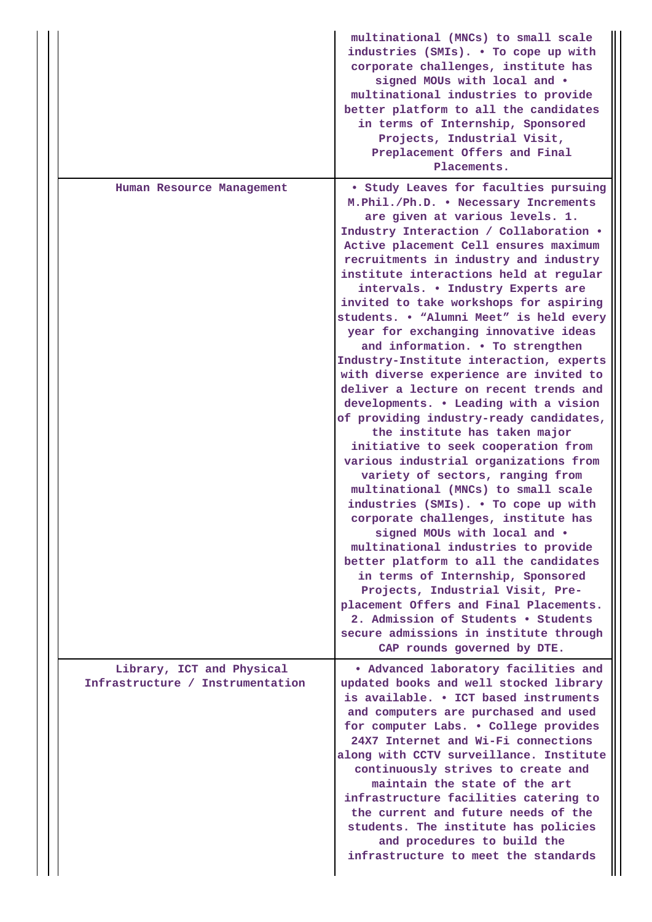|                                                               | multinational (MNCs) to small scale<br>industries (SMIs). . To cope up with<br>corporate challenges, institute has<br>signed MOUs with local and .<br>multinational industries to provide<br>better platform to all the candidates<br>in terms of Internship, Sponsored<br>Projects, Industrial Visit,<br>Preplacement Offers and Final<br>Placements.                                                                                                                                                                                                                                                                                                                                                                                                                                                                                                                                                                                                                                                                                                                                                                                                                                                                                                                                                                                                |
|---------------------------------------------------------------|-------------------------------------------------------------------------------------------------------------------------------------------------------------------------------------------------------------------------------------------------------------------------------------------------------------------------------------------------------------------------------------------------------------------------------------------------------------------------------------------------------------------------------------------------------------------------------------------------------------------------------------------------------------------------------------------------------------------------------------------------------------------------------------------------------------------------------------------------------------------------------------------------------------------------------------------------------------------------------------------------------------------------------------------------------------------------------------------------------------------------------------------------------------------------------------------------------------------------------------------------------------------------------------------------------------------------------------------------------|
| Human Resource Management                                     | <b>• Study Leaves for faculties pursuing</b><br>M. Phil./Ph.D. . Necessary Increments<br>are given at various levels. 1.<br>Industry Interaction / Collaboration .<br>Active placement Cell ensures maximum<br>recruitments in industry and industry<br>institute interactions held at regular<br>intervals. . Industry Experts are<br>invited to take workshops for aspiring<br>students. . "Alumni Meet" is held every<br>year for exchanging innovative ideas<br>and information. . To strengthen<br>Industry-Institute interaction, experts<br>with diverse experience are invited to<br>deliver a lecture on recent trends and<br>developments. . Leading with a vision<br>of providing industry-ready candidates,<br>the institute has taken major<br>initiative to seek cooperation from<br>various industrial organizations from<br>variety of sectors, ranging from<br>multinational (MNCs) to small scale<br>industries (SMIs). . To cope up with<br>corporate challenges, institute has<br>signed MOUs with local and .<br>multinational industries to provide<br>better platform to all the candidates<br>in terms of Internship, Sponsored<br>Projects, Industrial Visit, Pre-<br>placement Offers and Final Placements.<br>2. Admission of Students . Students<br>secure admissions in institute through<br>CAP rounds governed by DTE. |
| Library, ICT and Physical<br>Infrastructure / Instrumentation | . Advanced laboratory facilities and<br>updated books and well stocked library<br>is available. • ICT based instruments<br>and computers are purchased and used<br>for computer Labs. . College provides<br>24X7 Internet and Wi-Fi connections<br>along with CCTV surveillance. Institute<br>continuously strives to create and<br>maintain the state of the art<br>infrastructure facilities catering to<br>the current and future needs of the<br>students. The institute has policies<br>and procedures to build the<br>infrastructure to meet the standards                                                                                                                                                                                                                                                                                                                                                                                                                                                                                                                                                                                                                                                                                                                                                                                      |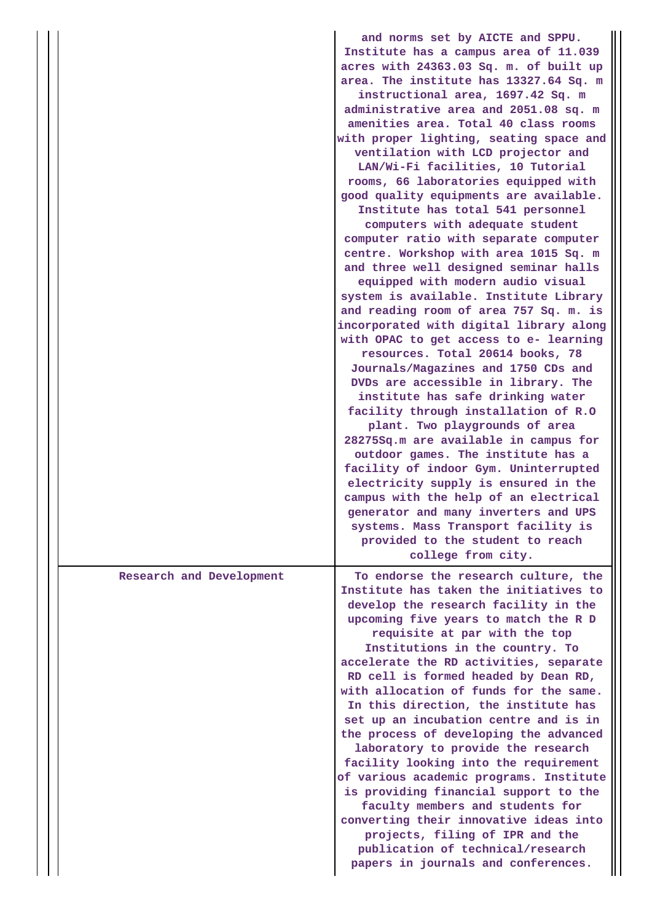|                          | and norms set by AICTE and SPPU.<br>Institute has a campus area of 11.039<br>acres with 24363.03 Sq. m. of built up<br>area. The institute has 13327.64 Sq. m<br>instructional area, 1697.42 Sq. m<br>administrative area and 2051.08 sq. m<br>amenities area. Total 40 class rooms<br>with proper lighting, seating space and<br>ventilation with LCD projector and<br>LAN/Wi-Fi facilities, 10 Tutorial<br>rooms, 66 laboratories equipped with<br>good quality equipments are available.<br>Institute has total 541 personnel<br>computers with adequate student<br>computer ratio with separate computer<br>centre. Workshop with area 1015 Sq. m<br>and three well designed seminar halls<br>equipped with modern audio visual<br>system is available. Institute Library<br>and reading room of area 757 Sq. m. is                                   |
|--------------------------|-----------------------------------------------------------------------------------------------------------------------------------------------------------------------------------------------------------------------------------------------------------------------------------------------------------------------------------------------------------------------------------------------------------------------------------------------------------------------------------------------------------------------------------------------------------------------------------------------------------------------------------------------------------------------------------------------------------------------------------------------------------------------------------------------------------------------------------------------------------|
|                          | incorporated with digital library along<br>with OPAC to get access to e- learning<br>resources. Total 20614 books, 78<br>Journals/Magazines and 1750 CDs and<br>DVDs are accessible in library. The<br>institute has safe drinking water<br>facility through installation of R.O<br>plant. Two playgrounds of area<br>28275Sq.m are available in campus for<br>outdoor games. The institute has a<br>facility of indoor Gym. Uninterrupted<br>electricity supply is ensured in the<br>campus with the help of an electrical<br>generator and many inverters and UPS<br>systems. Mass Transport facility is<br>provided to the student to reach<br>college from city.                                                                                                                                                                                      |
| Research and Development | To endorse the research culture, the<br>Institute has taken the initiatives to<br>develop the research facility in the<br>upcoming five years to match the R D<br>requisite at par with the top<br>Institutions in the country. To<br>accelerate the RD activities, separate<br>RD cell is formed headed by Dean RD,<br>with allocation of funds for the same.<br>In this direction, the institute has<br>set up an incubation centre and is in<br>the process of developing the advanced<br>laboratory to provide the research<br>facility looking into the requirement<br>of various academic programs. Institute<br>is providing financial support to the<br>faculty members and students for<br>converting their innovative ideas into<br>projects, filing of IPR and the<br>publication of technical/research<br>papers in journals and conferences. |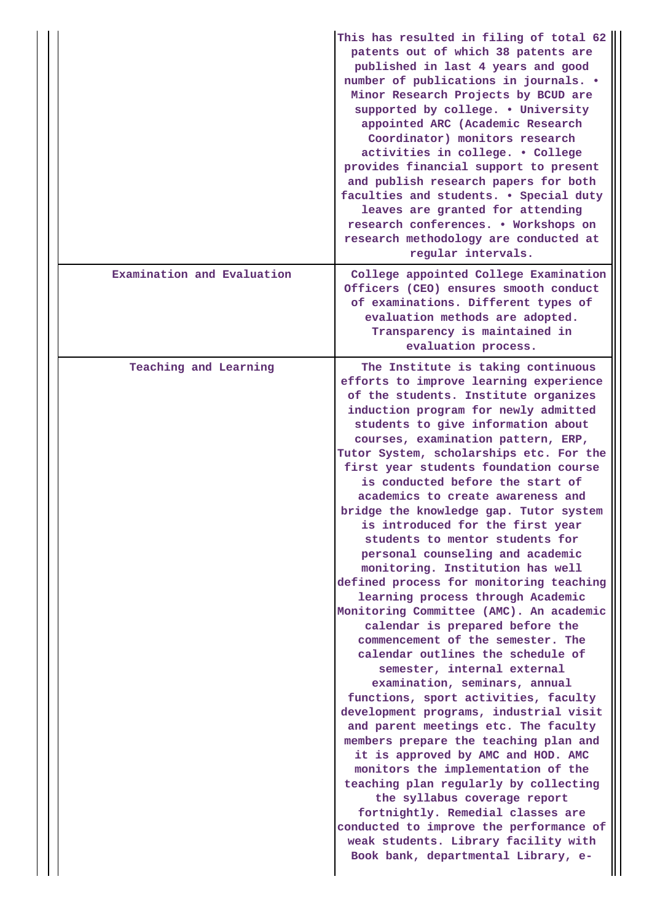|                            | This has resulted in filing of total 62<br>patents out of which 38 patents are<br>published in last 4 years and good<br>number of publications in journals. .<br>Minor Research Projects by BCUD are<br>supported by college. . University<br>appointed ARC (Academic Research<br>Coordinator) monitors research<br>activities in college. . College<br>provides financial support to present<br>and publish research papers for both<br>faculties and students. . Special duty<br>leaves are granted for attending<br>research conferences. . Workshops on<br>research methodology are conducted at<br>regular intervals.                                                                                                                                                                                                                                                                                                                                                                                                                                                                                                                                                                                                                                                                                                                                                                    |
|----------------------------|-----------------------------------------------------------------------------------------------------------------------------------------------------------------------------------------------------------------------------------------------------------------------------------------------------------------------------------------------------------------------------------------------------------------------------------------------------------------------------------------------------------------------------------------------------------------------------------------------------------------------------------------------------------------------------------------------------------------------------------------------------------------------------------------------------------------------------------------------------------------------------------------------------------------------------------------------------------------------------------------------------------------------------------------------------------------------------------------------------------------------------------------------------------------------------------------------------------------------------------------------------------------------------------------------------------------------------------------------------------------------------------------------|
| Examination and Evaluation | College appointed College Examination<br>Officers (CEO) ensures smooth conduct<br>of examinations. Different types of<br>evaluation methods are adopted.<br>Transparency is maintained in<br>evaluation process.                                                                                                                                                                                                                                                                                                                                                                                                                                                                                                                                                                                                                                                                                                                                                                                                                                                                                                                                                                                                                                                                                                                                                                              |
| Teaching and Learning      | The Institute is taking continuous<br>efforts to improve learning experience<br>of the students. Institute organizes<br>induction program for newly admitted<br>students to give information about<br>courses, examination pattern, ERP,<br>Tutor System, scholarships etc. For the<br>first year students foundation course<br>is conducted before the start of<br>academics to create awareness and<br>bridge the knowledge gap. Tutor system<br>is introduced for the first year<br>students to mentor students for<br>personal counseling and academic<br>monitoring. Institution has well<br>defined process for monitoring teaching<br>learning process through Academic<br>Monitoring Committee (AMC). An academic<br>calendar is prepared before the<br>commencement of the semester. The<br>calendar outlines the schedule of<br>semester, internal external<br>examination, seminars, annual<br>functions, sport activities, faculty<br>development programs, industrial visit<br>and parent meetings etc. The faculty<br>members prepare the teaching plan and<br>it is approved by AMC and HOD. AMC<br>monitors the implementation of the<br>teaching plan regularly by collecting<br>the syllabus coverage report<br>fortnightly. Remedial classes are<br>conducted to improve the performance of<br>weak students. Library facility with<br>Book bank, departmental Library, e- |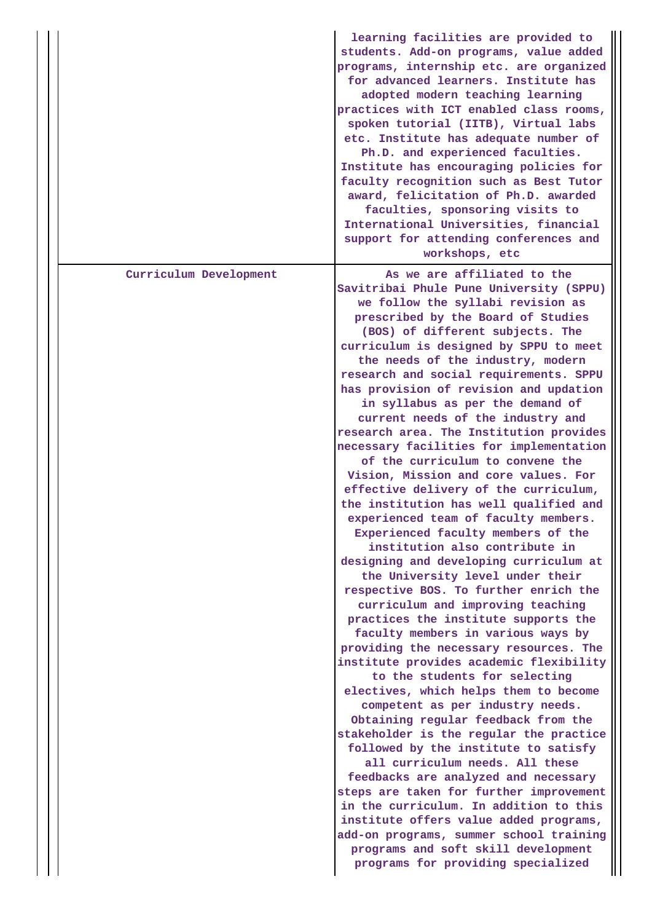|                        | learning facilities are provided to<br>students. Add-on programs, value added<br>programs, internship etc. are organized<br>for advanced learners. Institute has<br>adopted modern teaching learning<br>practices with ICT enabled class rooms,<br>spoken tutorial (IITB), Virtual labs<br>etc. Institute has adequate number of<br>Ph.D. and experienced faculties.<br>Institute has encouraging policies for<br>faculty recognition such as Best Tutor<br>award, felicitation of Ph.D. awarded<br>faculties, sponsoring visits to<br>International Universities, financial<br>support for attending conferences and<br>workshops, etc                                                                                                                                                                                                                                                                                                                                                                                                                                                                                                                                                                                                                                                                                                                                                                                                                                                                                                                                                                                                                                                                         |
|------------------------|-----------------------------------------------------------------------------------------------------------------------------------------------------------------------------------------------------------------------------------------------------------------------------------------------------------------------------------------------------------------------------------------------------------------------------------------------------------------------------------------------------------------------------------------------------------------------------------------------------------------------------------------------------------------------------------------------------------------------------------------------------------------------------------------------------------------------------------------------------------------------------------------------------------------------------------------------------------------------------------------------------------------------------------------------------------------------------------------------------------------------------------------------------------------------------------------------------------------------------------------------------------------------------------------------------------------------------------------------------------------------------------------------------------------------------------------------------------------------------------------------------------------------------------------------------------------------------------------------------------------------------------------------------------------------------------------------------------------|
| Curriculum Development | As we are affiliated to the<br>Savitribai Phule Pune University (SPPU)<br>we follow the syllabi revision as<br>prescribed by the Board of Studies<br>(BOS) of different subjects. The<br>curriculum is designed by SPPU to meet<br>the needs of the industry, modern<br>research and social requirements. SPPU<br>has provision of revision and updation<br>in syllabus as per the demand of<br>current needs of the industry and<br>research area. The Institution provides<br>necessary facilities for implementation<br>of the curriculum to convene the<br>Vision, Mission and core values. For<br>effective delivery of the curriculum,<br>the institution has well qualified and<br>experienced team of faculty members.<br>Experienced faculty members of the<br>institution also contribute in<br>designing and developing curriculum at<br>the University level under their<br>respective BOS. To further enrich the<br>curriculum and improving teaching<br>practices the institute supports the<br>faculty members in various ways by<br>providing the necessary resources. The<br>institute provides academic flexibility<br>to the students for selecting<br>electives, which helps them to become<br>competent as per industry needs.<br>Obtaining regular feedback from the<br>stakeholder is the regular the practice<br>followed by the institute to satisfy<br>all curriculum needs. All these<br>feedbacks are analyzed and necessary<br>steps are taken for further improvement<br>in the curriculum. In addition to this<br>institute offers value added programs,<br>add-on programs, summer school training<br>programs and soft skill development<br>programs for providing specialized |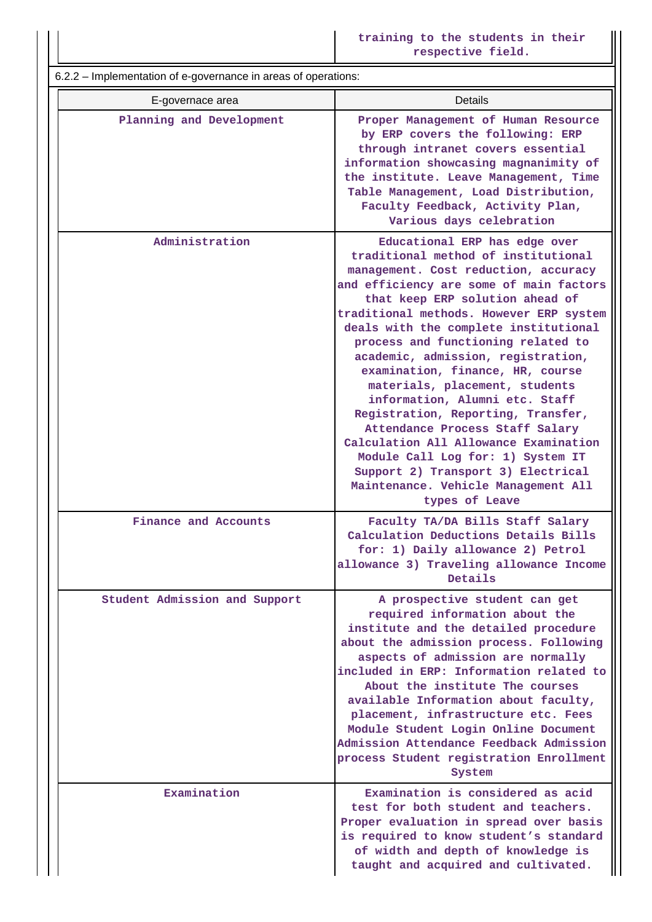6.2.2 – Implementation of e-governance in areas of operations: E-governace area **Details Planning and Development Proper Management of Human Resource by ERP covers the following: ERP through intranet covers essential information showcasing magnanimity of the institute. Leave Management, Time Table Management, Load Distribution, Faculty Feedback, Activity Plan, Various days celebration Administration Educational ERP has edge over traditional method of institutional management. Cost reduction, accuracy and efficiency are some of main factors that keep ERP solution ahead of traditional methods. However ERP system deals with the complete institutional process and functioning related to academic, admission, registration, examination, finance, HR, course materials, placement, students information, Alumni etc. Staff Registration, Reporting, Transfer, Attendance Process Staff Salary Calculation All Allowance Examination Module Call Log for: 1) System IT Support 2) Transport 3) Electrical Maintenance. Vehicle Management All types of Leave Finance and Accounts Faculty TA/DA Bills Staff Salary Calculation Deductions Details Bills for: 1) Daily allowance 2) Petrol allowance 3) Traveling allowance Income Details Student Admission and Support A prospective student can get required information about the institute and the detailed procedure about the admission process. Following aspects of admission are normally included in ERP: Information related to About the institute The courses available Information about faculty, placement, infrastructure etc. Fees Module Student Login Online Document Admission Attendance Feedback Admission process Student registration Enrollment System Examination Examination is considered as acid test for both student and teachers. Proper evaluation in spread over basis is required to know student's standard of width and depth of knowledge is taught and acquired and cultivated.**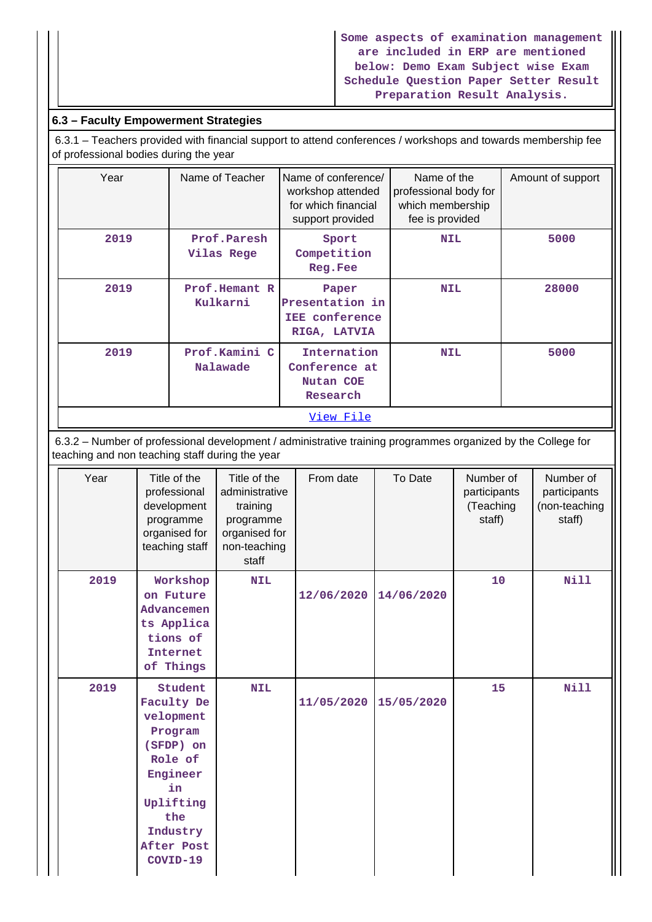## **Some aspects of examination management are included in ERP are mentioned below: Demo Exam Subject wise Exam Schedule Question Paper Setter Result Preparation Result Analysis.**

# **6.3 – Faculty Empowerment Strategies**

 6.3.1 – Teachers provided with financial support to attend conferences / workshops and towards membership fee of professional bodies during the year

| Year | Name of Teacher           | Name of conference/<br>workshop attended<br>for which financial<br>support provided | Name of the<br>professional body for<br>which membership<br>fee is provided | Amount of support |
|------|---------------------------|-------------------------------------------------------------------------------------|-----------------------------------------------------------------------------|-------------------|
| 2019 | Prof.Paresh<br>Vilas Rege | Sport<br>Competition<br>Reg.Fee                                                     | <b>NIL</b>                                                                  | 5000              |
| 2019 | Prof.Hemant R<br>Kulkarni | Paper<br>Presentation in<br><b>IEE</b> conference<br>RIGA, LATVIA                   | <b>NIL</b>                                                                  | 28000             |
| 2019 | Prof.Kamini C<br>Nalawade | Internation<br>Conference at<br>Nutan COE<br>Research                               | <b>NIL</b>                                                                  | 5000              |
|      |                           | View File                                                                           |                                                                             |                   |

 6.3.2 – Number of professional development / administrative training programmes organized by the College for teaching and non teaching staff during the year

| Year | Title of the<br>professional<br>development<br>programme<br>organised for<br>teaching staff                                                              | Title of the<br>administrative<br>training<br>programme<br>organised for<br>non-teaching<br>staff | From date  | To Date    | Number of<br>participants<br>(Teaching<br>staff) | Number of<br>participants<br>(non-teaching<br>staff) |
|------|----------------------------------------------------------------------------------------------------------------------------------------------------------|---------------------------------------------------------------------------------------------------|------------|------------|--------------------------------------------------|------------------------------------------------------|
| 2019 | Workshop<br>on Future<br>Advancemen<br>ts Applica<br>tions of<br>Internet<br>of Things                                                                   | <b>NIL</b>                                                                                        | 12/06/2020 | 14/06/2020 | 10                                               | <b>Nill</b>                                          |
| 2019 | Student<br>Faculty De<br>velopment<br>Program<br>(SFDP) on<br>Role of<br>Engineer<br>in<br>Uplifting<br>the<br>Industry<br><b>After Post</b><br>COVID-19 | <b>NIL</b>                                                                                        | 11/05/2020 | 15/05/2020 | 15                                               | <b>Nill</b>                                          |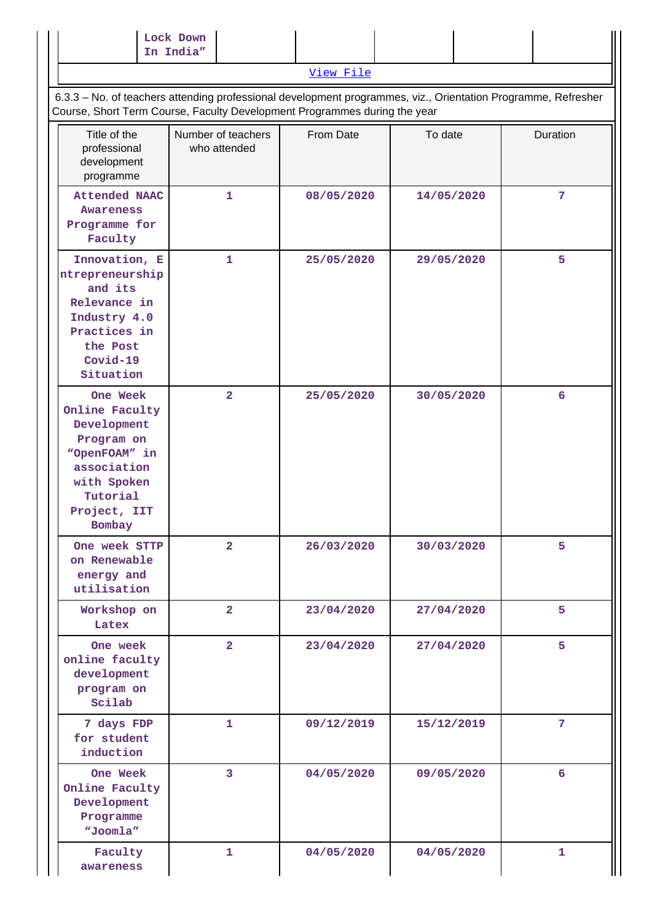|                                                                                                                                              | Lock Down<br>In India"                                                    |            |                                                                                                               |                |
|----------------------------------------------------------------------------------------------------------------------------------------------|---------------------------------------------------------------------------|------------|---------------------------------------------------------------------------------------------------------------|----------------|
|                                                                                                                                              |                                                                           | View File  |                                                                                                               |                |
|                                                                                                                                              | Course, Short Term Course, Faculty Development Programmes during the year |            | 6.3.3 - No. of teachers attending professional development programmes, viz., Orientation Programme, Refresher |                |
| Title of the<br>professional<br>development<br>programme                                                                                     | Number of teachers<br>who attended                                        | From Date  | To date                                                                                                       | Duration       |
| <b>Attended NAAC</b><br>Awareness<br>Programme for<br>Faculty                                                                                | 1                                                                         | 08/05/2020 | 14/05/2020                                                                                                    | $\overline{7}$ |
| Innovation, E<br>ntrepreneurship<br>and its<br>Relevance in<br>Industry 4.0<br>Practices in<br>the Post<br>Covid-19<br>Situation             | 1                                                                         | 25/05/2020 | 29/05/2020                                                                                                    | 5              |
| One Week<br>Online Faculty<br>Development<br>Program on<br>"OpenFOAM" in<br>association<br>with Spoken<br>Tutorial<br>Project, IIT<br>Bombay | $\overline{2}$                                                            | 25/05/2020 | 30/05/2020                                                                                                    | 6              |
| One week STTP<br>on Renewable<br>energy and<br>utilisation                                                                                   | $\overline{2}$                                                            | 26/03/2020 | 30/03/2020                                                                                                    | 5              |
| Workshop on<br>Latex                                                                                                                         | $\overline{2}$                                                            | 23/04/2020 | 27/04/2020                                                                                                    | 5              |
| One week<br>online faculty<br>development<br>program on<br>Scilab                                                                            | $\overline{2}$                                                            | 23/04/2020 | 27/04/2020                                                                                                    | 5              |
| 7 days FDP<br>for student<br>induction                                                                                                       | 1                                                                         | 09/12/2019 | 15/12/2019                                                                                                    | 7              |
| One Week<br>Online Faculty<br>Development<br>Programme<br>"Joomla"                                                                           | $\overline{3}$                                                            | 04/05/2020 | 09/05/2020                                                                                                    | 6              |
| Faculty<br>awareness                                                                                                                         | $\mathbf{1}$                                                              | 04/05/2020 | 04/05/2020                                                                                                    | 1              |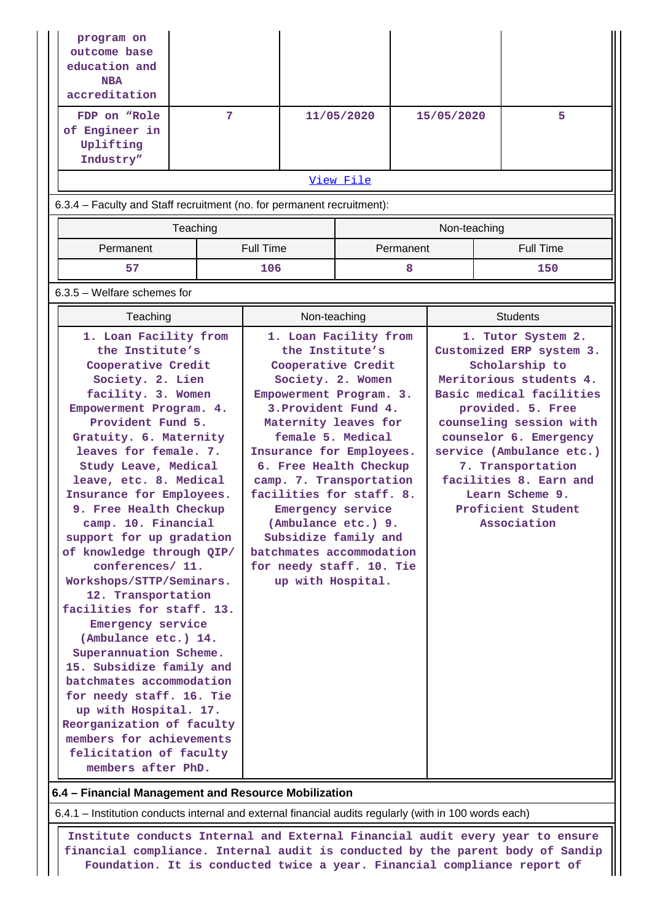| program on<br>outcome base<br>education and<br><b>NBA</b><br>accreditation<br>FDP on "Role<br>of Engineer in                                                                                                                                                                                                                                                                                                                                                                                                                                        | 7        |                  |                                                                                                                                                                                                                                                                                                                                                                                                                                                   | 11/05/2020 |           | 15/05/2020      |  | 5                                                                                                                                                                                                                                                                                                                                    |
|-----------------------------------------------------------------------------------------------------------------------------------------------------------------------------------------------------------------------------------------------------------------------------------------------------------------------------------------------------------------------------------------------------------------------------------------------------------------------------------------------------------------------------------------------------|----------|------------------|---------------------------------------------------------------------------------------------------------------------------------------------------------------------------------------------------------------------------------------------------------------------------------------------------------------------------------------------------------------------------------------------------------------------------------------------------|------------|-----------|-----------------|--|--------------------------------------------------------------------------------------------------------------------------------------------------------------------------------------------------------------------------------------------------------------------------------------------------------------------------------------|
| Uplifting<br>Industry"                                                                                                                                                                                                                                                                                                                                                                                                                                                                                                                              |          |                  |                                                                                                                                                                                                                                                                                                                                                                                                                                                   |            |           |                 |  |                                                                                                                                                                                                                                                                                                                                      |
|                                                                                                                                                                                                                                                                                                                                                                                                                                                                                                                                                     |          |                  |                                                                                                                                                                                                                                                                                                                                                                                                                                                   | View File  |           |                 |  |                                                                                                                                                                                                                                                                                                                                      |
| 6.3.4 - Faculty and Staff recruitment (no. for permanent recruitment):                                                                                                                                                                                                                                                                                                                                                                                                                                                                              |          |                  |                                                                                                                                                                                                                                                                                                                                                                                                                                                   |            |           |                 |  |                                                                                                                                                                                                                                                                                                                                      |
|                                                                                                                                                                                                                                                                                                                                                                                                                                                                                                                                                     | Teaching |                  |                                                                                                                                                                                                                                                                                                                                                                                                                                                   |            |           | Non-teaching    |  |                                                                                                                                                                                                                                                                                                                                      |
| Permanent                                                                                                                                                                                                                                                                                                                                                                                                                                                                                                                                           |          | <b>Full Time</b> |                                                                                                                                                                                                                                                                                                                                                                                                                                                   |            | Permanent |                 |  | <b>Full Time</b>                                                                                                                                                                                                                                                                                                                     |
| 57                                                                                                                                                                                                                                                                                                                                                                                                                                                                                                                                                  |          | 106              |                                                                                                                                                                                                                                                                                                                                                                                                                                                   |            | 8         |                 |  | 150                                                                                                                                                                                                                                                                                                                                  |
| $6.3.5$ – Welfare schemes for                                                                                                                                                                                                                                                                                                                                                                                                                                                                                                                       |          |                  |                                                                                                                                                                                                                                                                                                                                                                                                                                                   |            |           |                 |  |                                                                                                                                                                                                                                                                                                                                      |
| Teaching                                                                                                                                                                                                                                                                                                                                                                                                                                                                                                                                            |          |                  | Non-teaching                                                                                                                                                                                                                                                                                                                                                                                                                                      |            |           | <b>Students</b> |  |                                                                                                                                                                                                                                                                                                                                      |
| 1. Loan Facility from<br>the Institute's<br>Cooperative Credit<br>Society. 2. Lien<br>facility. 3. Women<br>Empowerment Program. 4.<br>Provident Fund 5.<br>Gratuity. 6. Maternity<br>leaves for female. 7.<br>Study Leave, Medical<br>leave, etc. 8. Medical<br>Insurance for Employees.<br>9. Free Health Checkup<br>camp. 10. Financial<br>support for up gradation<br>of knowledge through QIP/<br>conferences/ 11.<br>Workshops/STTP/Seminars.<br>12. Transportation<br>facilities for staff. 13.<br>Emergency service<br>(Ambulance etc.) 14. |          |                  | 1. Loan Facility from<br>the Institute's<br>Cooperative Credit<br>Society. 2. Women<br>Empowerment Program. 3.<br>3. Provident Fund 4.<br>Maternity leaves for<br>female 5. Medical<br>Insurance for Employees.<br>6. Free Health Checkup<br>camp. 7. Transportation<br>facilities for staff. 8.<br>Emergency service<br>(Ambulance etc.) 9.<br>Subsidize family and<br>batchmates accommodation<br>for needy staff. 10. Tie<br>up with Hospital. |            |           |                 |  | 1. Tutor System 2.<br>Customized ERP system 3.<br>Scholarship to<br>Meritorious students 4.<br>Basic medical facilities<br>provided. 5. Free<br>counseling session with<br>counselor 6. Emergency<br>service (Ambulance etc.)<br>7. Transportation<br>facilities 8. Earn and<br>Learn Scheme 9.<br>Proficient Student<br>Association |

**6.4 – Financial Management and Resource Mobilization**

**15. Subsidize family and batchmates accommodation for needy staff. 16. Tie up with Hospital. 17. Reorganization of faculty members for achievements felicitation of faculty members after PhD.**

6.4.1 – Institution conducts internal and external financial audits regularly (with in 100 words each)

 **Institute conducts Internal and External Financial audit every year to ensure financial compliance. Internal audit is conducted by the parent body of Sandip Foundation. It is conducted twice a year. Financial compliance report of**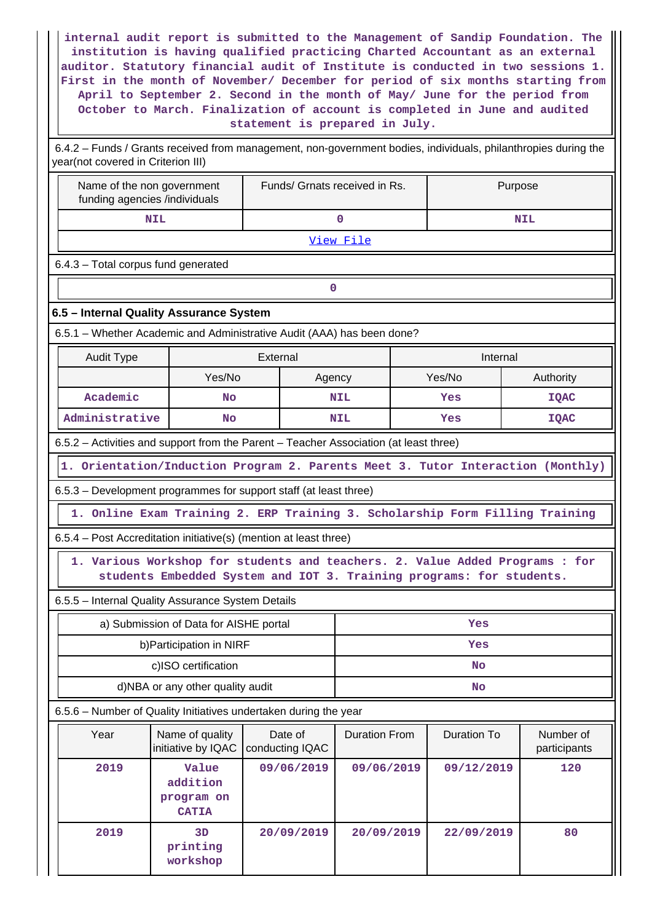**internal audit report is submitted to the Management of Sandip Foundation. The institution is having qualified practicing Charted Accountant as an external auditor. Statutory financial audit of Institute is conducted in two sessions 1. First in the month of November/ December for period of six months starting from April to September 2. Second in the month of May/ June for the period from October to March. Finalization of account is completed in June and audited statement is prepared in July.** 6.4.2 – Funds / Grants received from management, non-government bodies, individuals, philanthropies during the

year(not covered in Criterion III) Name of the non government funding agencies /individuals Funds/ Grnats received in Rs. | Purpose  **NIL 0 NIL** [View File](https://assessmentonline.naac.gov.in/public/Postacc/Funds_or_Grants/10505_Funds_or_Grants_1622445612.xlsx) 6.4.3 – Total corpus fund generated **0 6.5 – Internal Quality Assurance System** 6.5.1 – Whether Academic and Administrative Audit (AAA) has been done? **Audit Type**  The External **Internal Communist External Communist External Communist External Communist External Communist External Communist External Communist External Communist External Communist External Communist Exte** Yes/No | Agency | Yes/No | Authority **Academic No NIL Yes IQAC Administrative No NIL Yes IQAC** 6.5.2 – Activities and support from the Parent – Teacher Association (at least three) **1. Orientation/Induction Program 2. Parents Meet 3. Tutor Interaction (Monthly)** 6.5.3 – Development programmes for support staff (at least three) **1. Online Exam Training 2. ERP Training 3. Scholarship Form Filling Training** 6.5.4 – Post Accreditation initiative(s) (mention at least three) **1. Various Workshop for students and teachers. 2. Value Added Programs : for students Embedded System and IOT 3. Training programs: for students.** 6.5.5 – Internal Quality Assurance System Details a) Submission of Data for AISHE portal **Yes** b)Participation in NIRF **Yes** c)ISO certification **No** d)NBA or any other quality audit **No** 6.5.6 – Number of Quality Initiatives undertaken during the year Year | Name of quality initiative by IQAC | conducting IQAC Date of Duration From | Duration To | Number of participants  **2019 Value addition program on CATIA 09/06/2019 09/06/2019 09/12/2019 120 2019 3D printing workshop 20/09/2019 20/09/2019 22/09/2019 80**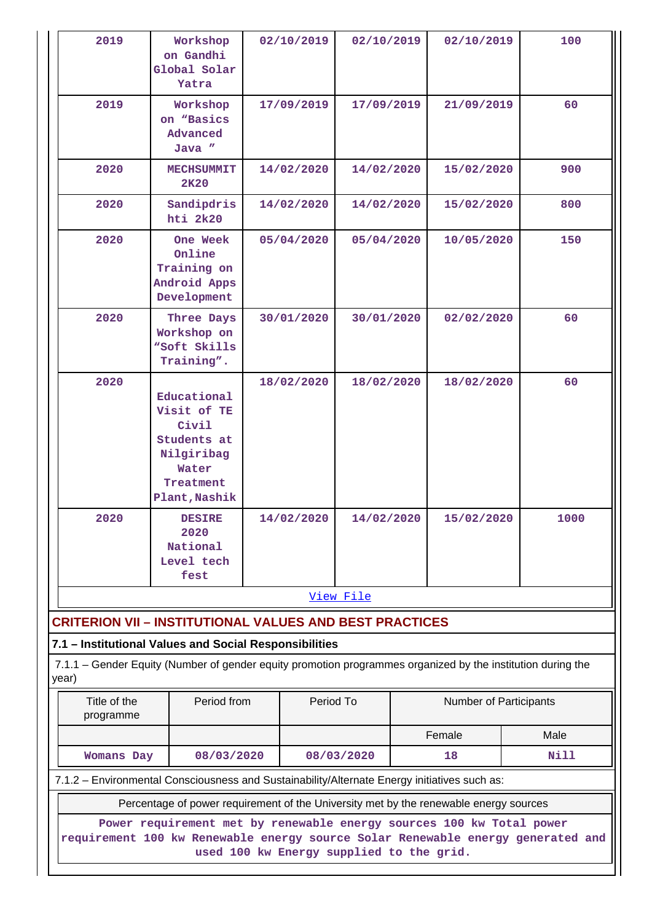| 2019                                                                                                                                                                                                | Workshop<br>on Gandhi<br>Global Solar<br>Yatra                                                          | 02/10/2019 |                          | 02/10/2019 |            | 02/10/2019             |  | 100         |
|-----------------------------------------------------------------------------------------------------------------------------------------------------------------------------------------------------|---------------------------------------------------------------------------------------------------------|------------|--------------------------|------------|------------|------------------------|--|-------------|
| 2019                                                                                                                                                                                                | Workshop<br>on "Basics<br>Advanced<br>Java "                                                            | 17/09/2019 |                          | 17/09/2019 |            | 21/09/2019             |  | 60          |
| 2020                                                                                                                                                                                                | <b>MECHSUMMIT</b><br>2K20                                                                               |            | 14/02/2020               | 14/02/2020 |            | 15/02/2020             |  | 900         |
| 2020                                                                                                                                                                                                | Sandipdris<br>hti 2k20                                                                                  |            | 14/02/2020               | 14/02/2020 |            | 15/02/2020             |  | 800         |
| 2020                                                                                                                                                                                                | One Week<br>Online<br>Training on<br>Android Apps<br>Development                                        |            | 05/04/2020<br>05/04/2020 |            |            | 10/05/2020             |  | 150         |
| 2020                                                                                                                                                                                                | Three Days<br>Workshop on<br>"Soft Skills<br>Training".                                                 |            | 30/01/2020               |            | 30/01/2020 | 02/02/2020             |  | 60          |
| 2020                                                                                                                                                                                                | Educational<br>Visit of TE<br>Civil<br>Students at<br>Nilgiribag<br>Water<br>Treatment<br>Plant, Nashik |            | 18/02/2020               | 18/02/2020 |            | 18/02/2020             |  | 60          |
| 2020                                                                                                                                                                                                | <b>DESIRE</b><br>2020<br>National<br>Level tech<br>fest                                                 |            | 14/02/2020<br>14/02/2020 |            |            | 15/02/2020             |  | 1000        |
|                                                                                                                                                                                                     |                                                                                                         |            |                          | View File  |            |                        |  |             |
| <b>CRITERION VII - INSTITUTIONAL VALUES AND BEST PRACTICES</b>                                                                                                                                      |                                                                                                         |            |                          |            |            |                        |  |             |
| 7.1 - Institutional Values and Social Responsibilities<br>7.1.1 – Gender Equity (Number of gender equity promotion programmes organized by the institution during the<br>year)                      |                                                                                                         |            |                          |            |            |                        |  |             |
| Title of the<br>programme                                                                                                                                                                           | Period from                                                                                             |            | Period To                |            |            | Number of Participants |  |             |
|                                                                                                                                                                                                     |                                                                                                         |            |                          |            |            | Female                 |  | Male        |
| <b>Womans Day</b>                                                                                                                                                                                   | 08/03/2020                                                                                              |            |                          | 08/03/2020 |            | 18                     |  | <b>Nill</b> |
|                                                                                                                                                                                                     | 7.1.2 - Environmental Consciousness and Sustainability/Alternate Energy initiatives such as:            |            |                          |            |            |                        |  |             |
|                                                                                                                                                                                                     | Percentage of power requirement of the University met by the renewable energy sources                   |            |                          |            |            |                        |  |             |
| Power requirement met by renewable energy sources 100 kw Total power<br>requirement 100 kw Renewable energy source Solar Renewable energy generated and<br>used 100 kw Energy supplied to the grid. |                                                                                                         |            |                          |            |            |                        |  |             |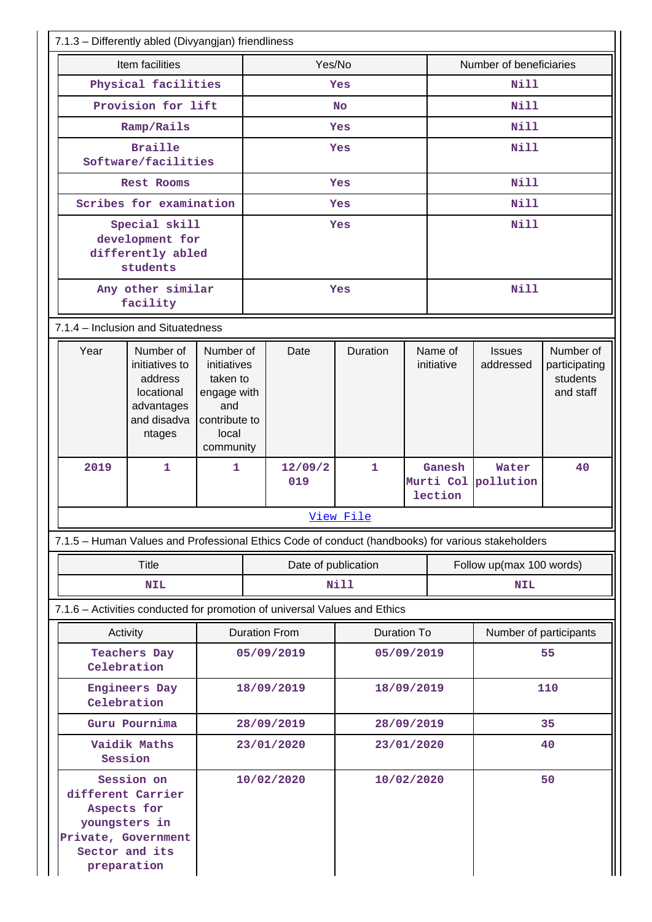| 7.1.3 - Differently abled (Divyangjan) friendliness                                                                     |                                                                   |                                                                                                                                                                                                  |            |            |                                                                                                   |                                   |                                          |                            |                                                     |    |  |
|-------------------------------------------------------------------------------------------------------------------------|-------------------------------------------------------------------|--------------------------------------------------------------------------------------------------------------------------------------------------------------------------------------------------|------------|------------|---------------------------------------------------------------------------------------------------|-----------------------------------|------------------------------------------|----------------------------|-----------------------------------------------------|----|--|
| Item facilities                                                                                                         |                                                                   |                                                                                                                                                                                                  |            | Yes/No     |                                                                                                   |                                   | Number of beneficiaries                  |                            |                                                     |    |  |
|                                                                                                                         |                                                                   | Physical facilities                                                                                                                                                                              |            | Yes        |                                                                                                   |                                   | Nill                                     |                            |                                                     |    |  |
|                                                                                                                         |                                                                   | Provision for lift                                                                                                                                                                               |            | <b>No</b>  |                                                                                                   |                                   | <b>Nill</b>                              |                            |                                                     |    |  |
|                                                                                                                         |                                                                   | Ramp/Rails                                                                                                                                                                                       |            |            |                                                                                                   | Yes                               |                                          | <b>Nill</b>                |                                                     |    |  |
|                                                                                                                         | <b>Braille</b><br>Software/facilities                             |                                                                                                                                                                                                  |            |            |                                                                                                   | Yes                               |                                          | Nill                       |                                                     |    |  |
|                                                                                                                         | Rest Rooms                                                        |                                                                                                                                                                                                  |            |            |                                                                                                   | Yes                               |                                          | <b>Nill</b>                |                                                     |    |  |
|                                                                                                                         | Scribes for examination                                           |                                                                                                                                                                                                  |            |            |                                                                                                   | Yes                               |                                          |                            | Nill                                                |    |  |
|                                                                                                                         | Special skill<br>development for<br>differently abled<br>students |                                                                                                                                                                                                  |            | Yes        |                                                                                                   |                                   |                                          |                            | Nill                                                |    |  |
|                                                                                                                         |                                                                   | Any other similar<br>facility                                                                                                                                                                    |            |            |                                                                                                   | Yes                               |                                          |                            | Nill                                                |    |  |
|                                                                                                                         | 7.1.4 - Inclusion and Situatedness                                |                                                                                                                                                                                                  |            |            |                                                                                                   |                                   |                                          |                            |                                                     |    |  |
|                                                                                                                         | Year                                                              | Number of<br>Number of<br>initiatives to<br>initiatives<br>address<br>taken to<br>locational<br>engage with<br>advantages<br>and<br>and disadva<br>contribute to<br>local<br>ntages<br>community |            |            | Date                                                                                              | Duration<br>Name of<br>initiative |                                          | <b>Issues</b><br>addressed | Number of<br>participating<br>students<br>and staff |    |  |
|                                                                                                                         | 2019                                                              | $\mathbf{1}$                                                                                                                                                                                     | 1          |            | 12/09/2<br>019                                                                                    | $\mathbf{1}$                      | Ganesh<br>Murti Col pollution<br>lection |                            | Water                                               | 40 |  |
|                                                                                                                         |                                                                   |                                                                                                                                                                                                  |            |            |                                                                                                   | View File                         |                                          |                            |                                                     |    |  |
|                                                                                                                         |                                                                   |                                                                                                                                                                                                  |            |            | 7.1.5 - Human Values and Professional Ethics Code of conduct (handbooks) for various stakeholders |                                   |                                          |                            |                                                     |    |  |
|                                                                                                                         |                                                                   | <b>Title</b>                                                                                                                                                                                     |            |            | Date of publication                                                                               |                                   |                                          |                            | Follow up(max 100 words)                            |    |  |
|                                                                                                                         |                                                                   | <b>NIL</b>                                                                                                                                                                                       |            | Nill       |                                                                                                   |                                   |                                          | <b>NIL</b>                 |                                                     |    |  |
|                                                                                                                         |                                                                   |                                                                                                                                                                                                  |            |            | 7.1.6 - Activities conducted for promotion of universal Values and Ethics                         |                                   |                                          |                            |                                                     |    |  |
|                                                                                                                         | Activity                                                          |                                                                                                                                                                                                  |            |            | <b>Duration From</b>                                                                              | <b>Duration To</b>                |                                          |                            | Number of participants                              |    |  |
|                                                                                                                         | Celebration                                                       | <b>Teachers Day</b>                                                                                                                                                                              |            |            | 05/09/2019                                                                                        | 05/09/2019                        |                                          | 55                         |                                                     |    |  |
|                                                                                                                         |                                                                   | <b>Engineers Day</b><br>Celebration                                                                                                                                                              |            |            | 18/09/2019                                                                                        | 18/09/2019                        |                                          |                            | 110                                                 |    |  |
|                                                                                                                         | Guru Pournima                                                     |                                                                                                                                                                                                  |            | 28/09/2019 | 28/09/2019                                                                                        |                                   | 35                                       |                            |                                                     |    |  |
|                                                                                                                         | Vaidik Maths<br>Session                                           |                                                                                                                                                                                                  |            | 23/01/2020 | 23/01/2020                                                                                        |                                   | 40                                       |                            |                                                     |    |  |
| Session on<br>different Carrier<br>Aspects for<br>youngsters in<br>Private, Government<br>Sector and its<br>preparation |                                                                   |                                                                                                                                                                                                  | 10/02/2020 | 10/02/2020 |                                                                                                   |                                   |                                          | 50                         |                                                     |    |  |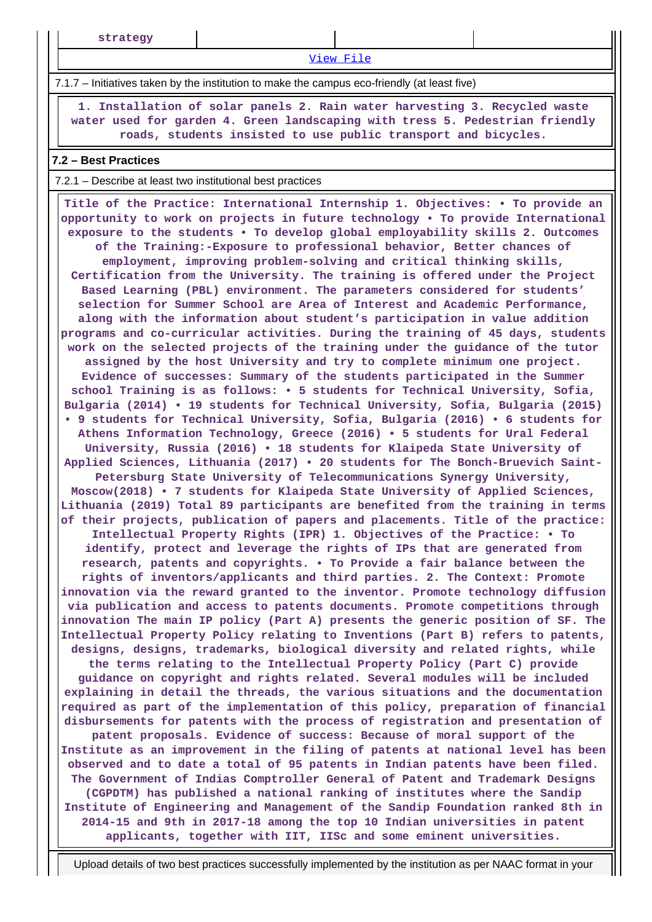**strategy**

[View File](https://assessmentonline.naac.gov.in/public/Postacc/promotion_activities/10505_promotion_activities_1620453521.xlsx)

7.1.7 – Initiatives taken by the institution to make the campus eco-friendly (at least five)

 **1. Installation of solar panels 2. Rain water harvesting 3. Recycled waste water used for garden 4. Green landscaping with tress 5. Pedestrian friendly roads, students insisted to use public transport and bicycles.**

#### **7.2 – Best Practices**

#### 7.2.1 – Describe at least two institutional best practices

 **Title of the Practice: International Internship 1. Objectives: • To provide an opportunity to work on projects in future technology • To provide International exposure to the students • To develop global employability skills 2. Outcomes of the Training:-Exposure to professional behavior, Better chances of employment, improving problem-solving and critical thinking skills, Certification from the University. The training is offered under the Project Based Learning (PBL) environment. The parameters considered for students' selection for Summer School are Area of Interest and Academic Performance, along with the information about student's participation in value addition programs and co-curricular activities. During the training of 45 days, students work on the selected projects of the training under the guidance of the tutor assigned by the host University and try to complete minimum one project. Evidence of successes: Summary of the students participated in the Summer school Training is as follows: • 5 students for Technical University, Sofia, Bulgaria (2014) • 19 students for Technical University, Sofia, Bulgaria (2015) • 9 students for Technical University, Sofia, Bulgaria (2016) • 6 students for Athens Information Technology, Greece (2016) • 5 students for Ural Federal University, Russia (2016) • 18 students for Klaipeda State University of Applied Sciences, Lithuania (2017) • 20 students for The Bonch-Bruevich Saint-Petersburg State University of Telecommunications Synergy University, Moscow(2018) • 7 students for Klaipeda State University of Applied Sciences, Lithuania (2019) Total 89 participants are benefited from the training in terms of their projects, publication of papers and placements. Title of the practice: Intellectual Property Rights (IPR) 1. Objectives of the Practice: • To identify, protect and leverage the rights of IPs that are generated from research, patents and copyrights. • To Provide a fair balance between the rights of inventors/applicants and third parties. 2. The Context: Promote innovation via the reward granted to the inventor. Promote technology diffusion via publication and access to patents documents. Promote competitions through innovation The main IP policy (Part A) presents the generic position of SF. The Intellectual Property Policy relating to Inventions (Part B) refers to patents, designs, designs, trademarks, biological diversity and related rights, while the terms relating to the Intellectual Property Policy (Part C) provide guidance on copyright and rights related. Several modules will be included explaining in detail the threads, the various situations and the documentation required as part of the implementation of this policy, preparation of financial disbursements for patents with the process of registration and presentation of patent proposals. Evidence of success: Because of moral support of the Institute as an improvement in the filing of patents at national level has been observed and to date a total of 95 patents in Indian patents have been filed. The Government of Indias Comptroller General of Patent and Trademark Designs (CGPDTM) has published a national ranking of institutes where the Sandip Institute of Engineering and Management of the Sandip Foundation ranked 8th in 2014-15 and 9th in 2017-18 among the top 10 Indian universities in patent applicants, together with IIT, IISc and some eminent universities.**

Upload details of two best practices successfully implemented by the institution as per NAAC format in your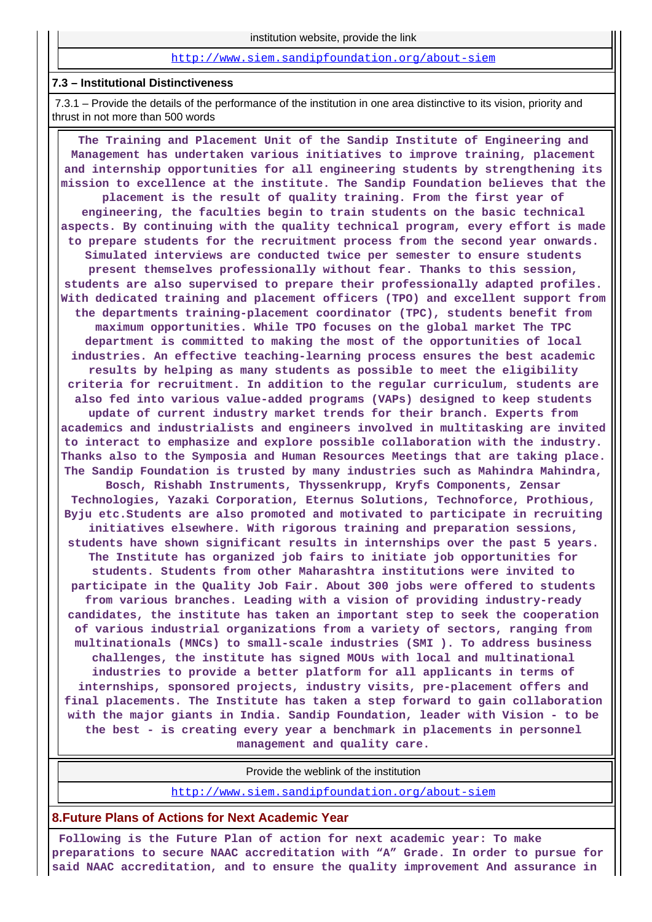#### <http://www.siem.sandipfoundation.org/about-siem>

#### **7.3 – Institutional Distinctiveness**

 7.3.1 – Provide the details of the performance of the institution in one area distinctive to its vision, priority and thrust in not more than 500 words

 **The Training and Placement Unit of the Sandip Institute of Engineering and Management has undertaken various initiatives to improve training, placement and internship opportunities for all engineering students by strengthening its mission to excellence at the institute. The Sandip Foundation believes that the placement is the result of quality training. From the first year of engineering, the faculties begin to train students on the basic technical aspects. By continuing with the quality technical program, every effort is made to prepare students for the recruitment process from the second year onwards. Simulated interviews are conducted twice per semester to ensure students present themselves professionally without fear. Thanks to this session, students are also supervised to prepare their professionally adapted profiles. With dedicated training and placement officers (TPO) and excellent support from the departments training-placement coordinator (TPC), students benefit from maximum opportunities. While TPO focuses on the global market The TPC department is committed to making the most of the opportunities of local industries. An effective teaching-learning process ensures the best academic results by helping as many students as possible to meet the eligibility criteria for recruitment. In addition to the regular curriculum, students are also fed into various value-added programs (VAPs) designed to keep students update of current industry market trends for their branch. Experts from academics and industrialists and engineers involved in multitasking are invited to interact to emphasize and explore possible collaboration with the industry. Thanks also to the Symposia and Human Resources Meetings that are taking place. The Sandip Foundation is trusted by many industries such as Mahindra Mahindra, Bosch, Rishabh Instruments, Thyssenkrupp, Kryfs Components, Zensar Technologies, Yazaki Corporation, Eternus Solutions, Technoforce, Prothious, Byju etc.Students are also promoted and motivated to participate in recruiting initiatives elsewhere. With rigorous training and preparation sessions, students have shown significant results in internships over the past 5 years. The Institute has organized job fairs to initiate job opportunities for students. Students from other Maharashtra institutions were invited to participate in the Quality Job Fair. About 300 jobs were offered to students from various branches. Leading with a vision of providing industry-ready candidates, the institute has taken an important step to seek the cooperation of various industrial organizations from a variety of sectors, ranging from multinationals (MNCs) to small-scale industries (SMI ). To address business challenges, the institute has signed MOUs with local and multinational industries to provide a better platform for all applicants in terms of internships, sponsored projects, industry visits, pre-placement offers and final placements. The Institute has taken a step forward to gain collaboration with the major giants in India. Sandip Foundation, leader with Vision - to be the best - is creating every year a benchmark in placements in personnel management and quality care.**

Provide the weblink of the institution

<http://www.siem.sandipfoundation.org/about-siem>

#### **8.Future Plans of Actions for Next Academic Year**

 **Following is the Future Plan of action for next academic year: To make preparations to secure NAAC accreditation with "A" Grade. In order to pursue for said NAAC accreditation, and to ensure the quality improvement And assurance in**